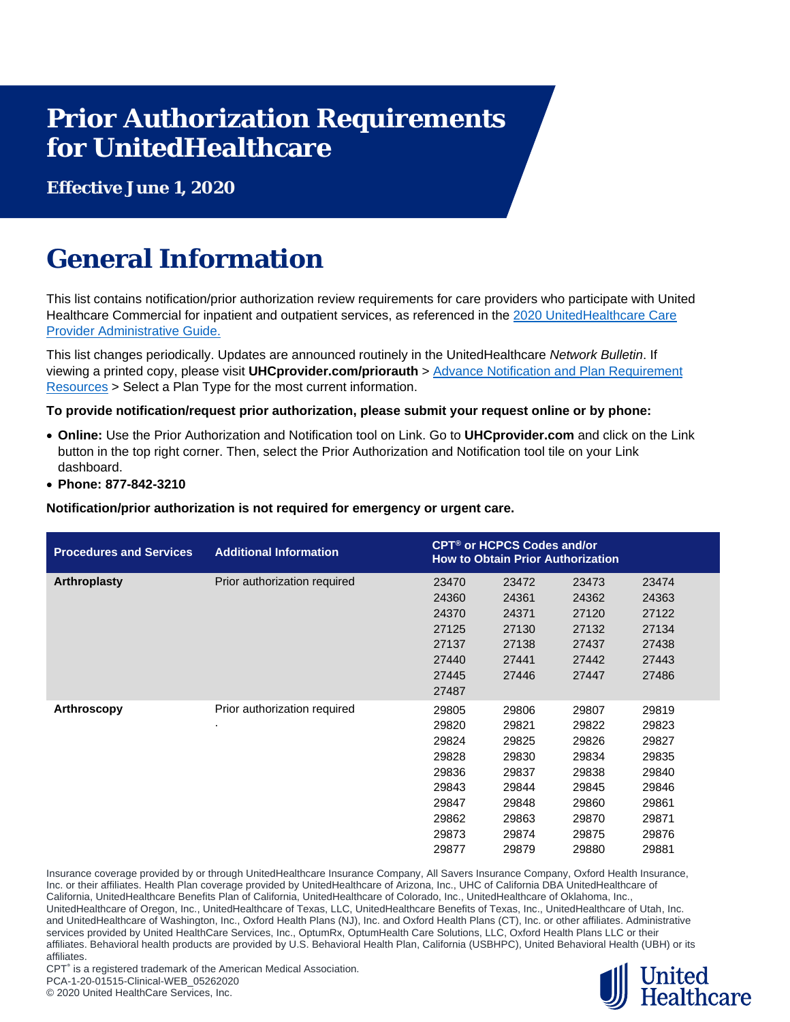## **Prior Authorization Requirements for UnitedHealthcare**

**Effective June 1, 2020**

## **General Information**

This list contains notification/prior authorization review requirements for care providers who participate with United Healthcare Commercial for inpatient and outpatient services, as referenced in the [2020 UnitedHealthcare Care](https://www.uhcprovider.com/en/admin-guides/administrative-guides-manuals-2020.html)  [Provider Administrative Guide.](https://www.uhcprovider.com/en/admin-guides/administrative-guides-manuals-2020.html)

This list changes periodically. Updates are announced routinely in the UnitedHealthcare *Network Bulletin*. If viewing a printed copy, please visit **UHCprovider.com/priorauth** > [Advance Notification and Plan Requirement](https://www.uhcprovider.com/en/prior-auth-advance-notification/adv-notification-plan-reqs.html)  [Resources](https://www.uhcprovider.com/en/prior-auth-advance-notification/adv-notification-plan-reqs.html) > Select a Plan Type for the most current information.

**To provide notification/request prior authorization, please submit your request online or by phone:**

- **Online:** Use the Prior Authorization and Notification tool on Link. Go to **UHCprovider.com** and click on the Link button in the top right corner. Then, select the Prior Authorization and Notification tool tile on your Link dashboard.
- **Phone: 877-842-3210**

**Notification/prior authorization is not required for emergency or urgent care.**

| <b>Procedures and Services</b> | <b>Additional Information</b> | <b>CPT<sup>®</sup> or HCPCS Codes and/or</b><br><b>How to Obtain Prior Authorization</b> |       |       |       |  |
|--------------------------------|-------------------------------|------------------------------------------------------------------------------------------|-------|-------|-------|--|
| <b>Arthroplasty</b>            | Prior authorization required  | 23470                                                                                    | 23472 | 23473 | 23474 |  |
|                                |                               | 24360                                                                                    | 24361 | 24362 | 24363 |  |
|                                |                               | 24370                                                                                    | 24371 | 27120 | 27122 |  |
|                                |                               | 27125                                                                                    | 27130 | 27132 | 27134 |  |
|                                |                               | 27137                                                                                    | 27138 | 27437 | 27438 |  |
|                                |                               | 27440                                                                                    | 27441 | 27442 | 27443 |  |
|                                |                               | 27445                                                                                    | 27446 | 27447 | 27486 |  |
|                                |                               | 27487                                                                                    |       |       |       |  |
| Arthroscopy                    | Prior authorization required  | 29805                                                                                    | 29806 | 29807 | 29819 |  |
|                                | ٠.                            | 29820                                                                                    | 29821 | 29822 | 29823 |  |
|                                |                               | 29824                                                                                    | 29825 | 29826 | 29827 |  |
|                                |                               | 29828                                                                                    | 29830 | 29834 | 29835 |  |
|                                |                               | 29836                                                                                    | 29837 | 29838 | 29840 |  |
|                                |                               | 29843                                                                                    | 29844 | 29845 | 29846 |  |
|                                |                               | 29847                                                                                    | 29848 | 29860 | 29861 |  |
|                                |                               | 29862                                                                                    | 29863 | 29870 | 29871 |  |
|                                |                               | 29873                                                                                    | 29874 | 29875 | 29876 |  |
|                                |                               | 29877                                                                                    | 29879 | 29880 | 29881 |  |

Insurance coverage provided by or through UnitedHealthcare Insurance Company, All Savers Insurance Company, Oxford Health Insurance, Inc. or their affiliates. Health Plan coverage provided by UnitedHealthcare of Arizona, Inc., UHC of California DBA UnitedHealthcare of California, UnitedHealthcare Benefits Plan of California, UnitedHealthcare of Colorado, Inc., UnitedHealthcare of Oklahoma, Inc., UnitedHealthcare of Oregon, Inc., UnitedHealthcare of Texas, LLC, UnitedHealthcare Benefits of Texas, Inc., UnitedHealthcare of Utah, Inc. and UnitedHealthcare of Washington, Inc., Oxford Health Plans (NJ), Inc. and Oxford Health Plans (CT), Inc. or other affiliates. Administrative services provided by United HealthCare Services, Inc., OptumRx, OptumHealth Care Solutions, LLC, Oxford Health Plans LLC or their affiliates. Behavioral health products are provided by U.S. Behavioral Health Plan, California (USBHPC), United Behavioral Health (UBH) or its affiliates.

CPT<sup>®</sup> is a registered trademark of the American Medical Association. PCA-1-20-01515-Clinical-WEB\_05262020

© 2020 United HealthCare Services, Inc.

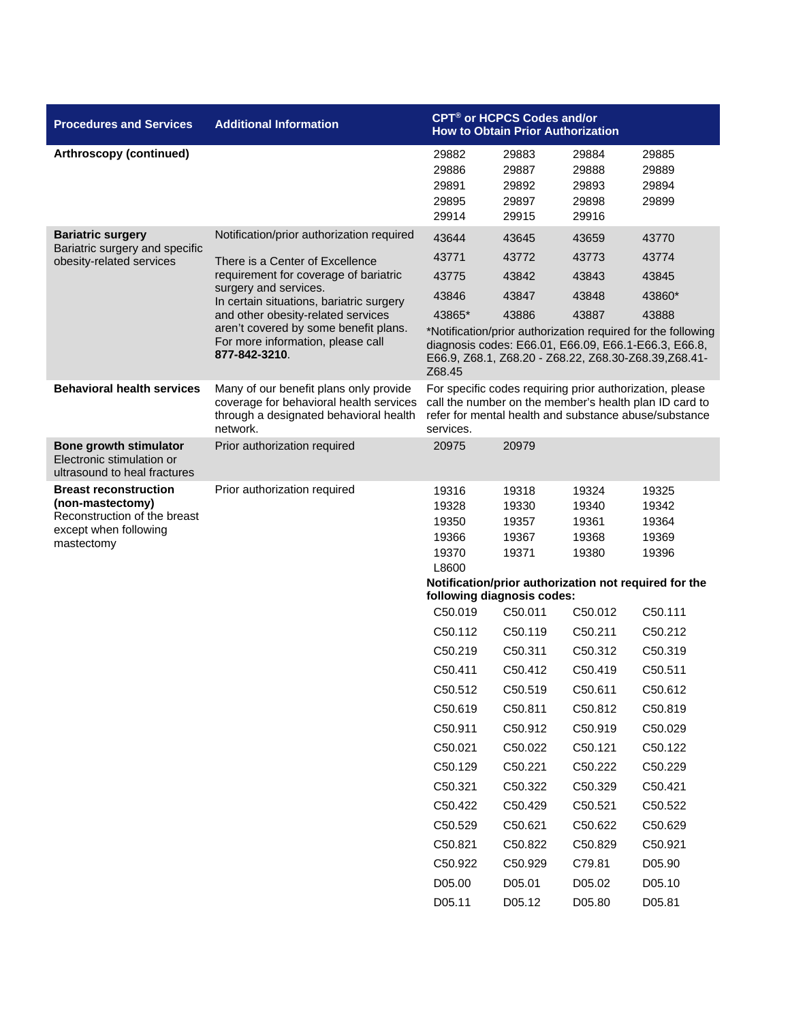| <b>Procedures and Services</b>                                                                                          | <b>Additional Information</b>                                                                                                           | CPT <sup>®</sup> or HCPCS Codes and/or<br><b>How to Obtain Prior Authorization</b>                                                                                                       |                                           |                                           |                                                                                                                                                                              |
|-------------------------------------------------------------------------------------------------------------------------|-----------------------------------------------------------------------------------------------------------------------------------------|------------------------------------------------------------------------------------------------------------------------------------------------------------------------------------------|-------------------------------------------|-------------------------------------------|------------------------------------------------------------------------------------------------------------------------------------------------------------------------------|
| <b>Arthroscopy (continued)</b>                                                                                          |                                                                                                                                         | 29882<br>29886<br>29891<br>29895<br>29914                                                                                                                                                | 29883<br>29887<br>29892<br>29897<br>29915 | 29884<br>29888<br>29893<br>29898<br>29916 | 29885<br>29889<br>29894<br>29899                                                                                                                                             |
| <b>Bariatric surgery</b>                                                                                                | Notification/prior authorization required                                                                                               | 43644                                                                                                                                                                                    | 43645                                     | 43659                                     | 43770                                                                                                                                                                        |
| Bariatric surgery and specific<br>obesity-related services                                                              | There is a Center of Excellence                                                                                                         | 43771                                                                                                                                                                                    | 43772                                     | 43773                                     | 43774                                                                                                                                                                        |
|                                                                                                                         | requirement for coverage of bariatric                                                                                                   | 43775                                                                                                                                                                                    | 43842                                     | 43843                                     | 43845                                                                                                                                                                        |
|                                                                                                                         | surgery and services.<br>In certain situations, bariatric surgery                                                                       | 43846                                                                                                                                                                                    | 43847                                     | 43848                                     | 43860*                                                                                                                                                                       |
|                                                                                                                         | and other obesity-related services                                                                                                      | 43865*                                                                                                                                                                                   | 43886                                     | 43887                                     | 43888                                                                                                                                                                        |
|                                                                                                                         | aren't covered by some benefit plans.<br>For more information, please call<br>877-842-3210.                                             | Z68.45                                                                                                                                                                                   |                                           |                                           | *Notification/prior authorization required for the following<br>diagnosis codes: E66.01, E66.09, E66.1-E66.3, E66.8,<br>E66.9, Z68.1, Z68.20 - Z68.22, Z68.30-Z68.39,Z68.41- |
| <b>Behavioral health services</b>                                                                                       | Many of our benefit plans only provide<br>coverage for behavioral health services<br>through a designated behavioral health<br>network. | For specific codes requiring prior authorization, please<br>call the number on the member's health plan ID card to<br>refer for mental health and substance abuse/substance<br>services. |                                           |                                           |                                                                                                                                                                              |
| <b>Bone growth stimulator</b><br>Electronic stimulation or<br>ultrasound to heal fractures                              | Prior authorization required                                                                                                            | 20975                                                                                                                                                                                    | 20979                                     |                                           |                                                                                                                                                                              |
| <b>Breast reconstruction</b><br>(non-mastectomy)<br>Reconstruction of the breast<br>except when following<br>mastectomy | Prior authorization required                                                                                                            | 19316<br>19328<br>19350<br>19366<br>19370<br>L8600<br>following diagnosis codes:                                                                                                         | 19318<br>19330<br>19357<br>19367<br>19371 | 19324<br>19340<br>19361<br>19368<br>19380 | 19325<br>19342<br>19364<br>19369<br>19396<br>Notification/prior authorization not required for the                                                                           |
|                                                                                                                         |                                                                                                                                         | C50.019                                                                                                                                                                                  | C50.011                                   | C50.012                                   | C50.111                                                                                                                                                                      |
|                                                                                                                         |                                                                                                                                         | C50.112                                                                                                                                                                                  | C50.119                                   | C50.211                                   | C50.212                                                                                                                                                                      |
|                                                                                                                         |                                                                                                                                         | C50.219                                                                                                                                                                                  | C50.311                                   | C50.312                                   | C50.319                                                                                                                                                                      |
|                                                                                                                         |                                                                                                                                         | C50.411                                                                                                                                                                                  | C <sub>50.412</sub>                       | C50.419                                   | C50.511                                                                                                                                                                      |
|                                                                                                                         |                                                                                                                                         | C50.512                                                                                                                                                                                  | C50.519                                   | C50.611                                   | C50.612                                                                                                                                                                      |
|                                                                                                                         |                                                                                                                                         | C50.619                                                                                                                                                                                  | C50.811                                   | C50.812                                   | C50.819                                                                                                                                                                      |
|                                                                                                                         |                                                                                                                                         | C50.911                                                                                                                                                                                  | C50.912                                   | C50.919                                   | C50.029                                                                                                                                                                      |
|                                                                                                                         |                                                                                                                                         | C50.021                                                                                                                                                                                  | C50.022                                   | C50.121                                   | C50.122                                                                                                                                                                      |
|                                                                                                                         |                                                                                                                                         | C50.129                                                                                                                                                                                  | C50.221                                   | C50.222                                   | C50.229                                                                                                                                                                      |
|                                                                                                                         |                                                                                                                                         | C50.321                                                                                                                                                                                  | C50.322                                   | C50.329                                   | C50.421                                                                                                                                                                      |
|                                                                                                                         |                                                                                                                                         | C50.422                                                                                                                                                                                  | C50.429                                   | C50.521                                   | C50.522                                                                                                                                                                      |
|                                                                                                                         |                                                                                                                                         | C50.529                                                                                                                                                                                  | C50.621                                   | C50.622                                   | C50.629                                                                                                                                                                      |
|                                                                                                                         |                                                                                                                                         | C50.821                                                                                                                                                                                  | C50.822                                   | C50.829                                   | C50.921                                                                                                                                                                      |
|                                                                                                                         |                                                                                                                                         | C50.922                                                                                                                                                                                  | C50.929                                   | C79.81                                    | D05.90                                                                                                                                                                       |
|                                                                                                                         |                                                                                                                                         | D05.00                                                                                                                                                                                   | D05.01                                    | D05.02                                    | D05.10                                                                                                                                                                       |
|                                                                                                                         |                                                                                                                                         | D05.11                                                                                                                                                                                   | D05.12                                    | D05.80                                    | D05.81                                                                                                                                                                       |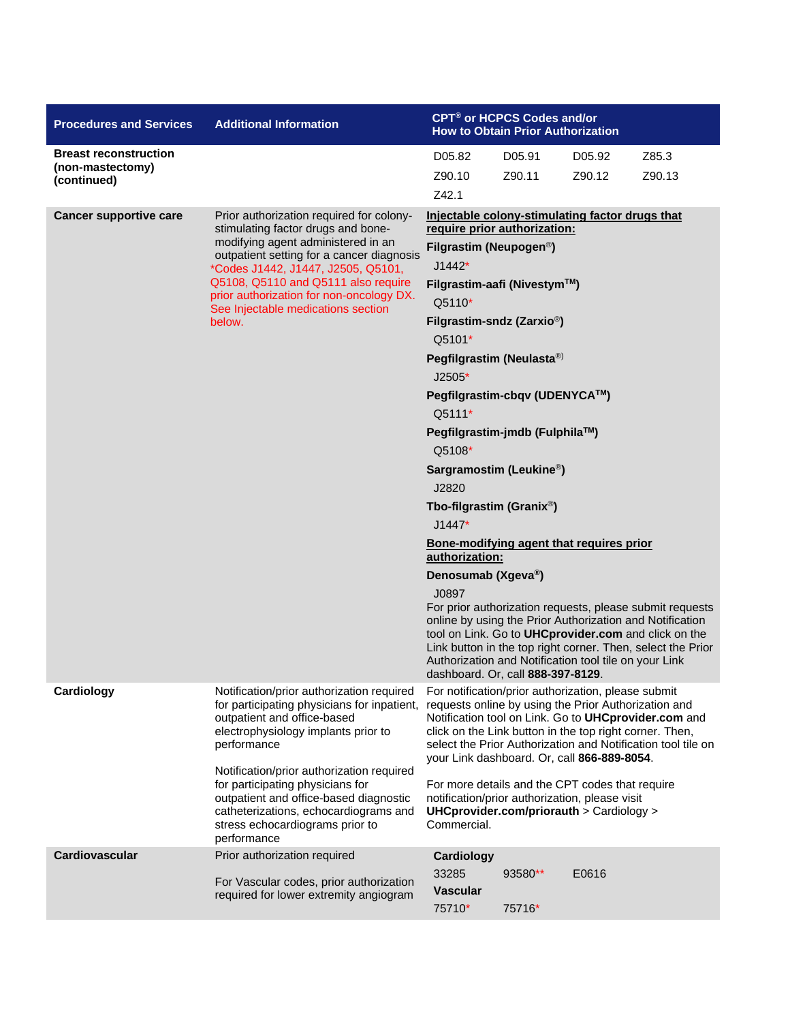| <b>Procedures and Services</b>  | <b>Additional Information</b>                                                                                                                                                                                      |                                                                                                                                                                                                                                                                                                                                                                                    | CPT <sup>®</sup> or HCPCS Codes and/or<br><b>How to Obtain Prior Authorization</b> |        |                                                                                                                                                                                                                                             |  |  |
|---------------------------------|--------------------------------------------------------------------------------------------------------------------------------------------------------------------------------------------------------------------|------------------------------------------------------------------------------------------------------------------------------------------------------------------------------------------------------------------------------------------------------------------------------------------------------------------------------------------------------------------------------------|------------------------------------------------------------------------------------|--------|---------------------------------------------------------------------------------------------------------------------------------------------------------------------------------------------------------------------------------------------|--|--|
| <b>Breast reconstruction</b>    |                                                                                                                                                                                                                    | D05.82                                                                                                                                                                                                                                                                                                                                                                             | Z85.3                                                                              |        |                                                                                                                                                                                                                                             |  |  |
| (non-mastectomy)<br>(continued) |                                                                                                                                                                                                                    | Z90.10                                                                                                                                                                                                                                                                                                                                                                             | Z90.11                                                                             | Z90.12 | Z90.13                                                                                                                                                                                                                                      |  |  |
|                                 |                                                                                                                                                                                                                    | Z42.1                                                                                                                                                                                                                                                                                                                                                                              |                                                                                    |        |                                                                                                                                                                                                                                             |  |  |
| <b>Cancer supportive care</b>   | Prior authorization required for colony-<br>stimulating factor drugs and bone-<br>modifying agent administered in an                                                                                               | Injectable colony-stimulating factor drugs that<br>require prior authorization:                                                                                                                                                                                                                                                                                                    |                                                                                    |        |                                                                                                                                                                                                                                             |  |  |
|                                 | outpatient setting for a cancer diagnosis                                                                                                                                                                          | Filgrastim (Neupogen <sup>®</sup> )                                                                                                                                                                                                                                                                                                                                                |                                                                                    |        |                                                                                                                                                                                                                                             |  |  |
|                                 | *Codes J1442, J1447, J2505, Q5101,<br>Q5108, Q5110 and Q5111 also require                                                                                                                                          | $J1442*$                                                                                                                                                                                                                                                                                                                                                                           |                                                                                    |        |                                                                                                                                                                                                                                             |  |  |
|                                 | prior authorization for non-oncology DX.<br>See Injectable medications section                                                                                                                                     | Filgrastim-aafi (Nivestym™)<br>Q5110*                                                                                                                                                                                                                                                                                                                                              |                                                                                    |        |                                                                                                                                                                                                                                             |  |  |
|                                 | below.                                                                                                                                                                                                             | Filgrastim-sndz (Zarxio <sup>®</sup> )                                                                                                                                                                                                                                                                                                                                             |                                                                                    |        |                                                                                                                                                                                                                                             |  |  |
|                                 |                                                                                                                                                                                                                    | Q5101*                                                                                                                                                                                                                                                                                                                                                                             |                                                                                    |        |                                                                                                                                                                                                                                             |  |  |
|                                 |                                                                                                                                                                                                                    | Pegfilgrastim (Neulasta®)                                                                                                                                                                                                                                                                                                                                                          |                                                                                    |        |                                                                                                                                                                                                                                             |  |  |
|                                 |                                                                                                                                                                                                                    | $J2505*$                                                                                                                                                                                                                                                                                                                                                                           |                                                                                    |        |                                                                                                                                                                                                                                             |  |  |
|                                 |                                                                                                                                                                                                                    | Pegfilgrastim-cbqv (UDENYCA™)                                                                                                                                                                                                                                                                                                                                                      |                                                                                    |        |                                                                                                                                                                                                                                             |  |  |
|                                 |                                                                                                                                                                                                                    | Q5111*                                                                                                                                                                                                                                                                                                                                                                             |                                                                                    |        |                                                                                                                                                                                                                                             |  |  |
|                                 |                                                                                                                                                                                                                    | Pegfilgrastim-jmdb (Fulphila™)<br>Q5108*                                                                                                                                                                                                                                                                                                                                           |                                                                                    |        |                                                                                                                                                                                                                                             |  |  |
|                                 |                                                                                                                                                                                                                    |                                                                                                                                                                                                                                                                                                                                                                                    |                                                                                    |        |                                                                                                                                                                                                                                             |  |  |
|                                 |                                                                                                                                                                                                                    | Sargramostim (Leukine <sup>®</sup> )<br>J2820                                                                                                                                                                                                                                                                                                                                      |                                                                                    |        |                                                                                                                                                                                                                                             |  |  |
|                                 |                                                                                                                                                                                                                    | Tbo-filgrastim (Granix <sup>®</sup> )                                                                                                                                                                                                                                                                                                                                              |                                                                                    |        |                                                                                                                                                                                                                                             |  |  |
|                                 |                                                                                                                                                                                                                    | $J1447*$                                                                                                                                                                                                                                                                                                                                                                           |                                                                                    |        |                                                                                                                                                                                                                                             |  |  |
|                                 |                                                                                                                                                                                                                    | Bone-modifying agent that requires prior<br>authorization:                                                                                                                                                                                                                                                                                                                         |                                                                                    |        |                                                                                                                                                                                                                                             |  |  |
|                                 |                                                                                                                                                                                                                    | Denosumab (Xgeva®)                                                                                                                                                                                                                                                                                                                                                                 |                                                                                    |        |                                                                                                                                                                                                                                             |  |  |
|                                 |                                                                                                                                                                                                                    | J0897<br>Authorization and Notification tool tile on your Link                                                                                                                                                                                                                                                                                                                     |                                                                                    |        | For prior authorization requests, please submit requests<br>online by using the Prior Authorization and Notification<br>tool on Link. Go to UHCprovider.com and click on the<br>Link button in the top right corner. Then, select the Prior |  |  |
| Cardiology                      | Notification/prior authorization required<br>for participating physicians for inpatient,<br>outpatient and office-based<br>electrophysiology implants prior to<br>performance                                      | dashboard. Or, call 888-397-8129.<br>For notification/prior authorization, please submit<br>requests online by using the Prior Authorization and<br>Notification tool on Link. Go to UHCprovider.com and<br>click on the Link button in the top right corner. Then,<br>select the Prior Authorization and Notification tool tile on<br>your Link dashboard. Or, call 866-889-8054. |                                                                                    |        |                                                                                                                                                                                                                                             |  |  |
|                                 | Notification/prior authorization required<br>for participating physicians for<br>outpatient and office-based diagnostic<br>catheterizations, echocardiograms and<br>stress echocardiograms prior to<br>performance | For more details and the CPT codes that require<br>notification/prior authorization, please visit<br>UHCprovider.com/priorauth $>$ Cardiology $>$<br>Commercial.                                                                                                                                                                                                                   |                                                                                    |        |                                                                                                                                                                                                                                             |  |  |
| <b>Cardiovascular</b>           | Prior authorization required                                                                                                                                                                                       | Cardiology                                                                                                                                                                                                                                                                                                                                                                         |                                                                                    |        |                                                                                                                                                                                                                                             |  |  |
|                                 | For Vascular codes, prior authorization                                                                                                                                                                            | 33285                                                                                                                                                                                                                                                                                                                                                                              | 93580**                                                                            | E0616  |                                                                                                                                                                                                                                             |  |  |
|                                 | required for lower extremity angiogram                                                                                                                                                                             | <b>Vascular</b><br>75710*                                                                                                                                                                                                                                                                                                                                                          | 75716*                                                                             |        |                                                                                                                                                                                                                                             |  |  |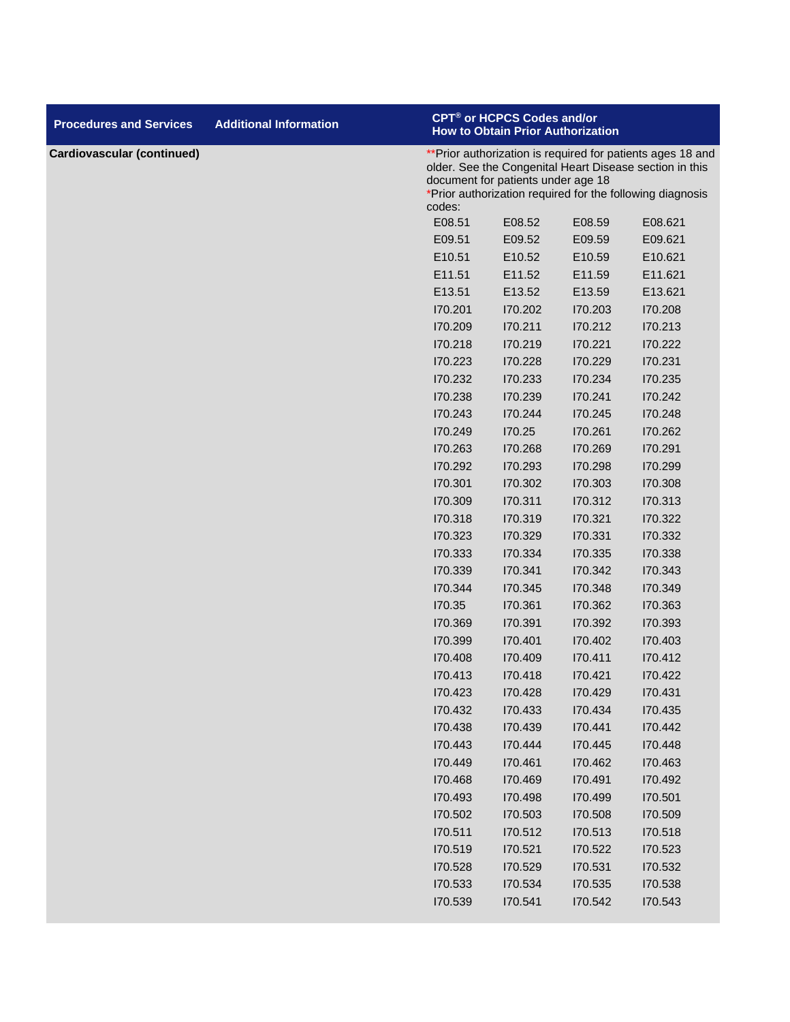| <b>Procedures and Services</b>    | <b>Additional Information</b> |         | <b>CPT<sup>®</sup> or HCPCS Codes and/or</b><br><b>How to Obtain Prior Authorization</b>                                                                                                                                 |         |         |  |  |
|-----------------------------------|-------------------------------|---------|--------------------------------------------------------------------------------------------------------------------------------------------------------------------------------------------------------------------------|---------|---------|--|--|
| <b>Cardiovascular (continued)</b> |                               | codes:  | **Prior authorization is required for patients ages 18 and<br>older. See the Congenital Heart Disease section in this<br>document for patients under age 18<br>*Prior authorization required for the following diagnosis |         |         |  |  |
|                                   |                               | E08.51  | E08.52                                                                                                                                                                                                                   | E08.59  | E08.621 |  |  |
|                                   |                               | E09.51  | E09.52                                                                                                                                                                                                                   | E09.59  | E09.621 |  |  |
|                                   |                               | E10.51  | E10.52                                                                                                                                                                                                                   | E10.59  | E10.621 |  |  |
|                                   |                               | E11.51  | E11.52                                                                                                                                                                                                                   | E11.59  | E11.621 |  |  |
|                                   |                               | E13.51  | E13.52                                                                                                                                                                                                                   | E13.59  | E13.621 |  |  |
|                                   |                               | 170.201 | 170.202                                                                                                                                                                                                                  | 170.203 | 170.208 |  |  |
|                                   |                               | 170.209 | 170.211                                                                                                                                                                                                                  | 170.212 | 170.213 |  |  |
|                                   |                               | 170.218 | 170.219                                                                                                                                                                                                                  | 170.221 | 170.222 |  |  |
|                                   |                               | 170.223 | 170.228                                                                                                                                                                                                                  | 170.229 | 170.231 |  |  |
|                                   |                               | 170.232 | 170.233                                                                                                                                                                                                                  | 170.234 | 170.235 |  |  |
|                                   |                               | 170.238 | 170.239                                                                                                                                                                                                                  | 170.241 | 170.242 |  |  |
|                                   |                               | 170.243 | 170.244                                                                                                                                                                                                                  | 170.245 | 170.248 |  |  |
|                                   |                               | 170.249 | 170.25                                                                                                                                                                                                                   | 170.261 | 170.262 |  |  |
|                                   |                               | 170.263 | 170.268                                                                                                                                                                                                                  | 170.269 | 170.291 |  |  |
|                                   |                               | 170.292 | 170.293                                                                                                                                                                                                                  | 170.298 | 170.299 |  |  |
|                                   |                               | 170.301 | 170.302                                                                                                                                                                                                                  | 170.303 | 170.308 |  |  |
|                                   |                               | 170.309 | 170.311                                                                                                                                                                                                                  | 170.312 | 170.313 |  |  |
|                                   |                               | 170.318 | 170.319                                                                                                                                                                                                                  | 170.321 | 170.322 |  |  |
|                                   |                               | 170.323 | 170.329                                                                                                                                                                                                                  | 170.331 | 170.332 |  |  |
|                                   |                               | 170.333 | 170.334                                                                                                                                                                                                                  | 170.335 | 170.338 |  |  |
|                                   |                               | 170.339 | 170.341                                                                                                                                                                                                                  | 170.342 | 170.343 |  |  |
|                                   |                               | 170.344 | 170.345                                                                                                                                                                                                                  | 170.348 | 170.349 |  |  |
|                                   |                               | 170.35  | 170.361                                                                                                                                                                                                                  | 170.362 | 170.363 |  |  |
|                                   |                               | 170.369 | 170.391                                                                                                                                                                                                                  | 170.392 | 170.393 |  |  |
|                                   |                               | 170.399 | 170.401                                                                                                                                                                                                                  | 170.402 | 170.403 |  |  |
|                                   |                               | 170.408 | 170.409                                                                                                                                                                                                                  | 170.411 | 170.412 |  |  |
|                                   |                               | 170.413 | 170.418                                                                                                                                                                                                                  | 170.421 | 170.422 |  |  |
|                                   |                               | 170.423 | 170.428                                                                                                                                                                                                                  | 170.429 | 170.431 |  |  |
|                                   |                               | 170.432 | 170.433                                                                                                                                                                                                                  | 170.434 | 170.435 |  |  |
|                                   |                               | 170.438 | 170.439                                                                                                                                                                                                                  | 170.441 | 170.442 |  |  |
|                                   |                               | 170.443 | 170.444                                                                                                                                                                                                                  | 170.445 | 170.448 |  |  |
|                                   |                               | 170.449 | 170.461                                                                                                                                                                                                                  | 170.462 | 170.463 |  |  |
|                                   |                               | 170.468 | 170.469                                                                                                                                                                                                                  | 170.491 | 170.492 |  |  |
|                                   |                               | 170.493 | 170.498                                                                                                                                                                                                                  | 170.499 | 170.501 |  |  |
|                                   |                               | 170.502 | 170.503                                                                                                                                                                                                                  | 170.508 | 170.509 |  |  |
|                                   |                               | 170.511 | 170.512                                                                                                                                                                                                                  | 170.513 | 170.518 |  |  |
|                                   |                               | 170.519 | 170.521                                                                                                                                                                                                                  | 170.522 | 170.523 |  |  |
|                                   |                               | 170.528 | 170.529                                                                                                                                                                                                                  | 170.531 | 170.532 |  |  |
|                                   |                               | 170.533 | 170.534                                                                                                                                                                                                                  | 170.535 | 170.538 |  |  |
|                                   |                               | 170.539 | 170.541                                                                                                                                                                                                                  | 170.542 | 170.543 |  |  |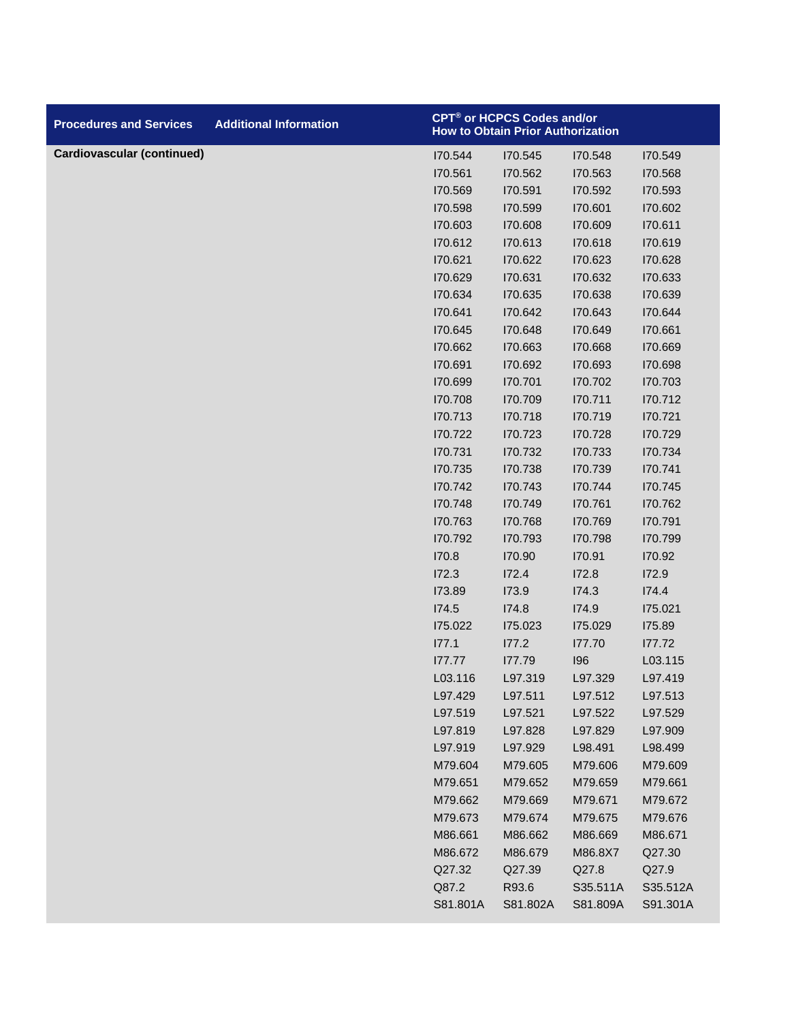| <b>Procedures and Services</b>    | <b>Additional Information</b> |          | CPT® or HCPCS Codes and/or<br><b>How to Obtain Prior Authorization</b> |          |          |
|-----------------------------------|-------------------------------|----------|------------------------------------------------------------------------|----------|----------|
| <b>Cardiovascular (continued)</b> |                               | 170.544  | 170.545                                                                | 170.548  | 170.549  |
|                                   |                               | 170.561  | 170.562                                                                | 170.563  | 170.568  |
|                                   |                               | 170.569  | 170.591                                                                | 170.592  | 170.593  |
|                                   |                               | 170.598  | 170.599                                                                | 170.601  | 170.602  |
|                                   |                               | 170.603  | 170.608                                                                | 170.609  | 170.611  |
|                                   |                               | 170.612  | 170.613                                                                | 170.618  | 170.619  |
|                                   |                               | 170.621  | 170.622                                                                | 170.623  | 170.628  |
|                                   |                               | 170.629  | 170.631                                                                | 170.632  | 170.633  |
|                                   |                               | 170.634  | 170.635                                                                | 170.638  | 170.639  |
|                                   |                               | 170.641  | 170.642                                                                | 170.643  | 170.644  |
|                                   |                               | 170.645  | 170.648                                                                | 170.649  | 170.661  |
|                                   |                               | 170.662  | 170.663                                                                | 170.668  | 170.669  |
|                                   |                               | 170.691  | 170.692                                                                | 170.693  | 170.698  |
|                                   |                               | 170.699  | 170.701                                                                | 170.702  | 170.703  |
|                                   |                               | 170.708  | 170.709                                                                | 170.711  | 170.712  |
|                                   |                               | 170.713  | 170.718                                                                | 170.719  | 170.721  |
|                                   |                               | 170.722  | 170.723                                                                | 170.728  | 170.729  |
|                                   |                               | 170.731  | 170.732                                                                | 170.733  | 170.734  |
|                                   |                               | 170.735  | 170.738                                                                | 170.739  | 170.741  |
|                                   |                               | 170.742  | 170.743                                                                | 170.744  | 170.745  |
|                                   |                               | 170.748  | 170.749                                                                | 170.761  | 170.762  |
|                                   |                               | 170.763  | 170.768                                                                | 170.769  | 170.791  |
|                                   |                               | 170.792  | 170.793                                                                | 170.798  | 170.799  |
|                                   |                               | 170.8    | 170.90                                                                 | 170.91   | 170.92   |
|                                   |                               | 172.3    | 172.4                                                                  | 172.8    | 172.9    |
|                                   |                               | 173.89   | 173.9                                                                  | I74.3    | 174.4    |
|                                   |                               | 174.5    | 174.8                                                                  | 174.9    | 175.021  |
|                                   |                               | 175.022  | 175.023                                                                | 175.029  | 175.89   |
|                                   |                               | 177.1    | 177.2                                                                  | 177.70   | 177.72   |
|                                   |                               | 177.77   | 177.79                                                                 | 196      | L03.115  |
|                                   |                               | L03.116  | L97.319                                                                | L97.329  | L97.419  |
|                                   |                               | L97.429  | L97.511                                                                | L97.512  | L97.513  |
|                                   |                               | L97.519  | L97.521                                                                | L97.522  | L97.529  |
|                                   |                               | L97.819  | L97.828                                                                | L97.829  | L97.909  |
|                                   |                               | L97.919  | L97.929                                                                | L98.491  | L98.499  |
|                                   |                               | M79.604  | M79.605                                                                | M79.606  | M79.609  |
|                                   |                               | M79.651  | M79.652                                                                | M79.659  | M79.661  |
|                                   |                               | M79.662  | M79.669                                                                | M79.671  | M79.672  |
|                                   |                               | M79.673  | M79.674                                                                | M79.675  | M79.676  |
|                                   |                               | M86.661  | M86.662                                                                | M86.669  | M86.671  |
|                                   |                               | M86.672  | M86.679                                                                | M86.8X7  | Q27.30   |
|                                   |                               | Q27.32   | Q27.39                                                                 | Q27.8    | Q27.9    |
|                                   |                               | Q87.2    | R93.6                                                                  | S35.511A | S35.512A |
|                                   |                               | S81.801A | S81.802A                                                               | S81.809A | S91.301A |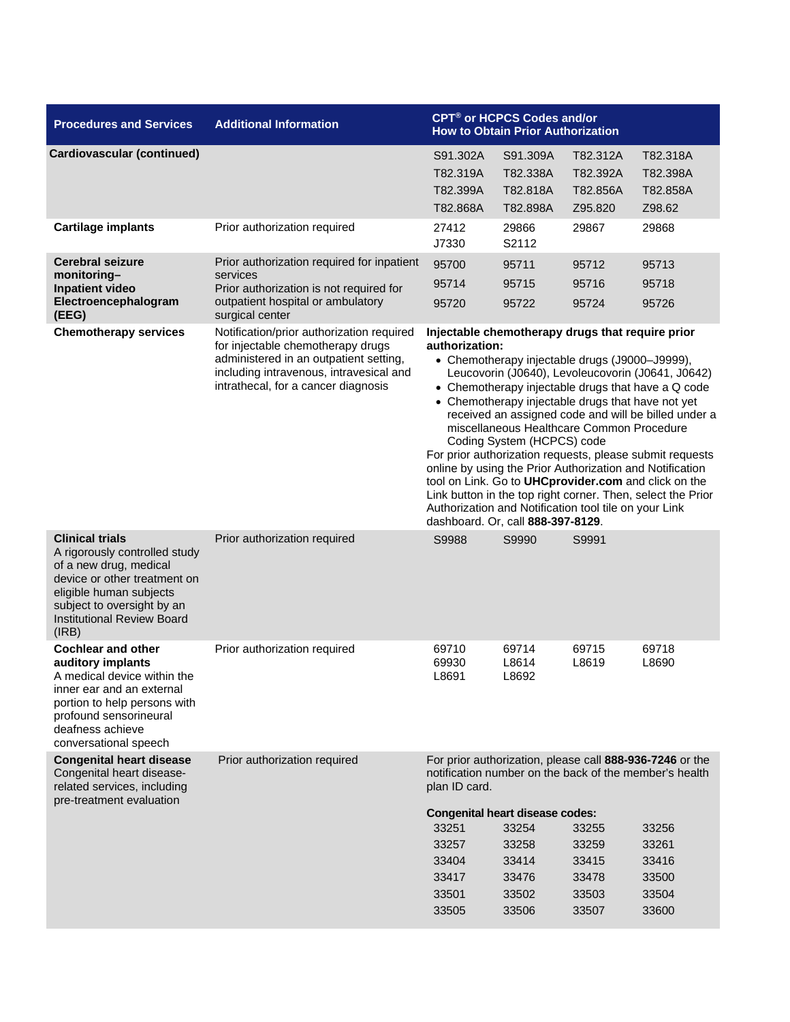| <b>Procedures and Services</b>                                                                                                                                                                                           | <b>Additional Information</b>                                                                                                                                                                                                            | CPT <sup>®</sup> or HCPCS Codes and/or<br><b>How to Obtain Prior Authorization</b>                                                                                                                                                                                                                                                                                                                                                                                                                                                                                                                                                                                                                                                                                   |                                                       |                                                      |                                                     |
|--------------------------------------------------------------------------------------------------------------------------------------------------------------------------------------------------------------------------|------------------------------------------------------------------------------------------------------------------------------------------------------------------------------------------------------------------------------------------|----------------------------------------------------------------------------------------------------------------------------------------------------------------------------------------------------------------------------------------------------------------------------------------------------------------------------------------------------------------------------------------------------------------------------------------------------------------------------------------------------------------------------------------------------------------------------------------------------------------------------------------------------------------------------------------------------------------------------------------------------------------------|-------------------------------------------------------|------------------------------------------------------|-----------------------------------------------------|
| <b>Cardiovascular (continued)</b><br><b>Cartilage implants</b>                                                                                                                                                           | Prior authorization required                                                                                                                                                                                                             | S91.302A<br>T82.319A<br>T82.399A<br>T82.868A<br>27412                                                                                                                                                                                                                                                                                                                                                                                                                                                                                                                                                                                                                                                                                                                | S91.309A<br>T82.338A<br>T82.818A<br>T82.898A<br>29866 | T82.312A<br>T82.392A<br>T82.856A<br>Z95.820<br>29867 | T82.318A<br>T82.398A<br>T82.858A<br>Z98.62<br>29868 |
|                                                                                                                                                                                                                          |                                                                                                                                                                                                                                          | J7330                                                                                                                                                                                                                                                                                                                                                                                                                                                                                                                                                                                                                                                                                                                                                                | S2112                                                 |                                                      |                                                     |
| <b>Cerebral seizure</b><br>monitoring-<br><b>Inpatient video</b><br>Electroencephalogram<br>(EEG)                                                                                                                        | Prior authorization required for inpatient<br>services<br>Prior authorization is not required for<br>outpatient hospital or ambulatory<br>surgical center                                                                                | 95700<br>95714<br>95720                                                                                                                                                                                                                                                                                                                                                                                                                                                                                                                                                                                                                                                                                                                                              | 95711<br>95715<br>95722                               | 95712<br>95716<br>95724                              | 95713<br>95718<br>95726                             |
| <b>Chemotherapy services</b>                                                                                                                                                                                             | Notification/prior authorization required<br>for injectable chemotherapy drugs<br>administered in an outpatient setting,<br>including intravenous, intravesical and<br>intrathecal, for a cancer diagnosis                               | Injectable chemotherapy drugs that require prior<br>authorization:<br>• Chemotherapy injectable drugs (J9000-J9999),<br>Leucovorin (J0640), Levoleucovorin (J0641, J0642)<br>• Chemotherapy injectable drugs that have a Q code<br>• Chemotherapy injectable drugs that have not yet<br>received an assigned code and will be billed under a<br>miscellaneous Healthcare Common Procedure<br>Coding System (HCPCS) code<br>For prior authorization requests, please submit requests<br>online by using the Prior Authorization and Notification<br>tool on Link. Go to UHCprovider.com and click on the<br>Link button in the top right corner. Then, select the Prior<br>Authorization and Notification tool tile on your Link<br>dashboard. Or, call 888-397-8129. |                                                       |                                                      |                                                     |
| <b>Clinical trials</b><br>A rigorously controlled study<br>of a new drug, medical<br>device or other treatment on<br>eligible human subjects<br>subject to oversight by an<br><b>Institutional Review Board</b><br>(IRB) | Prior authorization required                                                                                                                                                                                                             | S9988                                                                                                                                                                                                                                                                                                                                                                                                                                                                                                                                                                                                                                                                                                                                                                | S9990                                                 | S9991                                                |                                                     |
| <b>Cochlear and other</b><br>auditory implants<br>A medical device within the<br>inner ear and an external<br>portion to help persons with<br>profound sensorineural<br>deafness achieve<br>conversational speech        | Prior authorization required                                                                                                                                                                                                             | 69710<br>69930<br>L8691                                                                                                                                                                                                                                                                                                                                                                                                                                                                                                                                                                                                                                                                                                                                              | 69714<br>L8614<br>L8692                               | 69715<br>L8619                                       | 69718<br>L8690                                      |
| <b>Congenital heart disease</b><br>Congenital heart disease-<br>related services, including<br>pre-treatment evaluation                                                                                                  | Prior authorization required<br>For prior authorization, please call 888-936-7246 or the<br>notification number on the back of the member's health<br>plan ID card.<br><b>Congenital heart disease codes:</b><br>33251<br>33254<br>33255 |                                                                                                                                                                                                                                                                                                                                                                                                                                                                                                                                                                                                                                                                                                                                                                      |                                                       |                                                      | 33256<br>33261                                      |
|                                                                                                                                                                                                                          |                                                                                                                                                                                                                                          | 33257<br>33404<br>33417<br>33501<br>33505                                                                                                                                                                                                                                                                                                                                                                                                                                                                                                                                                                                                                                                                                                                            | 33258<br>33414<br>33476<br>33502<br>33506             | 33259<br>33415<br>33478<br>33503<br>33507            | 33416<br>33500<br>33504<br>33600                    |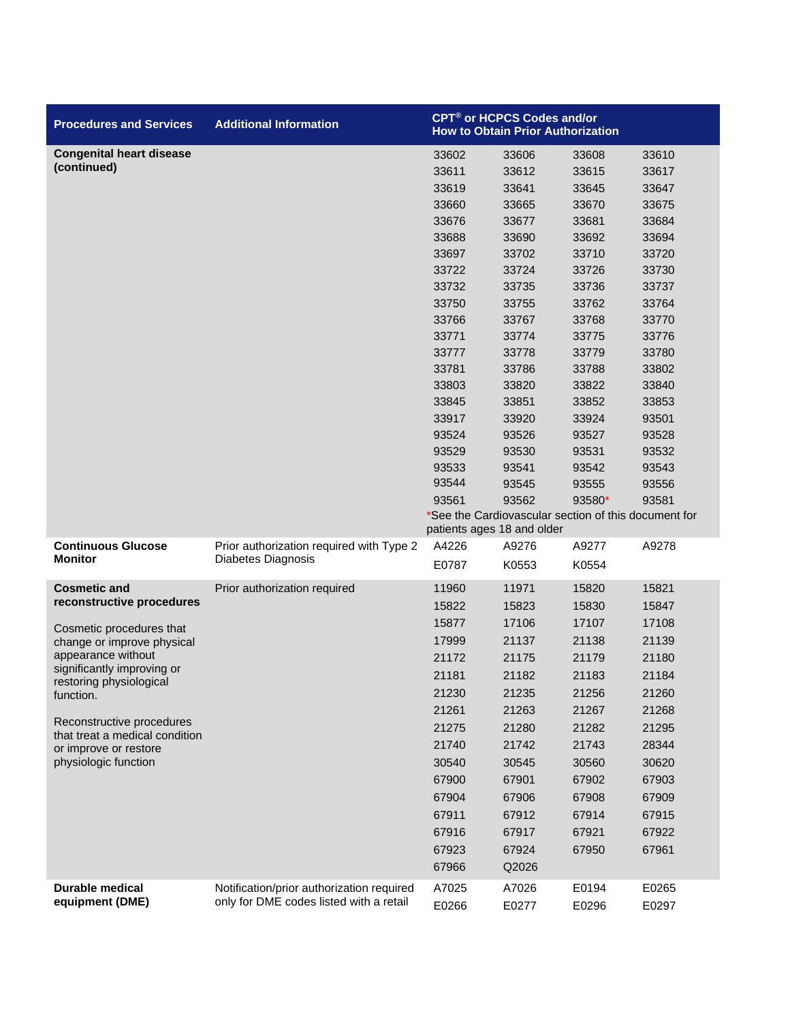| <b>Procedures and Services</b>                          | <b>Additional Information</b>             | <b>CPT<sup>®</sup> or HCPCS Codes and/or</b><br><b>How to Obtain Prior Authorization</b> |                                                      |        |       |
|---------------------------------------------------------|-------------------------------------------|------------------------------------------------------------------------------------------|------------------------------------------------------|--------|-------|
| <b>Congenital heart disease</b>                         |                                           | 33602                                                                                    | 33606                                                | 33608  | 33610 |
| (continued)                                             |                                           | 33611                                                                                    | 33612                                                | 33615  | 33617 |
|                                                         |                                           | 33619                                                                                    | 33641                                                | 33645  | 33647 |
|                                                         |                                           | 33660                                                                                    | 33665                                                | 33670  | 33675 |
|                                                         |                                           | 33676                                                                                    | 33677                                                | 33681  | 33684 |
|                                                         |                                           | 33688                                                                                    | 33690                                                | 33692  | 33694 |
|                                                         |                                           | 33697                                                                                    | 33702                                                | 33710  | 33720 |
|                                                         |                                           | 33722                                                                                    | 33724                                                | 33726  | 33730 |
|                                                         |                                           | 33732                                                                                    | 33735                                                | 33736  | 33737 |
|                                                         |                                           | 33750                                                                                    | 33755                                                | 33762  | 33764 |
|                                                         |                                           | 33766                                                                                    | 33767                                                | 33768  | 33770 |
|                                                         |                                           | 33771                                                                                    | 33774                                                | 33775  | 33776 |
|                                                         |                                           | 33777                                                                                    | 33778                                                | 33779  | 33780 |
|                                                         |                                           | 33781                                                                                    | 33786                                                | 33788  | 33802 |
|                                                         |                                           | 33803                                                                                    | 33820                                                | 33822  | 33840 |
|                                                         |                                           | 33845                                                                                    | 33851                                                | 33852  | 33853 |
|                                                         |                                           | 33917                                                                                    | 33920                                                | 33924  | 93501 |
|                                                         |                                           | 93524                                                                                    | 93526                                                | 93527  | 93528 |
|                                                         |                                           | 93529                                                                                    | 93530                                                | 93531  | 93532 |
|                                                         |                                           | 93533                                                                                    | 93541                                                | 93542  | 93543 |
|                                                         |                                           | 93544                                                                                    | 93545                                                | 93555  | 93556 |
|                                                         |                                           | 93561                                                                                    | 93562                                                | 93580* | 93581 |
|                                                         |                                           | patients ages 18 and older                                                               | *See the Cardiovascular section of this document for |        |       |
| <b>Continuous Glucose</b>                               | Prior authorization required with Type 2  | A4226                                                                                    | A9276                                                | A9277  | A9278 |
| <b>Monitor</b>                                          | Diabetes Diagnosis                        | E0787                                                                                    | K0553                                                | K0554  |       |
| <b>Cosmetic and</b>                                     | Prior authorization required              | 11960                                                                                    | 11971                                                | 15820  | 15821 |
| reconstructive procedures                               |                                           | 15822                                                                                    | 15823                                                | 15830  | 15847 |
| Cosmetic procedures that                                |                                           | 15877                                                                                    | 17106                                                | 17107  | 17108 |
| change or improve physical                              |                                           | 17999                                                                                    | 21137                                                | 21138  | 21139 |
| appearance without                                      |                                           | 21172                                                                                    | 21175                                                | 21179  | 21180 |
| significantly improving or<br>restoring physiological   |                                           | 21181                                                                                    | 21182                                                | 21183  | 21184 |
| function.                                               |                                           | 21230                                                                                    | 21235                                                | 21256  | 21260 |
|                                                         |                                           | 21261                                                                                    | 21263                                                | 21267  | 21268 |
| Reconstructive procedures                               |                                           | 21275                                                                                    | 21280                                                | 21282  | 21295 |
| that treat a medical condition<br>or improve or restore |                                           | 21740                                                                                    | 21742                                                | 21743  | 28344 |
| physiologic function                                    |                                           | 30540                                                                                    | 30545                                                | 30560  | 30620 |
|                                                         |                                           | 67900                                                                                    | 67901                                                | 67902  | 67903 |
|                                                         |                                           | 67904                                                                                    | 67906                                                | 67908  | 67909 |
|                                                         |                                           | 67911                                                                                    | 67912                                                | 67914  | 67915 |
|                                                         |                                           | 67916                                                                                    | 67917                                                | 67921  | 67922 |
|                                                         |                                           | 67923                                                                                    | 67924                                                | 67950  | 67961 |
|                                                         |                                           | 67966                                                                                    | Q2026                                                |        |       |
| Durable medical                                         | Notification/prior authorization required | A7025                                                                                    | A7026                                                | E0194  | E0265 |
| equipment (DME)                                         | only for DME codes listed with a retail   | E0266                                                                                    | E0277                                                | E0296  | E0297 |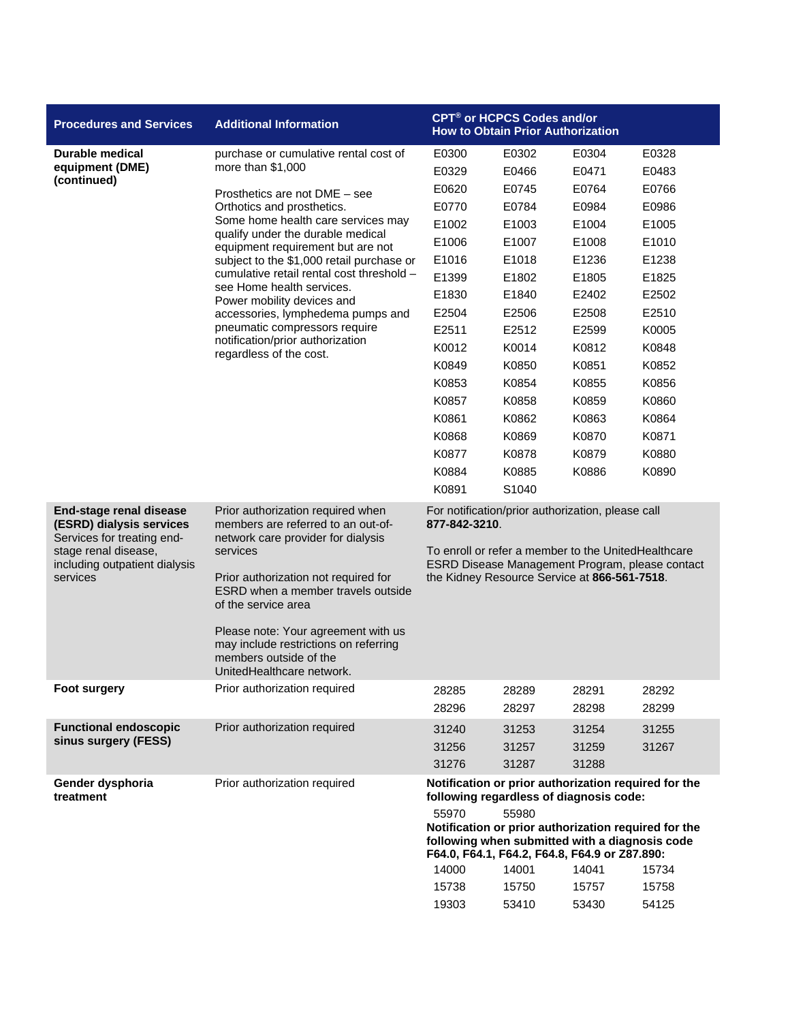| <b>Procedures and Services</b>                                                                                                                         | <b>Additional Information</b>                                                                                                                                                                                                                                                                                                                                         | <b>CPT<sup>®</sup> or HCPCS Codes and/or</b>                                                                                                                                                                                 |                                          |                |                |  |
|--------------------------------------------------------------------------------------------------------------------------------------------------------|-----------------------------------------------------------------------------------------------------------------------------------------------------------------------------------------------------------------------------------------------------------------------------------------------------------------------------------------------------------------------|------------------------------------------------------------------------------------------------------------------------------------------------------------------------------------------------------------------------------|------------------------------------------|----------------|----------------|--|
|                                                                                                                                                        |                                                                                                                                                                                                                                                                                                                                                                       |                                                                                                                                                                                                                              | <b>How to Obtain Prior Authorization</b> |                |                |  |
| Durable medical                                                                                                                                        | purchase or cumulative rental cost of                                                                                                                                                                                                                                                                                                                                 | E0300                                                                                                                                                                                                                        | E0302                                    | E0304          | E0328          |  |
| equipment (DME)                                                                                                                                        | more than $$1,000$                                                                                                                                                                                                                                                                                                                                                    | E0329                                                                                                                                                                                                                        | E0466                                    | E0471          | E0483          |  |
| (continued)                                                                                                                                            | Prosthetics are not DME - see                                                                                                                                                                                                                                                                                                                                         | E0620                                                                                                                                                                                                                        | E0745                                    | E0764          | E0766          |  |
|                                                                                                                                                        | Orthotics and prosthetics.                                                                                                                                                                                                                                                                                                                                            | E0770                                                                                                                                                                                                                        | E0784                                    | E0984          | E0986          |  |
|                                                                                                                                                        | Some home health care services may                                                                                                                                                                                                                                                                                                                                    | E1002                                                                                                                                                                                                                        | E1003                                    | E1004          | E1005          |  |
|                                                                                                                                                        | qualify under the durable medical<br>equipment requirement but are not                                                                                                                                                                                                                                                                                                | E1006                                                                                                                                                                                                                        | E1007                                    | E1008          | E1010          |  |
|                                                                                                                                                        | subject to the \$1,000 retail purchase or                                                                                                                                                                                                                                                                                                                             | E1016                                                                                                                                                                                                                        | E1018                                    | E1236          | E1238          |  |
|                                                                                                                                                        | cumulative retail rental cost threshold -                                                                                                                                                                                                                                                                                                                             | E1399                                                                                                                                                                                                                        | E1802                                    | E1805          | E1825          |  |
|                                                                                                                                                        | see Home health services.<br>Power mobility devices and                                                                                                                                                                                                                                                                                                               | E1830                                                                                                                                                                                                                        | E1840                                    | E2402          | E2502          |  |
|                                                                                                                                                        | accessories, lymphedema pumps and                                                                                                                                                                                                                                                                                                                                     | E2504                                                                                                                                                                                                                        | E2506                                    | E2508          | E2510          |  |
|                                                                                                                                                        | pneumatic compressors require                                                                                                                                                                                                                                                                                                                                         | E2511                                                                                                                                                                                                                        | E2512                                    | E2599          | K0005          |  |
|                                                                                                                                                        | notification/prior authorization<br>regardless of the cost.                                                                                                                                                                                                                                                                                                           | K0012                                                                                                                                                                                                                        | K0014                                    | K0812          | K0848          |  |
|                                                                                                                                                        |                                                                                                                                                                                                                                                                                                                                                                       | K0849                                                                                                                                                                                                                        | K0850                                    | K0851          | K0852          |  |
|                                                                                                                                                        |                                                                                                                                                                                                                                                                                                                                                                       | K0853                                                                                                                                                                                                                        | K0854                                    | K0855          | K0856          |  |
|                                                                                                                                                        |                                                                                                                                                                                                                                                                                                                                                                       | K0857                                                                                                                                                                                                                        | K0858                                    | K0859          | K0860          |  |
|                                                                                                                                                        |                                                                                                                                                                                                                                                                                                                                                                       | K0861                                                                                                                                                                                                                        | K0862                                    | K0863          | K0864          |  |
|                                                                                                                                                        |                                                                                                                                                                                                                                                                                                                                                                       | K0868                                                                                                                                                                                                                        | K0869                                    | K0870          | K0871          |  |
|                                                                                                                                                        |                                                                                                                                                                                                                                                                                                                                                                       | K0877                                                                                                                                                                                                                        | K0878                                    | K0879          | K0880          |  |
|                                                                                                                                                        |                                                                                                                                                                                                                                                                                                                                                                       | K0884                                                                                                                                                                                                                        | K0885                                    | K0886          | K0890          |  |
|                                                                                                                                                        |                                                                                                                                                                                                                                                                                                                                                                       | K0891                                                                                                                                                                                                                        | S1040                                    |                |                |  |
| End-stage renal disease<br>(ESRD) dialysis services<br>Services for treating end-<br>stage renal disease,<br>including outpatient dialysis<br>services | Prior authorization required when<br>members are referred to an out-of-<br>network care provider for dialysis<br>services<br>Prior authorization not required for<br>ESRD when a member travels outside<br>of the service area<br>Please note: Your agreement with us<br>may include restrictions on referring<br>members outside of the<br>UnitedHealthcare network. | For notification/prior authorization, please call<br>877-842-3210.<br>To enroll or refer a member to the UnitedHealthcare<br>ESRD Disease Management Program, please contact<br>the Kidney Resource Service at 866-561-7518. |                                          |                |                |  |
| Foot surgery                                                                                                                                           | Prior authorization required                                                                                                                                                                                                                                                                                                                                          | 28285<br>28296                                                                                                                                                                                                               | 28289<br>28297                           | 28291<br>28298 | 28292<br>28299 |  |
| <b>Functional endoscopic</b>                                                                                                                           | Prior authorization required                                                                                                                                                                                                                                                                                                                                          | 31240                                                                                                                                                                                                                        | 31253                                    | 31254          | 31255          |  |
| sinus surgery (FESS)                                                                                                                                   |                                                                                                                                                                                                                                                                                                                                                                       | 31256                                                                                                                                                                                                                        | 31257                                    | 31259          | 31267          |  |
|                                                                                                                                                        |                                                                                                                                                                                                                                                                                                                                                                       | 31276                                                                                                                                                                                                                        | 31287                                    | 31288          |                |  |
| Gender dysphoria<br>treatment                                                                                                                          | Prior authorization required                                                                                                                                                                                                                                                                                                                                          | Notification or prior authorization required for the<br>following regardless of diagnosis code:                                                                                                                              |                                          |                |                |  |
|                                                                                                                                                        |                                                                                                                                                                                                                                                                                                                                                                       | 55970<br>55980<br>Notification or prior authorization required for the<br>following when submitted with a diagnosis code<br>F64.0, F64.1, F64.2, F64.8, F64.9 or Z87.890:<br>14000<br>14001<br>14041<br>15734                |                                          |                |                |  |
|                                                                                                                                                        |                                                                                                                                                                                                                                                                                                                                                                       | 15738                                                                                                                                                                                                                        | 15750                                    | 15757          | 15758          |  |
|                                                                                                                                                        |                                                                                                                                                                                                                                                                                                                                                                       | 19303                                                                                                                                                                                                                        | 53410                                    | 53430          | 54125          |  |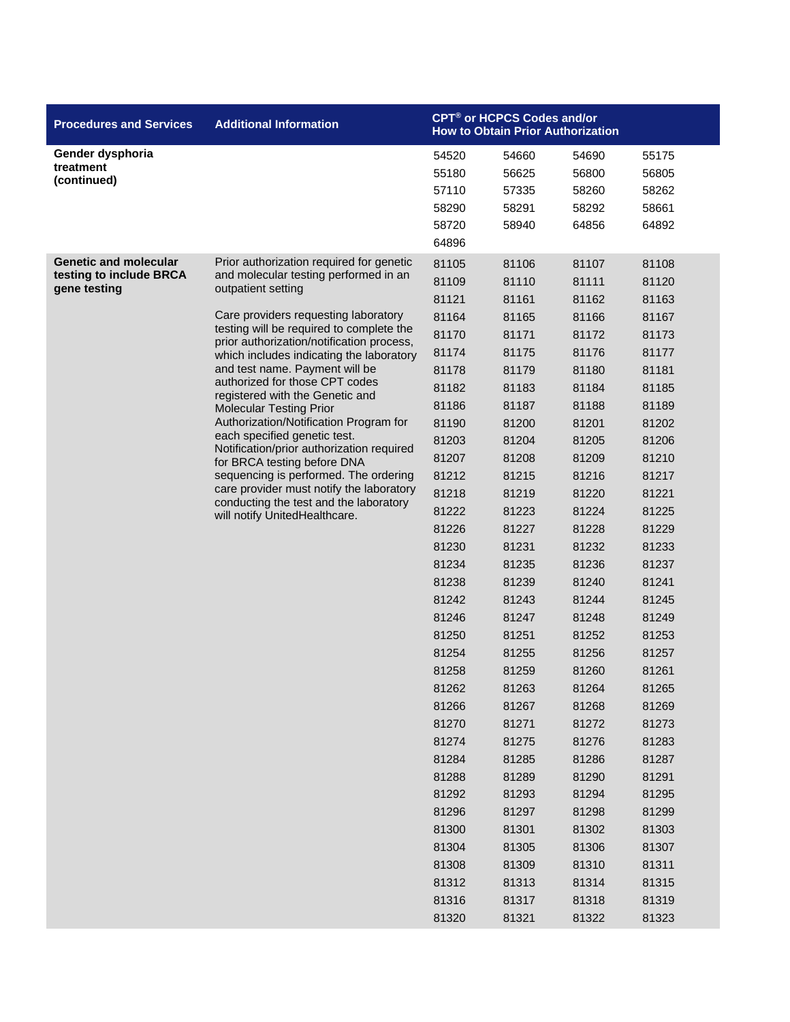| <b>Procedures and Services</b>                                          | <b>Additional Information</b>                                                                                                                                                                                                                                                                                                                                                                                                                                                                                                                                                                                                                                                                                                                       | CPT <sup>®</sup> or HCPCS Codes and/or<br><b>How to Obtain Prior Authorization</b>                                                                                                                                                                                                                                                                 |                                                                                                                                                                                                                                                                                                                                                    |                                                                                                                                                                                                                                                                                                                                                    |                                                                                                                                                                                                                                                                                                                                                    |
|-------------------------------------------------------------------------|-----------------------------------------------------------------------------------------------------------------------------------------------------------------------------------------------------------------------------------------------------------------------------------------------------------------------------------------------------------------------------------------------------------------------------------------------------------------------------------------------------------------------------------------------------------------------------------------------------------------------------------------------------------------------------------------------------------------------------------------------------|----------------------------------------------------------------------------------------------------------------------------------------------------------------------------------------------------------------------------------------------------------------------------------------------------------------------------------------------------|----------------------------------------------------------------------------------------------------------------------------------------------------------------------------------------------------------------------------------------------------------------------------------------------------------------------------------------------------|----------------------------------------------------------------------------------------------------------------------------------------------------------------------------------------------------------------------------------------------------------------------------------------------------------------------------------------------------|----------------------------------------------------------------------------------------------------------------------------------------------------------------------------------------------------------------------------------------------------------------------------------------------------------------------------------------------------|
| Gender dysphoria<br>treatment<br>(continued)                            |                                                                                                                                                                                                                                                                                                                                                                                                                                                                                                                                                                                                                                                                                                                                                     | 54520<br>55180<br>57110<br>58290<br>58720<br>64896                                                                                                                                                                                                                                                                                                 | 54660<br>56625<br>57335<br>58291<br>58940                                                                                                                                                                                                                                                                                                          | 54690<br>56800<br>58260<br>58292<br>64856                                                                                                                                                                                                                                                                                                          | 55175<br>56805<br>58262<br>58661<br>64892                                                                                                                                                                                                                                                                                                          |
| <b>Genetic and molecular</b><br>testing to include BRCA<br>gene testing | Prior authorization required for genetic<br>and molecular testing performed in an<br>outpatient setting<br>Care providers requesting laboratory<br>testing will be required to complete the<br>prior authorization/notification process,<br>which includes indicating the laboratory<br>and test name. Payment will be<br>authorized for those CPT codes<br>registered with the Genetic and<br><b>Molecular Testing Prior</b><br>Authorization/Notification Program for<br>each specified genetic test.<br>Notification/prior authorization required<br>for BRCA testing before DNA<br>sequencing is performed. The ordering<br>care provider must notify the laboratory<br>conducting the test and the laboratory<br>will notify UnitedHealthcare. | 81105<br>81109<br>81121<br>81164<br>81170<br>81174<br>81178<br>81182<br>81186<br>81190<br>81203<br>81207<br>81212<br>81218<br>81222<br>81226<br>81230<br>81234<br>81238<br>81242<br>81246<br>81250<br>81254<br>81258<br>81262<br>81266<br>81270<br>81274<br>81284<br>81288<br>81292<br>81296<br>81300<br>81304<br>81308<br>81312<br>81316<br>81320 | 81106<br>81110<br>81161<br>81165<br>81171<br>81175<br>81179<br>81183<br>81187<br>81200<br>81204<br>81208<br>81215<br>81219<br>81223<br>81227<br>81231<br>81235<br>81239<br>81243<br>81247<br>81251<br>81255<br>81259<br>81263<br>81267<br>81271<br>81275<br>81285<br>81289<br>81293<br>81297<br>81301<br>81305<br>81309<br>81313<br>81317<br>81321 | 81107<br>81111<br>81162<br>81166<br>81172<br>81176<br>81180<br>81184<br>81188<br>81201<br>81205<br>81209<br>81216<br>81220<br>81224<br>81228<br>81232<br>81236<br>81240<br>81244<br>81248<br>81252<br>81256<br>81260<br>81264<br>81268<br>81272<br>81276<br>81286<br>81290<br>81294<br>81298<br>81302<br>81306<br>81310<br>81314<br>81318<br>81322 | 81108<br>81120<br>81163<br>81167<br>81173<br>81177<br>81181<br>81185<br>81189<br>81202<br>81206<br>81210<br>81217<br>81221<br>81225<br>81229<br>81233<br>81237<br>81241<br>81245<br>81249<br>81253<br>81257<br>81261<br>81265<br>81269<br>81273<br>81283<br>81287<br>81291<br>81295<br>81299<br>81303<br>81307<br>81311<br>81315<br>81319<br>81323 |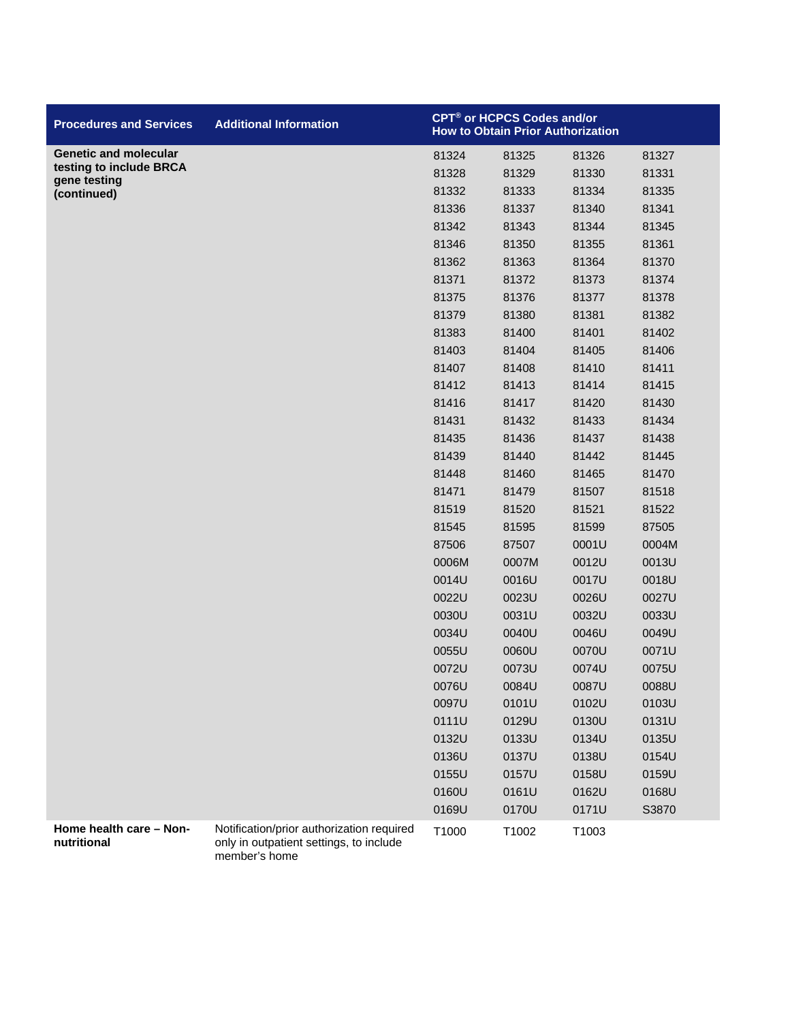| <b>Procedures and Services</b>          | <b>Additional Information</b>                                                        |       | CPT® or HCPCS Codes and/or<br><b>How to Obtain Prior Authorization</b> |       |       |
|-----------------------------------------|--------------------------------------------------------------------------------------|-------|------------------------------------------------------------------------|-------|-------|
| <b>Genetic and molecular</b>            |                                                                                      | 81324 | 81325                                                                  | 81326 | 81327 |
| testing to include BRCA<br>gene testing |                                                                                      | 81328 | 81329                                                                  | 81330 | 81331 |
| (continued)                             |                                                                                      | 81332 | 81333                                                                  | 81334 | 81335 |
|                                         |                                                                                      | 81336 | 81337                                                                  | 81340 | 81341 |
|                                         |                                                                                      | 81342 | 81343                                                                  | 81344 | 81345 |
|                                         |                                                                                      | 81346 | 81350                                                                  | 81355 | 81361 |
|                                         |                                                                                      | 81362 | 81363                                                                  | 81364 | 81370 |
|                                         |                                                                                      | 81371 | 81372                                                                  | 81373 | 81374 |
|                                         |                                                                                      | 81375 | 81376                                                                  | 81377 | 81378 |
|                                         |                                                                                      | 81379 | 81380                                                                  | 81381 | 81382 |
|                                         |                                                                                      | 81383 | 81400                                                                  | 81401 | 81402 |
|                                         |                                                                                      | 81403 | 81404                                                                  | 81405 | 81406 |
|                                         |                                                                                      | 81407 | 81408                                                                  | 81410 | 81411 |
|                                         |                                                                                      | 81412 | 81413                                                                  | 81414 | 81415 |
|                                         |                                                                                      | 81416 | 81417                                                                  | 81420 | 81430 |
|                                         |                                                                                      | 81431 | 81432                                                                  | 81433 | 81434 |
|                                         |                                                                                      | 81435 | 81436                                                                  | 81437 | 81438 |
|                                         |                                                                                      | 81439 | 81440                                                                  | 81442 | 81445 |
|                                         |                                                                                      | 81448 | 81460                                                                  | 81465 | 81470 |
|                                         |                                                                                      | 81471 | 81479                                                                  | 81507 | 81518 |
|                                         |                                                                                      | 81519 | 81520                                                                  | 81521 | 81522 |
|                                         |                                                                                      | 81545 | 81595                                                                  | 81599 | 87505 |
|                                         |                                                                                      | 87506 | 87507                                                                  | 0001U | 0004M |
|                                         |                                                                                      | 0006M | 0007M                                                                  | 0012U | 0013U |
|                                         |                                                                                      | 0014U | 0016U                                                                  | 0017U | 0018U |
|                                         |                                                                                      | 0022U | 0023U                                                                  | 0026U | 0027U |
|                                         |                                                                                      | 0030U | 0031U                                                                  | 0032U | 0033U |
|                                         |                                                                                      | 0034U | 0040U                                                                  | 0046U | 0049U |
|                                         |                                                                                      | 0055U | 0060U                                                                  | 0070U | 0071U |
|                                         |                                                                                      | 0072U | 0073U                                                                  | 0074U | 0075U |
|                                         |                                                                                      | 0076U | 0084U                                                                  | 0087U | 0088U |
|                                         |                                                                                      | 0097U | 0101U                                                                  | 0102U | 0103U |
|                                         |                                                                                      | 0111U | 0129U                                                                  | 0130U | 0131U |
|                                         |                                                                                      | 0132U | 0133U                                                                  | 0134U | 0135U |
|                                         |                                                                                      | 0136U | 0137U                                                                  | 0138U | 0154U |
|                                         |                                                                                      | 0155U | 0157U                                                                  | 0158U | 0159U |
|                                         |                                                                                      | 0160U | 0161U                                                                  | 0162U | 0168U |
|                                         |                                                                                      | 0169U | 0170U                                                                  | 0171U | S3870 |
| Home health care - Non-<br>nutritional  | Notification/prior authorization required<br>only in outpatient settings, to include | T1000 | T1002                                                                  | T1003 |       |

member's home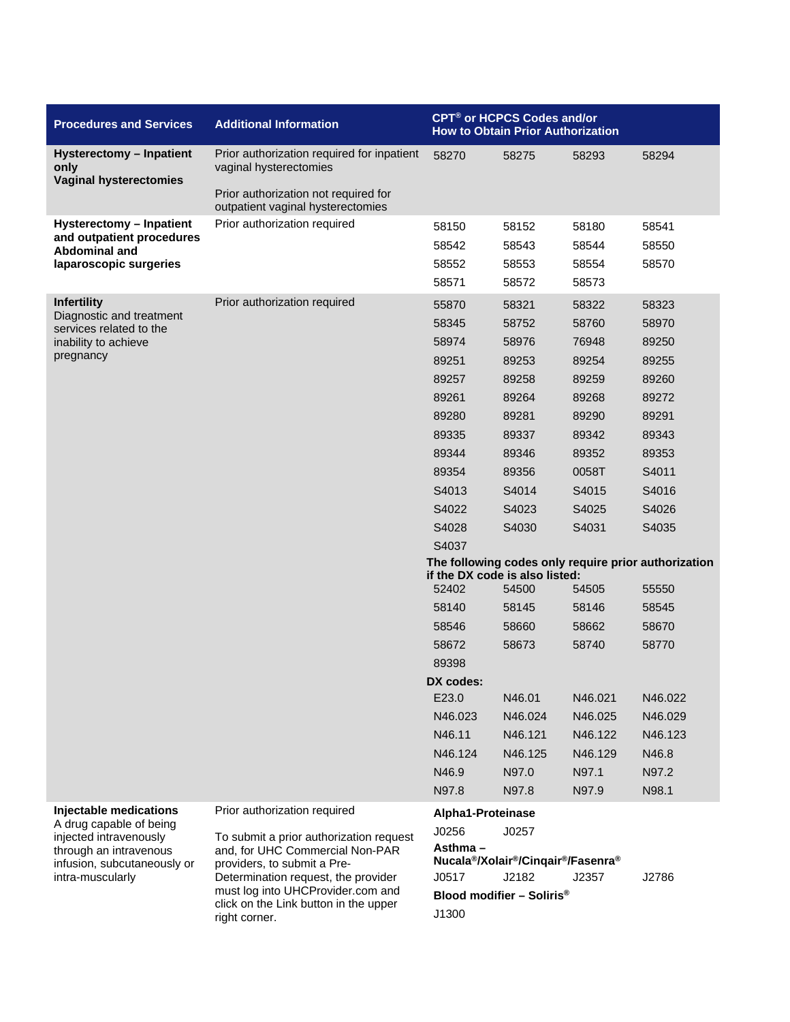| <b>Procedures and Services</b>                                    | <b>Additional Information</b>                                                                                                                     | CPT <sup>®</sup> or HCPCS Codes and/or<br><b>How to Obtain Prior Authorization</b>     |                                                                                      |         |         |  |
|-------------------------------------------------------------------|---------------------------------------------------------------------------------------------------------------------------------------------------|----------------------------------------------------------------------------------------|--------------------------------------------------------------------------------------|---------|---------|--|
| Hysterectomy - Inpatient<br>only<br><b>Vaginal hysterectomies</b> | Prior authorization required for inpatient<br>vaginal hysterectomies<br>Prior authorization not required for<br>outpatient vaginal hysterectomies | 58270                                                                                  | 58275                                                                                | 58293   | 58294   |  |
| Hysterectomy - Inpatient                                          | Prior authorization required                                                                                                                      | 58150                                                                                  | 58152                                                                                | 58180   | 58541   |  |
| and outpatient procedures                                         |                                                                                                                                                   | 58542                                                                                  | 58543                                                                                | 58544   | 58550   |  |
| Abdominal and<br>laparoscopic surgeries                           |                                                                                                                                                   | 58552                                                                                  | 58553                                                                                | 58554   | 58570   |  |
|                                                                   |                                                                                                                                                   | 58571                                                                                  | 58572                                                                                | 58573   |         |  |
| <b>Infertility</b>                                                | Prior authorization required                                                                                                                      | 55870                                                                                  | 58321                                                                                | 58322   | 58323   |  |
| Diagnostic and treatment                                          |                                                                                                                                                   | 58345                                                                                  | 58752                                                                                | 58760   | 58970   |  |
| services related to the<br>inability to achieve                   |                                                                                                                                                   | 58974                                                                                  | 58976                                                                                | 76948   | 89250   |  |
| pregnancy                                                         |                                                                                                                                                   | 89251                                                                                  | 89253                                                                                | 89254   | 89255   |  |
|                                                                   |                                                                                                                                                   | 89257                                                                                  | 89258                                                                                | 89259   | 89260   |  |
|                                                                   |                                                                                                                                                   | 89261                                                                                  | 89264                                                                                | 89268   | 89272   |  |
|                                                                   |                                                                                                                                                   | 89280                                                                                  | 89281                                                                                | 89290   | 89291   |  |
|                                                                   |                                                                                                                                                   | 89335                                                                                  | 89337                                                                                | 89342   | 89343   |  |
|                                                                   |                                                                                                                                                   | 89344                                                                                  | 89346                                                                                | 89352   | 89353   |  |
|                                                                   |                                                                                                                                                   | 89354                                                                                  | 89356                                                                                | 0058T   | S4011   |  |
|                                                                   |                                                                                                                                                   | S4013                                                                                  | S4014                                                                                | S4015   | S4016   |  |
|                                                                   |                                                                                                                                                   | S4022                                                                                  | S4023                                                                                | S4025   | S4026   |  |
|                                                                   |                                                                                                                                                   | S4028                                                                                  | S4030                                                                                | S4031   | S4035   |  |
|                                                                   |                                                                                                                                                   | S4037                                                                                  |                                                                                      |         |         |  |
|                                                                   |                                                                                                                                                   | The following codes only require prior authorization<br>if the DX code is also listed: |                                                                                      |         |         |  |
|                                                                   |                                                                                                                                                   | 52402                                                                                  | 54500                                                                                | 54505   | 55550   |  |
|                                                                   |                                                                                                                                                   | 58140                                                                                  | 58145                                                                                | 58146   | 58545   |  |
|                                                                   |                                                                                                                                                   | 58546                                                                                  | 58660                                                                                | 58662   | 58670   |  |
|                                                                   |                                                                                                                                                   | 58672                                                                                  | 58673                                                                                | 58740   | 58770   |  |
|                                                                   |                                                                                                                                                   | 89398                                                                                  |                                                                                      |         |         |  |
|                                                                   |                                                                                                                                                   | DX codes:                                                                              |                                                                                      |         |         |  |
|                                                                   |                                                                                                                                                   | E23.0                                                                                  | N46.01                                                                               | N46.021 | N46.022 |  |
|                                                                   |                                                                                                                                                   | N46.023                                                                                | N46.024                                                                              | N46.025 | N46.029 |  |
|                                                                   |                                                                                                                                                   | N46.11                                                                                 | N46.121                                                                              | N46.122 | N46.123 |  |
|                                                                   |                                                                                                                                                   | N46.124                                                                                | N46.125                                                                              | N46.129 | N46.8   |  |
|                                                                   |                                                                                                                                                   | N46.9                                                                                  | N97.0                                                                                | N97.1   | N97.2   |  |
|                                                                   |                                                                                                                                                   | N97.8                                                                                  | N97.8                                                                                | N97.9   | N98.1   |  |
| Injectable medications<br>A drug capable of being                 | Prior authorization required                                                                                                                      | Alpha1-Proteinase                                                                      |                                                                                      |         |         |  |
| injected intravenously                                            | To submit a prior authorization request                                                                                                           | J0256                                                                                  | J0257                                                                                |         |         |  |
| through an intravenous                                            | and, for UHC Commercial Non-PAR                                                                                                                   | Asthma-                                                                                | Nucala <sup>®</sup> /Xolair <sup>®</sup> /Cinqair <sup>®</sup> /Fasenra <sup>®</sup> |         |         |  |
| infusion, subcutaneously or<br>intra-muscularly                   | providers, to submit a Pre-<br>Determination request, the provider                                                                                | J0517                                                                                  | J2182                                                                                | J2357   | J2786   |  |
|                                                                   | must log into UHCProvider.com and<br>click on the Link button in the upper<br>right corner.                                                       |                                                                                        | Blood modifier $-$ Soliris <sup>®</sup>                                              |         |         |  |
|                                                                   |                                                                                                                                                   | J1300                                                                                  |                                                                                      |         |         |  |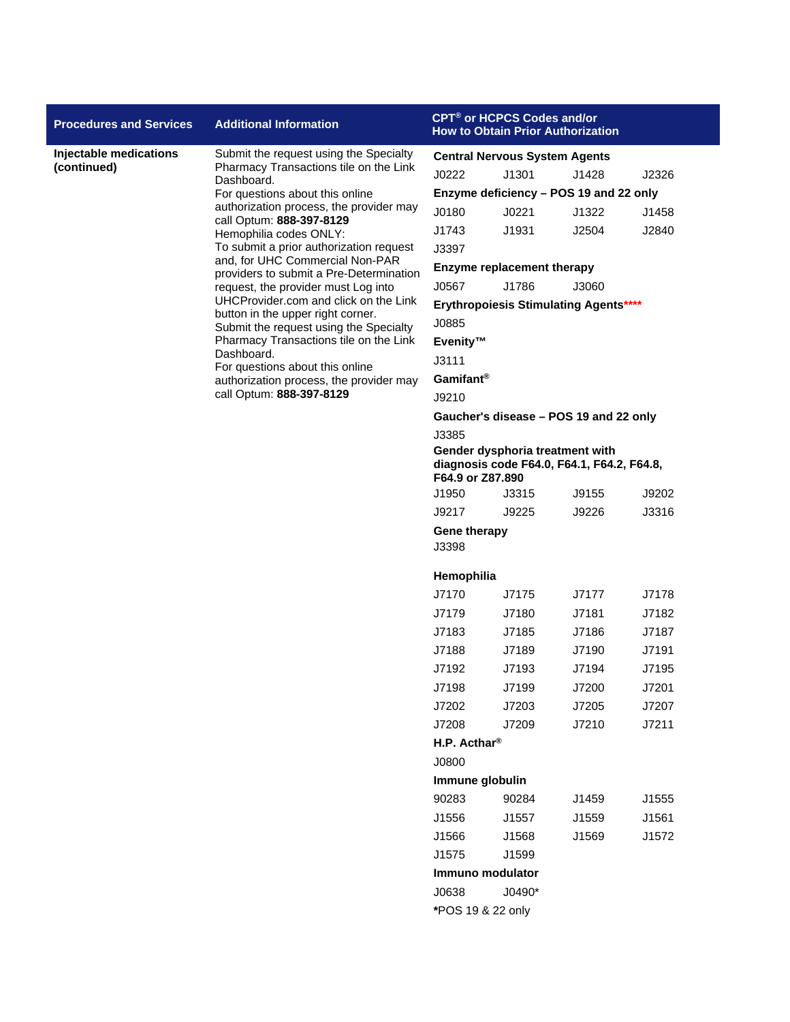| <b>Procedures and Services</b> | <b>Additional Information</b>                                                            |                                                                                                   | CPT® or HCPCS Codes and/or        | <b>How to Obtain Prior Authorization</b>     |       |  |
|--------------------------------|------------------------------------------------------------------------------------------|---------------------------------------------------------------------------------------------------|-----------------------------------|----------------------------------------------|-------|--|
| Injectable medications         | Submit the request using the Specialty                                                   | <b>Central Nervous System Agents</b>                                                              |                                   |                                              |       |  |
| (continued)                    | Pharmacy Transactions tile on the Link<br>Dashboard.                                     | J0222                                                                                             | J1301                             | J1428                                        | J2326 |  |
|                                | For questions about this online                                                          |                                                                                                   |                                   | Enzyme deficiency - POS 19 and 22 only       |       |  |
|                                | authorization process, the provider may<br>call Optum: 888-397-8129                      | J0180                                                                                             | J0221                             | J1322                                        | J1458 |  |
|                                | Hemophilia codes ONLY:                                                                   | J1743                                                                                             | J1931                             | J2504                                        | J2840 |  |
|                                | To submit a prior authorization request                                                  | J3397                                                                                             |                                   |                                              |       |  |
|                                | and, for UHC Commercial Non-PAR<br>providers to submit a Pre-Determination               |                                                                                                   | <b>Enzyme replacement therapy</b> |                                              |       |  |
|                                | request, the provider must Log into                                                      | J0567                                                                                             | J1786                             | J3060                                        |       |  |
|                                | UHCProvider.com and click on the Link<br>button in the upper right corner.               |                                                                                                   |                                   | <b>Erythropoiesis Stimulating Agents****</b> |       |  |
|                                | Submit the request using the Specialty                                                   | J0885                                                                                             |                                   |                                              |       |  |
|                                | Pharmacy Transactions tile on the Link                                                   | Evenity™                                                                                          |                                   |                                              |       |  |
|                                | Dashboard.<br>For questions about this online<br>authorization process, the provider may | J3111                                                                                             |                                   |                                              |       |  |
|                                |                                                                                          | Gamifant <sup>®</sup>                                                                             |                                   |                                              |       |  |
|                                | call Optum: 888-397-8129                                                                 | J9210                                                                                             |                                   |                                              |       |  |
|                                |                                                                                          |                                                                                                   |                                   | Gaucher's disease – POS 19 and 22 only       |       |  |
|                                |                                                                                          | J3385                                                                                             |                                   |                                              |       |  |
|                                |                                                                                          | Gender dysphoria treatment with<br>diagnosis code F64.0, F64.1, F64.2, F64.8,<br>F64.9 or Z87.890 |                                   |                                              |       |  |
|                                |                                                                                          | J1950                                                                                             | J3315                             | J9155                                        | J9202 |  |
|                                |                                                                                          | J9217                                                                                             | J9225                             | J9226                                        | J3316 |  |
|                                |                                                                                          | <b>Gene therapy</b><br>J3398                                                                      |                                   |                                              |       |  |
|                                |                                                                                          | Hemophilia                                                                                        |                                   |                                              |       |  |
|                                |                                                                                          | J7170                                                                                             | J7175                             | J7177                                        | J7178 |  |
|                                |                                                                                          | J7179                                                                                             | J7180                             | J7181                                        | J7182 |  |
|                                |                                                                                          | J7183                                                                                             | J7185                             | J7186                                        | J7187 |  |
|                                |                                                                                          | J7188                                                                                             | J7189                             | J7190                                        | J7191 |  |
|                                |                                                                                          | J7192                                                                                             | J7193                             | J7194                                        | J7195 |  |
|                                |                                                                                          | J7198                                                                                             | J7199                             | J7200                                        | J7201 |  |
|                                |                                                                                          | J7202                                                                                             | J7203                             | J7205                                        | J7207 |  |
|                                |                                                                                          | J7208                                                                                             | J7209                             | J7210                                        | J7211 |  |
|                                |                                                                                          | H.P. Acthar <sup>®</sup>                                                                          |                                   |                                              |       |  |
|                                |                                                                                          | J0800                                                                                             |                                   |                                              |       |  |
|                                |                                                                                          | Immune globulin                                                                                   |                                   |                                              |       |  |
|                                |                                                                                          | 90283                                                                                             | 90284                             | J1459                                        | J1555 |  |
|                                |                                                                                          | J1556                                                                                             | J1557                             | J1559                                        | J1561 |  |
|                                |                                                                                          | J1566                                                                                             | J1568                             | J1569                                        | J1572 |  |
|                                |                                                                                          | J1575                                                                                             | J1599                             |                                              |       |  |
|                                |                                                                                          | Immuno modulator                                                                                  |                                   |                                              |       |  |
|                                |                                                                                          | J0638                                                                                             | J0490*                            |                                              |       |  |
|                                |                                                                                          | *POS 19 & 22 only                                                                                 |                                   |                                              |       |  |
|                                |                                                                                          |                                                                                                   |                                   |                                              |       |  |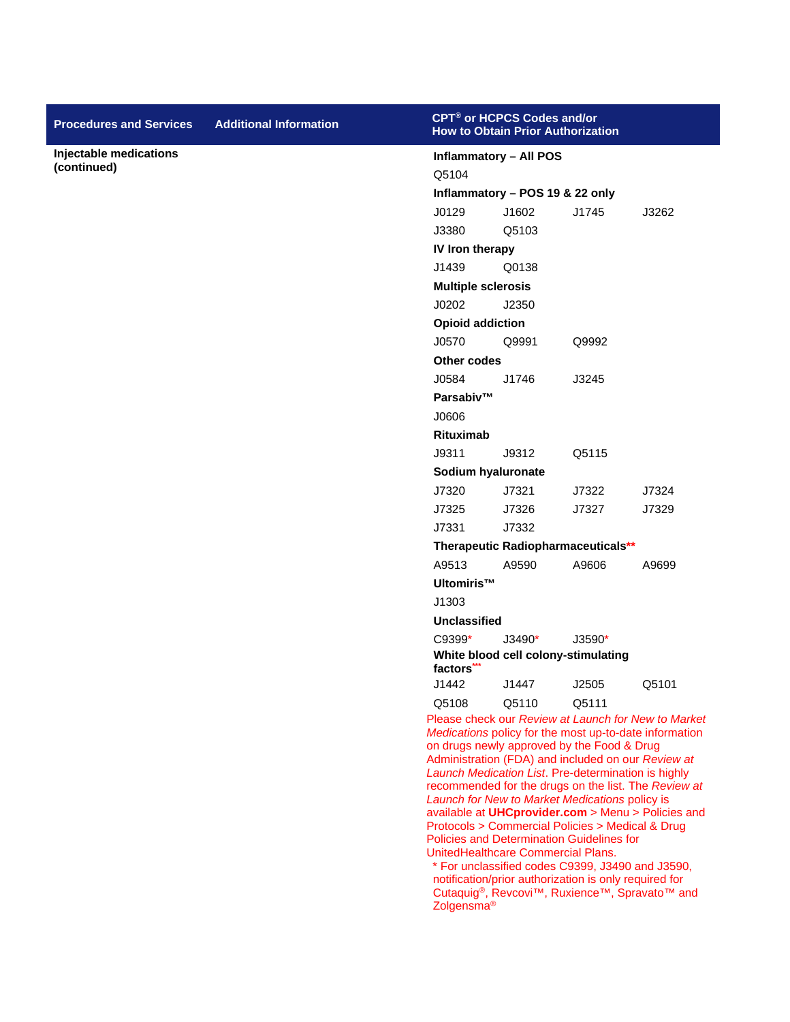| <b>Procedures and Services</b>        | <b>Additional Information</b> |                                                                                                             | CPT <sup>®</sup> or HCPCS Codes and/or<br><b>How to Obtain Prior Authorization</b> |                                                       |                                                                                                               |  |
|---------------------------------------|-------------------------------|-------------------------------------------------------------------------------------------------------------|------------------------------------------------------------------------------------|-------------------------------------------------------|---------------------------------------------------------------------------------------------------------------|--|
| Injectable medications<br>(continued) |                               | Q5104                                                                                                       | <b>Inflammatory - All POS</b>                                                      |                                                       |                                                                                                               |  |
|                                       |                               |                                                                                                             | Inflammatory - POS 19 & 22 only                                                    |                                                       |                                                                                                               |  |
|                                       |                               | J0129                                                                                                       | J1602                                                                              | J1745                                                 | J3262                                                                                                         |  |
|                                       |                               | J3380                                                                                                       | Q5103                                                                              |                                                       |                                                                                                               |  |
|                                       |                               | IV Iron therapy                                                                                             |                                                                                    |                                                       |                                                                                                               |  |
|                                       |                               | J1439                                                                                                       | Q0138                                                                              |                                                       |                                                                                                               |  |
|                                       |                               | <b>Multiple sclerosis</b>                                                                                   |                                                                                    |                                                       |                                                                                                               |  |
|                                       |                               | J0202                                                                                                       | J2350                                                                              |                                                       |                                                                                                               |  |
|                                       |                               | <b>Opioid addiction</b>                                                                                     |                                                                                    |                                                       |                                                                                                               |  |
|                                       |                               | J0570                                                                                                       | Q9991                                                                              | Q9992                                                 |                                                                                                               |  |
|                                       |                               | <b>Other codes</b>                                                                                          |                                                                                    |                                                       |                                                                                                               |  |
|                                       |                               | J0584                                                                                                       | J1746                                                                              | J3245                                                 |                                                                                                               |  |
|                                       |                               | Parsabiv™                                                                                                   |                                                                                    |                                                       |                                                                                                               |  |
|                                       |                               | J0606                                                                                                       |                                                                                    |                                                       |                                                                                                               |  |
|                                       |                               | <b>Rituximab</b>                                                                                            |                                                                                    |                                                       |                                                                                                               |  |
|                                       |                               | J9311                                                                                                       | J9312                                                                              | Q5115                                                 |                                                                                                               |  |
|                                       |                               |                                                                                                             | Sodium hyaluronate                                                                 |                                                       |                                                                                                               |  |
|                                       |                               | J7320                                                                                                       | J7321                                                                              | J7322                                                 | J7324                                                                                                         |  |
|                                       |                               | J7325                                                                                                       | J7326                                                                              | J7327                                                 | J7329                                                                                                         |  |
|                                       |                               | J7331                                                                                                       | J7332                                                                              |                                                       |                                                                                                               |  |
|                                       |                               |                                                                                                             |                                                                                    | Therapeutic Radiopharmaceuticals**                    |                                                                                                               |  |
|                                       |                               | A9513                                                                                                       | A9590                                                                              | A9606                                                 | A9699                                                                                                         |  |
|                                       |                               | Ultomiris™                                                                                                  |                                                                                    |                                                       |                                                                                                               |  |
|                                       |                               | J1303                                                                                                       |                                                                                    |                                                       |                                                                                                               |  |
|                                       |                               | <b>Unclassified</b><br>C9399*                                                                               | J3490*                                                                             | $J3590*$                                              |                                                                                                               |  |
|                                       |                               |                                                                                                             |                                                                                    | White blood cell colony-stimulating                   |                                                                                                               |  |
|                                       |                               | factors***                                                                                                  |                                                                                    |                                                       |                                                                                                               |  |
|                                       |                               | J1442                                                                                                       | J1447                                                                              | J2505                                                 | Q5101                                                                                                         |  |
|                                       |                               | Q5108                                                                                                       | Q5110                                                                              | Q5111                                                 |                                                                                                               |  |
|                                       |                               |                                                                                                             |                                                                                    |                                                       | Please check our Review at Launch for New to Market<br>Medications policy for the most up-to-date information |  |
|                                       |                               |                                                                                                             |                                                                                    | on drugs newly approved by the Food & Drug            |                                                                                                               |  |
|                                       |                               |                                                                                                             |                                                                                    |                                                       | Administration (FDA) and included on our Review at                                                            |  |
|                                       |                               | Launch Medication List. Pre-determination is highly<br>recommended for the drugs on the list. The Review at |                                                                                    |                                                       |                                                                                                               |  |
|                                       |                               |                                                                                                             |                                                                                    | Launch for New to Market Medications policy is        | available at UHCprovider.com > Menu > Policies and                                                            |  |
|                                       |                               |                                                                                                             |                                                                                    | Protocols > Commercial Policies > Medical & Drug      |                                                                                                               |  |
|                                       |                               |                                                                                                             | UnitedHealthcare Commercial Plans.                                                 | Policies and Determination Guidelines for             |                                                                                                               |  |
|                                       |                               |                                                                                                             |                                                                                    | * For unclassified codes C9399, J3490 and J3590,      |                                                                                                               |  |
|                                       |                               |                                                                                                             |                                                                                    | notification/prior authorization is only required for |                                                                                                               |  |
|                                       |                               | Zolgensma <sup>®</sup>                                                                                      |                                                                                    |                                                       | Cutaquig®, Revcovi™, Ruxience™, Spravato™ and                                                                 |  |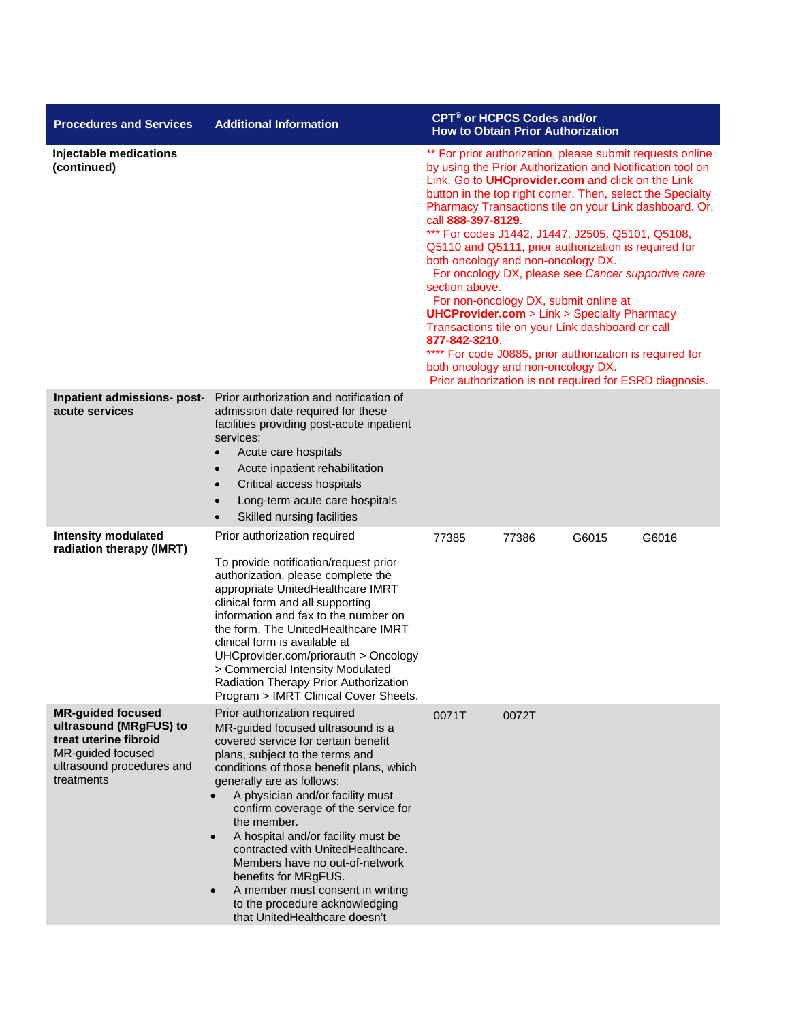| <b>Procedures and Services</b>                                                                                                              | <b>Additional Information</b>                                                                                                                                                                                                                                                                                                                                                                                                                                                                                                                                                        | <b>CPT<sup>®</sup> or HCPCS Codes and/or</b>                                                                                                                                                                                                                                                                                                                                                                                                                                                                                                                                                                                                                                                                                                                                                                                                                                                | <b>How to Obtain Prior Authorization</b> |  |  |
|---------------------------------------------------------------------------------------------------------------------------------------------|--------------------------------------------------------------------------------------------------------------------------------------------------------------------------------------------------------------------------------------------------------------------------------------------------------------------------------------------------------------------------------------------------------------------------------------------------------------------------------------------------------------------------------------------------------------------------------------|---------------------------------------------------------------------------------------------------------------------------------------------------------------------------------------------------------------------------------------------------------------------------------------------------------------------------------------------------------------------------------------------------------------------------------------------------------------------------------------------------------------------------------------------------------------------------------------------------------------------------------------------------------------------------------------------------------------------------------------------------------------------------------------------------------------------------------------------------------------------------------------------|------------------------------------------|--|--|
| Injectable medications<br>(continued)                                                                                                       |                                                                                                                                                                                                                                                                                                                                                                                                                                                                                                                                                                                      | ** For prior authorization, please submit requests online<br>by using the Prior Authorization and Notification tool on<br>Link. Go to <b>UHCprovider.com</b> and click on the Link<br>button in the top right corner. Then, select the Specialty<br>Pharmacy Transactions tile on your Link dashboard. Or,<br>call 888-397-8129.<br>*** For codes J1442, J1447, J2505, Q5101, Q5108,<br>Q5110 and Q5111, prior authorization is required for<br>both oncology and non-oncology DX.<br>For oncology DX, please see Cancer supportive care<br>section above.<br>For non-oncology DX, submit online at<br><b>UHCProvider.com</b> > Link > Specialty Pharmacy<br>Transactions tile on your Link dashboard or call<br>877-842-3210.<br>**** For code J0885, prior authorization is required for<br>both oncology and non-oncology DX.<br>Prior authorization is not required for ESRD diagnosis. |                                          |  |  |
| Inpatient admissions- post-<br>acute services                                                                                               | Prior authorization and notification of<br>admission date required for these<br>facilities providing post-acute inpatient<br>services:<br>Acute care hospitals<br>Acute inpatient rehabilitation<br>Critical access hospitals<br>$\bullet$<br>Long-term acute care hospitals<br>$\bullet$<br>Skilled nursing facilities<br>$\bullet$                                                                                                                                                                                                                                                 |                                                                                                                                                                                                                                                                                                                                                                                                                                                                                                                                                                                                                                                                                                                                                                                                                                                                                             |                                          |  |  |
| <b>Intensity modulated</b><br>radiation therapy (IMRT)                                                                                      | Prior authorization required<br>To provide notification/request prior<br>authorization, please complete the<br>appropriate UnitedHealthcare IMRT<br>clinical form and all supporting<br>information and fax to the number on<br>the form. The UnitedHealthcare IMRT<br>clinical form is available at<br>UHCprovider.com/priorauth > Oncology<br>> Commercial Intensity Modulated<br>Radiation Therapy Prior Authorization<br>Program > IMRT Clinical Cover Sheets.                                                                                                                   | 77385<br>77386                                                                                                                                                                                                                                                                                                                                                                                                                                                                                                                                                                                                                                                                                                                                                                                                                                                                              | G6016<br>G6015                           |  |  |
| <b>MR-guided focused</b><br>ultrasound (MRgFUS) to<br>treat uterine fibroid<br>MR-guided focused<br>ultrasound procedures and<br>treatments | Prior authorization required<br>MR-guided focused ultrasound is a<br>covered service for certain benefit<br>plans, subject to the terms and<br>conditions of those benefit plans, which<br>generally are as follows:<br>A physician and/or facility must<br>confirm coverage of the service for<br>the member.<br>A hospital and/or facility must be<br>$\bullet$<br>contracted with UnitedHealthcare.<br>Members have no out-of-network<br>benefits for MRgFUS.<br>A member must consent in writing<br>$\bullet$<br>to the procedure acknowledging<br>that UnitedHealthcare doesn't | 0071T<br>0072T                                                                                                                                                                                                                                                                                                                                                                                                                                                                                                                                                                                                                                                                                                                                                                                                                                                                              |                                          |  |  |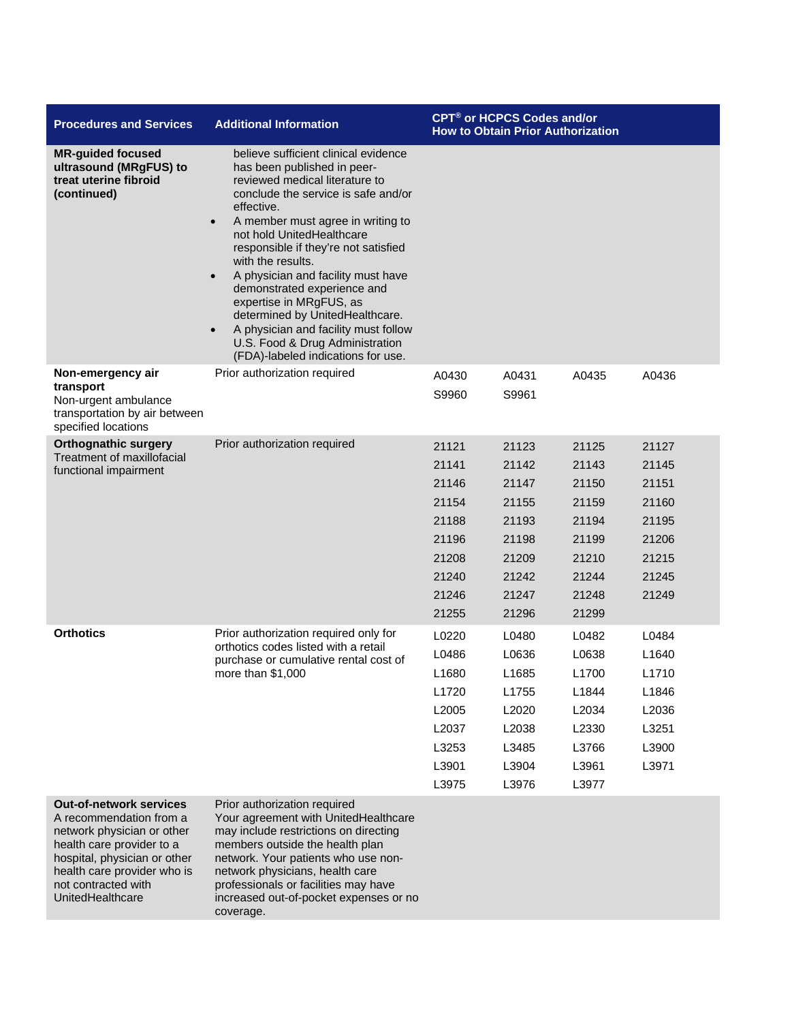| <b>Procedures and Services</b>                                                                                                                                                                                                 | <b>Additional Information</b>                                                                                                                                                                                                                                                                                                                                                                                                                                                                                                                                                        | <b>CPT<sup>®</sup> or HCPCS Codes and/or</b><br><b>How to Obtain Prior Authorization</b>  |                                                                                           |                                                                                           |                                                                               |
|--------------------------------------------------------------------------------------------------------------------------------------------------------------------------------------------------------------------------------|--------------------------------------------------------------------------------------------------------------------------------------------------------------------------------------------------------------------------------------------------------------------------------------------------------------------------------------------------------------------------------------------------------------------------------------------------------------------------------------------------------------------------------------------------------------------------------------|-------------------------------------------------------------------------------------------|-------------------------------------------------------------------------------------------|-------------------------------------------------------------------------------------------|-------------------------------------------------------------------------------|
| <b>MR-guided focused</b><br>ultrasound (MRgFUS) to<br>treat uterine fibroid<br>(continued)                                                                                                                                     | believe sufficient clinical evidence<br>has been published in peer-<br>reviewed medical literature to<br>conclude the service is safe and/or<br>effective.<br>A member must agree in writing to<br>$\bullet$<br>not hold UnitedHealthcare<br>responsible if they're not satisfied<br>with the results.<br>A physician and facility must have<br>$\bullet$<br>demonstrated experience and<br>expertise in MRgFUS, as<br>determined by UnitedHealthcare.<br>A physician and facility must follow<br>$\bullet$<br>U.S. Food & Drug Administration<br>(FDA)-labeled indications for use. |                                                                                           |                                                                                           |                                                                                           |                                                                               |
| Non-emergency air<br>transport<br>Non-urgent ambulance<br>transportation by air between<br>specified locations                                                                                                                 | Prior authorization required                                                                                                                                                                                                                                                                                                                                                                                                                                                                                                                                                         | A0430<br>S9960                                                                            | A0431<br>S9961                                                                            | A0435                                                                                     | A0436                                                                         |
| <b>Orthognathic surgery</b><br>Treatment of maxillofacial<br>functional impairment                                                                                                                                             | Prior authorization required                                                                                                                                                                                                                                                                                                                                                                                                                                                                                                                                                         | 21121<br>21141<br>21146<br>21154<br>21188<br>21196<br>21208<br>21240<br>21246<br>21255    | 21123<br>21142<br>21147<br>21155<br>21193<br>21198<br>21209<br>21242<br>21247<br>21296    | 21125<br>21143<br>21150<br>21159<br>21194<br>21199<br>21210<br>21244<br>21248<br>21299    | 21127<br>21145<br>21151<br>21160<br>21195<br>21206<br>21215<br>21245<br>21249 |
| <b>Orthotics</b>                                                                                                                                                                                                               | Prior authorization required only for<br>orthotics codes listed with a retail<br>purchase or cumulative rental cost of<br>more than $$1,000$                                                                                                                                                                                                                                                                                                                                                                                                                                         | L0220<br>L0486<br>L1680<br>L <sub>1720</sub><br>L2005<br>L2037<br>L3253<br>L3901<br>L3975 | L0480<br>L0636<br>L1685<br>L <sub>1755</sub><br>L2020<br>L2038<br>L3485<br>L3904<br>L3976 | L0482<br>L0638<br>L <sub>1700</sub><br>L1844<br>L2034<br>L2330<br>L3766<br>L3961<br>L3977 | L0484<br>L1640<br>L1710<br>L1846<br>L2036<br>L3251<br>L3900<br>L3971          |
| <b>Out-of-network services</b><br>A recommendation from a<br>network physician or other<br>health care provider to a<br>hospital, physician or other<br>health care provider who is<br>not contracted with<br>UnitedHealthcare | Prior authorization required<br>Your agreement with UnitedHealthcare<br>may include restrictions on directing<br>members outside the health plan<br>network. Your patients who use non-<br>network physicians, health care<br>professionals or facilities may have<br>increased out-of-pocket expenses or no<br>coverage.                                                                                                                                                                                                                                                            |                                                                                           |                                                                                           |                                                                                           |                                                                               |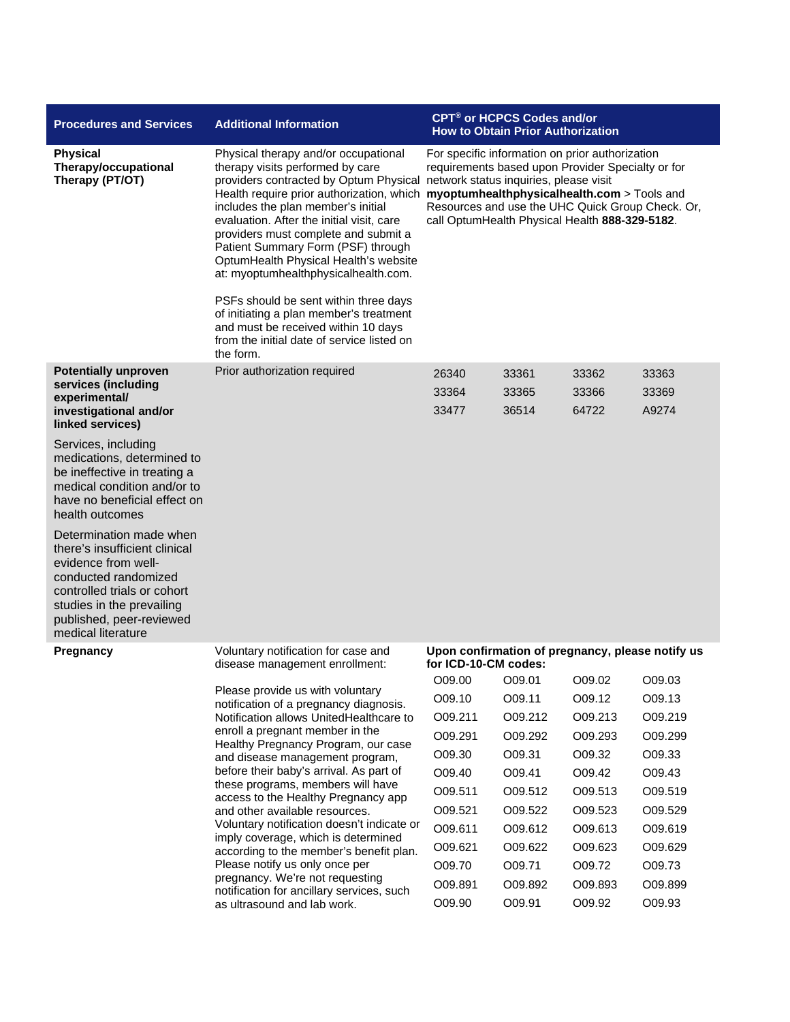| <b>Procedures and Services</b>                                                                                                                                                                 | <b>Additional Information</b>                                                                                                                                                                                                                                                                                                                                                                                                                                                                                                                                                                     |                                                                                                                                                                                                                                                                                                     | CPT <sup>®</sup> or HCPCS Codes and/or<br><b>How to Obtain Prior Authorization</b> |         |         |  |
|------------------------------------------------------------------------------------------------------------------------------------------------------------------------------------------------|---------------------------------------------------------------------------------------------------------------------------------------------------------------------------------------------------------------------------------------------------------------------------------------------------------------------------------------------------------------------------------------------------------------------------------------------------------------------------------------------------------------------------------------------------------------------------------------------------|-----------------------------------------------------------------------------------------------------------------------------------------------------------------------------------------------------------------------------------------------------------------------------------------------------|------------------------------------------------------------------------------------|---------|---------|--|
| <b>Physical</b><br>Therapy/occupational<br>Therapy (PT/OT)                                                                                                                                     | Physical therapy and/or occupational<br>therapy visits performed by care<br>providers contracted by Optum Physical network status inquiries, please visit<br>includes the plan member's initial<br>evaluation. After the initial visit, care<br>providers must complete and submit a<br>Patient Summary Form (PSF) through<br>OptumHealth Physical Health's website<br>at: myoptumhealthphysicalhealth.com.<br>PSFs should be sent within three days<br>of initiating a plan member's treatment<br>and must be received within 10 days<br>from the initial date of service listed on<br>the form. | For specific information on prior authorization<br>requirements based upon Provider Specialty or for<br>Health require prior authorization, which myoptumhealthphysicalhealth.com > Tools and<br>Resources and use the UHC Quick Group Check. Or,<br>call OptumHealth Physical Health 888-329-5182. |                                                                                    |         |         |  |
| <b>Potentially unproven</b>                                                                                                                                                                    | Prior authorization required                                                                                                                                                                                                                                                                                                                                                                                                                                                                                                                                                                      | 26340                                                                                                                                                                                                                                                                                               | 33361                                                                              | 33362   | 33363   |  |
| services (including<br>experimental/                                                                                                                                                           |                                                                                                                                                                                                                                                                                                                                                                                                                                                                                                                                                                                                   | 33364                                                                                                                                                                                                                                                                                               | 33365                                                                              | 33366   | 33369   |  |
| investigational and/or<br>linked services)                                                                                                                                                     |                                                                                                                                                                                                                                                                                                                                                                                                                                                                                                                                                                                                   | 33477                                                                                                                                                                                                                                                                                               | 36514                                                                              | 64722   | A9274   |  |
| Services, including<br>medications, determined to<br>be ineffective in treating a<br>medical condition and/or to<br>have no beneficial effect on<br>health outcomes<br>Determination made when |                                                                                                                                                                                                                                                                                                                                                                                                                                                                                                                                                                                                   |                                                                                                                                                                                                                                                                                                     |                                                                                    |         |         |  |
| there's insufficient clinical<br>evidence from well-<br>conducted randomized<br>controlled trials or cohort<br>studies in the prevailing<br>published, peer-reviewed<br>medical literature     |                                                                                                                                                                                                                                                                                                                                                                                                                                                                                                                                                                                                   |                                                                                                                                                                                                                                                                                                     |                                                                                    |         |         |  |
| <b>Pregnancy</b>                                                                                                                                                                               | Voluntary notification for case and<br>disease management enrollment:                                                                                                                                                                                                                                                                                                                                                                                                                                                                                                                             | Upon confirmation of pregnancy, please notify us<br>for ICD-10-CM codes:                                                                                                                                                                                                                            |                                                                                    |         |         |  |
|                                                                                                                                                                                                |                                                                                                                                                                                                                                                                                                                                                                                                                                                                                                                                                                                                   | O09.00                                                                                                                                                                                                                                                                                              | O09.01                                                                             | O09.02  | O09.03  |  |
|                                                                                                                                                                                                | Please provide us with voluntary                                                                                                                                                                                                                                                                                                                                                                                                                                                                                                                                                                  | O09.10                                                                                                                                                                                                                                                                                              | O09.11                                                                             | O09.12  | O09.13  |  |
|                                                                                                                                                                                                | notification of a pregnancy diagnosis.<br>Notification allows UnitedHealthcare to                                                                                                                                                                                                                                                                                                                                                                                                                                                                                                                 | O09.211                                                                                                                                                                                                                                                                                             | O09.212                                                                            | O09.213 | O09.219 |  |
|                                                                                                                                                                                                | enroll a pregnant member in the                                                                                                                                                                                                                                                                                                                                                                                                                                                                                                                                                                   | O09.291                                                                                                                                                                                                                                                                                             | O09.292                                                                            | O09.293 | O09.299 |  |
|                                                                                                                                                                                                | Healthy Pregnancy Program, our case<br>and disease management program,                                                                                                                                                                                                                                                                                                                                                                                                                                                                                                                            | O09.30                                                                                                                                                                                                                                                                                              | O09.31                                                                             | O09.32  | O09.33  |  |
|                                                                                                                                                                                                | before their baby's arrival. As part of                                                                                                                                                                                                                                                                                                                                                                                                                                                                                                                                                           | O09.40                                                                                                                                                                                                                                                                                              | O09.41                                                                             | O09.42  | O09.43  |  |
|                                                                                                                                                                                                | these programs, members will have<br>access to the Healthy Pregnancy app                                                                                                                                                                                                                                                                                                                                                                                                                                                                                                                          | O09.511                                                                                                                                                                                                                                                                                             | O09.512                                                                            | O09.513 | O09.519 |  |
|                                                                                                                                                                                                | and other available resources.                                                                                                                                                                                                                                                                                                                                                                                                                                                                                                                                                                    | O09.521                                                                                                                                                                                                                                                                                             | O09.522                                                                            | O09.523 | O09.529 |  |
|                                                                                                                                                                                                | Voluntary notification doesn't indicate or                                                                                                                                                                                                                                                                                                                                                                                                                                                                                                                                                        | O09.611                                                                                                                                                                                                                                                                                             | O09.612                                                                            | O09.613 | O09.619 |  |
|                                                                                                                                                                                                | imply coverage, which is determined<br>according to the member's benefit plan.                                                                                                                                                                                                                                                                                                                                                                                                                                                                                                                    | O09.621                                                                                                                                                                                                                                                                                             | O09.622                                                                            | O09.623 | O09.629 |  |
|                                                                                                                                                                                                | Please notify us only once per                                                                                                                                                                                                                                                                                                                                                                                                                                                                                                                                                                    | O09.70                                                                                                                                                                                                                                                                                              | O09.71                                                                             | O09.72  | O09.73  |  |
|                                                                                                                                                                                                | pregnancy. We're not requesting<br>notification for ancillary services, such                                                                                                                                                                                                                                                                                                                                                                                                                                                                                                                      | O09.891                                                                                                                                                                                                                                                                                             | O09.892                                                                            | O09.893 | O09.899 |  |
|                                                                                                                                                                                                | as ultrasound and lab work.                                                                                                                                                                                                                                                                                                                                                                                                                                                                                                                                                                       | O09.90                                                                                                                                                                                                                                                                                              | O09.91                                                                             | O09.92  | O09.93  |  |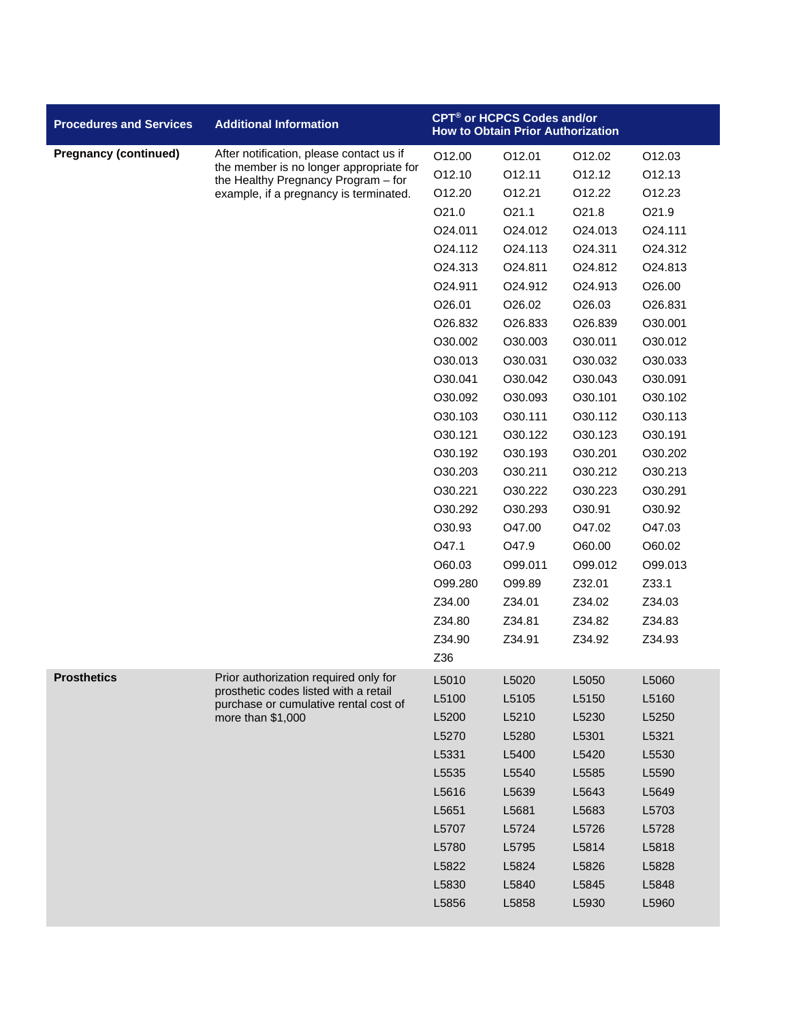| <b>Procedures and Services</b> | <b>Additional Information</b>                                                  |         | CPT® or HCPCS Codes and/or<br><b>How to Obtain Prior Authorization</b> |         |         |
|--------------------------------|--------------------------------------------------------------------------------|---------|------------------------------------------------------------------------|---------|---------|
| <b>Pregnancy (continued)</b>   | After notification, please contact us if                                       | O12.00  | O12.01                                                                 | O12.02  | O12.03  |
|                                | the member is no longer appropriate for<br>the Healthy Pregnancy Program - for | O12.10  | 012.11                                                                 | 012.12  | 012.13  |
|                                | example, if a pregnancy is terminated.                                         | O12.20  | O12.21                                                                 | O12.22  | O12.23  |
|                                |                                                                                | O21.0   | O21.1                                                                  | O21.8   | O21.9   |
|                                |                                                                                | O24.011 | O24.012                                                                | O24.013 | O24.111 |
|                                |                                                                                | O24.112 | O24.113                                                                | O24.311 | O24.312 |
|                                |                                                                                | O24.313 | O24.811                                                                | O24.812 | O24.813 |
|                                |                                                                                | O24.911 | O24.912                                                                | O24.913 | O26.00  |
|                                |                                                                                | O26.01  | O26.02                                                                 | O26.03  | O26.831 |
|                                |                                                                                | O26.832 | O26.833                                                                | O26.839 | O30.001 |
|                                |                                                                                | O30.002 | O30.003                                                                | O30.011 | O30.012 |
|                                |                                                                                | O30.013 | O30.031                                                                | O30.032 | O30.033 |
|                                |                                                                                | O30.041 | O30.042                                                                | O30.043 | O30.091 |
|                                |                                                                                | O30.092 | O30.093                                                                | O30.101 | O30.102 |
|                                |                                                                                | O30.103 | O30.111                                                                | O30.112 | O30.113 |
|                                |                                                                                | O30.121 | O30.122                                                                | O30.123 | O30.191 |
|                                |                                                                                | O30.192 | O30.193                                                                | O30.201 | O30.202 |
|                                |                                                                                | O30.203 | O30.211                                                                | O30.212 | O30.213 |
|                                |                                                                                | O30.221 | O30.222                                                                | O30.223 | O30.291 |
|                                |                                                                                | O30.292 | O30.293                                                                | O30.91  | O30.92  |
|                                |                                                                                | O30.93  | O47.00                                                                 | O47.02  | O47.03  |
|                                |                                                                                | O47.1   | O47.9                                                                  | O60.00  | O60.02  |
|                                |                                                                                | O60.03  | O99.011                                                                | O99.012 | O99.013 |
|                                |                                                                                | O99.280 | O99.89                                                                 | Z32.01  | Z33.1   |
|                                |                                                                                | Z34.00  | Z34.01                                                                 | Z34.02  | Z34.03  |
|                                |                                                                                | Z34.80  | Z34.81                                                                 | Z34.82  | Z34.83  |
|                                |                                                                                | Z34.90  | Z34.91                                                                 | Z34.92  | Z34.93  |
|                                |                                                                                | Z36     |                                                                        |         |         |
| <b>Prosthetics</b>             | Prior authorization required only for<br>prosthetic codes listed with a retail | L5010   | L5020                                                                  | L5050   | L5060   |
|                                | purchase or cumulative rental cost of                                          | L5100   | L5105                                                                  | L5150   | L5160   |
|                                | more than \$1,000                                                              | L5200   | L5210                                                                  | L5230   | L5250   |
|                                |                                                                                | L5270   | L5280                                                                  | L5301   | L5321   |
|                                |                                                                                | L5331   | L5400                                                                  | L5420   | L5530   |
|                                |                                                                                | L5535   | L5540                                                                  | L5585   | L5590   |
|                                |                                                                                | L5616   | L5639                                                                  | L5643   | L5649   |
|                                |                                                                                | L5651   | L5681                                                                  | L5683   | L5703   |
|                                |                                                                                | L5707   | L5724                                                                  | L5726   | L5728   |
|                                |                                                                                | L5780   | L5795                                                                  | L5814   | L5818   |
|                                |                                                                                | L5822   | L5824                                                                  | L5826   | L5828   |
|                                |                                                                                | L5830   | L5840                                                                  | L5845   | L5848   |
|                                |                                                                                | L5856   | L5858                                                                  | L5930   | L5960   |
|                                |                                                                                |         |                                                                        |         |         |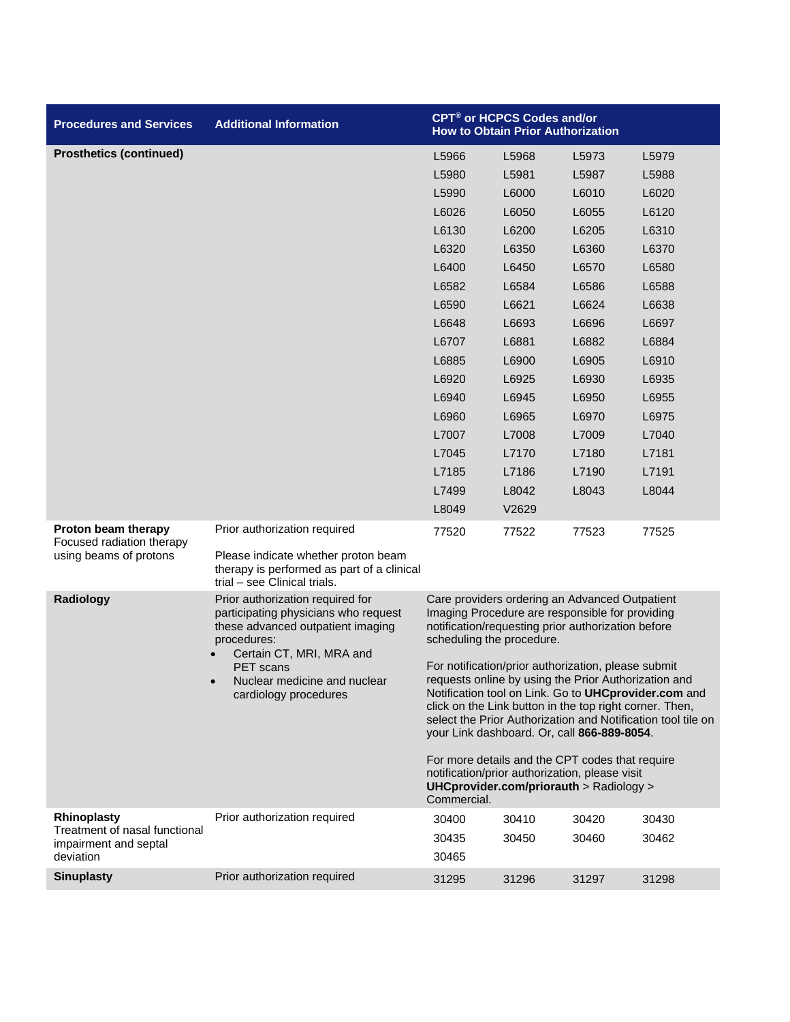| <b>Procedures and Services</b>                         | <b>Additional Information</b>                                                                                                                                                |                                                                                                                                                                                                                                                                                                                                               | CPT <sup>®</sup> or HCPCS Codes and/or<br><b>How to Obtain Prior Authorization</b>                                                           |       |       |
|--------------------------------------------------------|------------------------------------------------------------------------------------------------------------------------------------------------------------------------------|-----------------------------------------------------------------------------------------------------------------------------------------------------------------------------------------------------------------------------------------------------------------------------------------------------------------------------------------------|----------------------------------------------------------------------------------------------------------------------------------------------|-------|-------|
| <b>Prosthetics (continued)</b>                         |                                                                                                                                                                              | L5966                                                                                                                                                                                                                                                                                                                                         | L5968                                                                                                                                        | L5973 | L5979 |
|                                                        |                                                                                                                                                                              | L5980                                                                                                                                                                                                                                                                                                                                         | L5981                                                                                                                                        | L5987 | L5988 |
|                                                        |                                                                                                                                                                              | L5990                                                                                                                                                                                                                                                                                                                                         | L6000                                                                                                                                        | L6010 | L6020 |
|                                                        |                                                                                                                                                                              | L6026                                                                                                                                                                                                                                                                                                                                         | L6050                                                                                                                                        | L6055 | L6120 |
|                                                        |                                                                                                                                                                              | L6130                                                                                                                                                                                                                                                                                                                                         | L6200                                                                                                                                        | L6205 | L6310 |
|                                                        |                                                                                                                                                                              | L6320                                                                                                                                                                                                                                                                                                                                         | L6350                                                                                                                                        | L6360 | L6370 |
|                                                        |                                                                                                                                                                              | L6400                                                                                                                                                                                                                                                                                                                                         | L6450                                                                                                                                        | L6570 | L6580 |
|                                                        |                                                                                                                                                                              | L6582                                                                                                                                                                                                                                                                                                                                         | L6584                                                                                                                                        | L6586 | L6588 |
|                                                        |                                                                                                                                                                              | L6590                                                                                                                                                                                                                                                                                                                                         | L6621                                                                                                                                        | L6624 | L6638 |
|                                                        |                                                                                                                                                                              | L6648                                                                                                                                                                                                                                                                                                                                         | L6693                                                                                                                                        | L6696 | L6697 |
|                                                        |                                                                                                                                                                              | L6707                                                                                                                                                                                                                                                                                                                                         | L6881                                                                                                                                        | L6882 | L6884 |
|                                                        |                                                                                                                                                                              | L6885                                                                                                                                                                                                                                                                                                                                         | L6900                                                                                                                                        | L6905 | L6910 |
|                                                        |                                                                                                                                                                              | L6920                                                                                                                                                                                                                                                                                                                                         | L6925                                                                                                                                        | L6930 | L6935 |
|                                                        |                                                                                                                                                                              | L6940                                                                                                                                                                                                                                                                                                                                         | L6945                                                                                                                                        | L6950 | L6955 |
|                                                        |                                                                                                                                                                              | L6960                                                                                                                                                                                                                                                                                                                                         | L6965                                                                                                                                        | L6970 | L6975 |
|                                                        |                                                                                                                                                                              | L7007                                                                                                                                                                                                                                                                                                                                         | L7008                                                                                                                                        | L7009 | L7040 |
|                                                        |                                                                                                                                                                              | L7045                                                                                                                                                                                                                                                                                                                                         | L7170                                                                                                                                        | L7180 | L7181 |
|                                                        |                                                                                                                                                                              | L7185                                                                                                                                                                                                                                                                                                                                         | L7186                                                                                                                                        | L7190 | L7191 |
|                                                        |                                                                                                                                                                              | L7499                                                                                                                                                                                                                                                                                                                                         | L8042                                                                                                                                        | L8043 | L8044 |
|                                                        |                                                                                                                                                                              | L8049                                                                                                                                                                                                                                                                                                                                         | V2629                                                                                                                                        |       |       |
| Proton beam therapy<br>Focused radiation therapy       | Prior authorization required                                                                                                                                                 | 77520                                                                                                                                                                                                                                                                                                                                         | 77522                                                                                                                                        | 77523 | 77525 |
| using beams of protons                                 | Please indicate whether proton beam<br>therapy is performed as part of a clinical<br>trial - see Clinical trials.                                                            |                                                                                                                                                                                                                                                                                                                                               |                                                                                                                                              |       |       |
| Radiology                                              | Prior authorization required for<br>participating physicians who request<br>these advanced outpatient imaging<br>procedures:<br>Certain CT, MRI, MRA and<br><b>PET</b> scans | Care providers ordering an Advanced Outpatient<br>Imaging Procedure are responsible for providing<br>notification/requesting prior authorization before<br>scheduling the procedure.                                                                                                                                                          |                                                                                                                                              |       |       |
|                                                        | Nuclear medicine and nuclear<br>cardiology procedures                                                                                                                        | For notification/prior authorization, please submit<br>requests online by using the Prior Authorization and<br>Notification tool on Link. Go to UHCprovider.com and<br>click on the Link button in the top right corner. Then,<br>select the Prior Authorization and Notification tool tile on<br>your Link dashboard. Or, call 866-889-8054. |                                                                                                                                              |       |       |
|                                                        |                                                                                                                                                                              | Commercial.                                                                                                                                                                                                                                                                                                                                   | For more details and the CPT codes that require<br>notification/prior authorization, please visit<br>UHCprovider.com/priorauth > Radiology > |       |       |
| Rhinoplasty                                            | Prior authorization required                                                                                                                                                 | 30400                                                                                                                                                                                                                                                                                                                                         | 30410                                                                                                                                        | 30420 | 30430 |
| Treatment of nasal functional<br>impairment and septal |                                                                                                                                                                              | 30435                                                                                                                                                                                                                                                                                                                                         | 30450                                                                                                                                        | 30460 | 30462 |
| deviation                                              |                                                                                                                                                                              | 30465                                                                                                                                                                                                                                                                                                                                         |                                                                                                                                              |       |       |
| <b>Sinuplasty</b>                                      | Prior authorization required                                                                                                                                                 | 31295                                                                                                                                                                                                                                                                                                                                         | 31296                                                                                                                                        | 31297 | 31298 |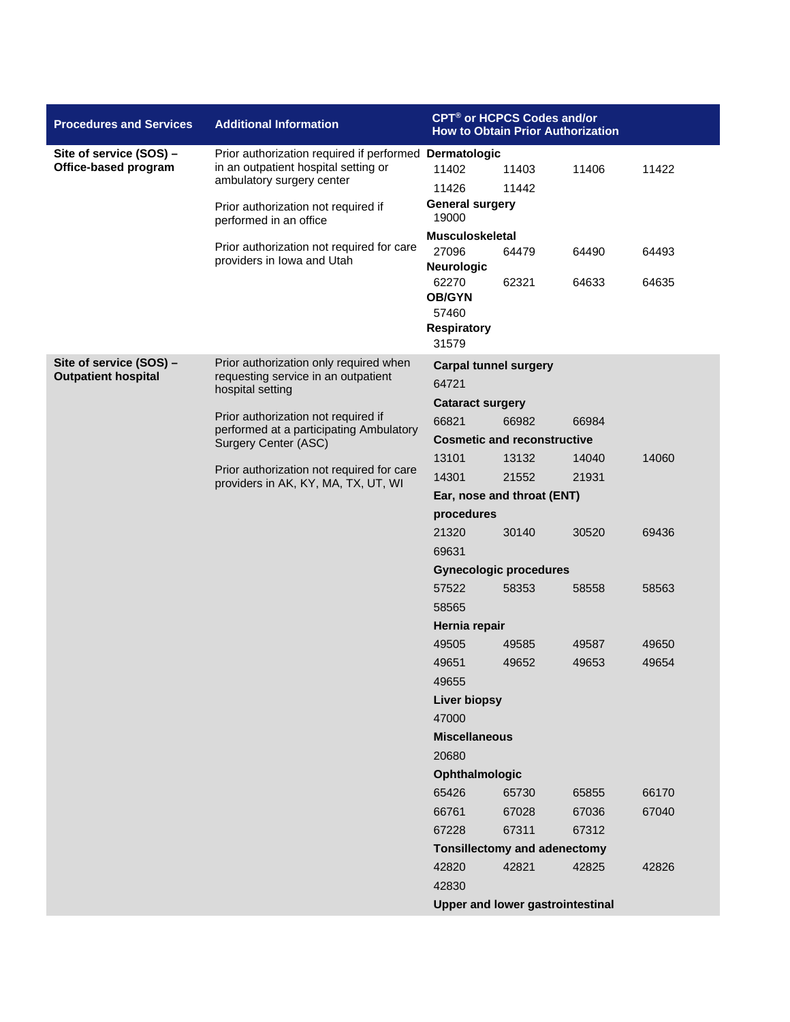| <b>Procedures and Services</b>                        | <b>Additional Information</b>                                                                          | CPT <sup>®</sup> or HCPCS Codes and/or<br><b>How to Obtain Prior Authorization</b> |                                         |       |       |  |
|-------------------------------------------------------|--------------------------------------------------------------------------------------------------------|------------------------------------------------------------------------------------|-----------------------------------------|-------|-------|--|
| Site of service (SOS) -                               | Prior authorization required if performed Dermatologic                                                 |                                                                                    |                                         |       |       |  |
| Office-based program                                  | in an outpatient hospital setting or<br>ambulatory surgery center                                      | 11402                                                                              | 11403                                   | 11406 | 11422 |  |
|                                                       |                                                                                                        | 11426                                                                              | 11442                                   |       |       |  |
|                                                       | Prior authorization not required if<br>performed in an office                                          | <b>General surgery</b><br>19000                                                    |                                         |       |       |  |
|                                                       | Prior authorization not required for care                                                              | Musculoskeletal                                                                    |                                         |       |       |  |
|                                                       | providers in Iowa and Utah                                                                             | 27096<br><b>Neurologic</b>                                                         | 64479                                   | 64490 | 64493 |  |
|                                                       |                                                                                                        | 62270                                                                              | 62321                                   | 64633 | 64635 |  |
|                                                       |                                                                                                        | <b>OB/GYN</b><br>57460                                                             |                                         |       |       |  |
|                                                       |                                                                                                        | <b>Respiratory</b>                                                                 |                                         |       |       |  |
|                                                       |                                                                                                        | 31579                                                                              |                                         |       |       |  |
| Site of service (SOS) -<br><b>Outpatient hospital</b> | Prior authorization only required when<br>requesting service in an outpatient                          | <b>Carpal tunnel surgery</b><br>64721                                              |                                         |       |       |  |
|                                                       | hospital setting                                                                                       |                                                                                    |                                         |       |       |  |
|                                                       | Prior authorization not required if<br>performed at a participating Ambulatory<br>Surgery Center (ASC) | <b>Cataract surgery</b><br>66821                                                   | 66982                                   | 66984 |       |  |
|                                                       |                                                                                                        |                                                                                    | <b>Cosmetic and reconstructive</b>      |       |       |  |
|                                                       |                                                                                                        | 13101                                                                              | 13132                                   | 14040 | 14060 |  |
|                                                       | Prior authorization not required for care<br>providers in AK, KY, MA, TX, UT, WI                       | 14301                                                                              | 21552                                   | 21931 |       |  |
|                                                       |                                                                                                        | Ear, nose and throat (ENT)                                                         |                                         |       |       |  |
|                                                       |                                                                                                        | procedures                                                                         |                                         |       |       |  |
|                                                       |                                                                                                        | 21320                                                                              | 30140                                   | 30520 | 69436 |  |
|                                                       |                                                                                                        | 69631                                                                              |                                         |       |       |  |
|                                                       |                                                                                                        | <b>Gynecologic procedures</b>                                                      |                                         |       |       |  |
|                                                       |                                                                                                        | 57522                                                                              | 58353                                   | 58558 | 58563 |  |
|                                                       |                                                                                                        | 58565                                                                              |                                         |       |       |  |
|                                                       |                                                                                                        | Hernia repair                                                                      |                                         |       |       |  |
|                                                       |                                                                                                        | 49505                                                                              | 49585                                   | 49587 | 49650 |  |
|                                                       |                                                                                                        | 49651                                                                              | 49652                                   | 49653 | 49654 |  |
|                                                       |                                                                                                        | 49655                                                                              |                                         |       |       |  |
|                                                       |                                                                                                        | <b>Liver biopsy</b>                                                                |                                         |       |       |  |
|                                                       |                                                                                                        | 47000<br><b>Miscellaneous</b>                                                      |                                         |       |       |  |
|                                                       |                                                                                                        | 20680                                                                              |                                         |       |       |  |
|                                                       |                                                                                                        | Ophthalmologic                                                                     |                                         |       |       |  |
|                                                       |                                                                                                        | 65426                                                                              | 65730                                   | 65855 | 66170 |  |
|                                                       |                                                                                                        | 66761                                                                              | 67028                                   | 67036 | 67040 |  |
|                                                       |                                                                                                        | 67228                                                                              | 67311                                   | 67312 |       |  |
|                                                       |                                                                                                        |                                                                                    | <b>Tonsillectomy and adenectomy</b>     |       |       |  |
|                                                       |                                                                                                        | 42820                                                                              | 42821                                   | 42825 | 42826 |  |
|                                                       |                                                                                                        | 42830                                                                              |                                         |       |       |  |
|                                                       |                                                                                                        |                                                                                    | <b>Upper and lower gastrointestinal</b> |       |       |  |
|                                                       |                                                                                                        |                                                                                    |                                         |       |       |  |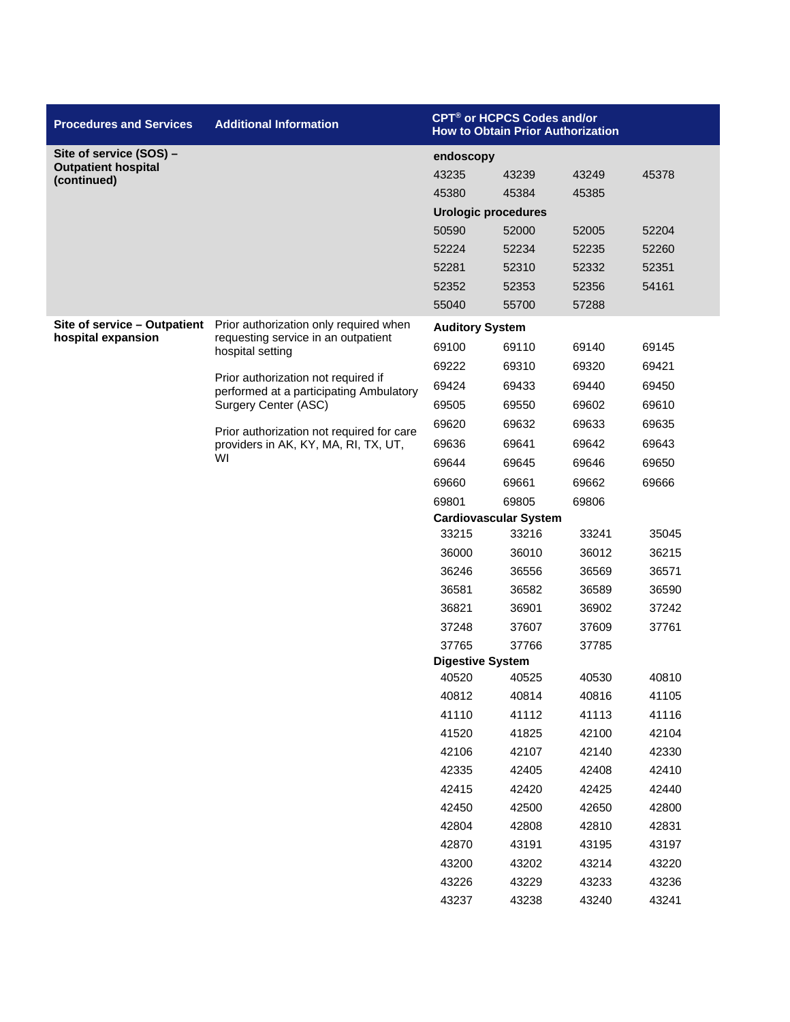| <b>Procedures and Services</b>            | <b>Additional Information</b>                                                     |                            | <b>CPT<sup>®</sup> or HCPCS Codes and/or</b><br><b>How to Obtain Prior Authorization</b> |                |                |  |
|-------------------------------------------|-----------------------------------------------------------------------------------|----------------------------|------------------------------------------------------------------------------------------|----------------|----------------|--|
| Site of service (SOS) -                   |                                                                                   | endoscopy                  |                                                                                          |                |                |  |
| <b>Outpatient hospital</b><br>(continued) |                                                                                   | 43235                      | 43239                                                                                    | 43249          | 45378          |  |
|                                           |                                                                                   | 45380                      | 45384                                                                                    | 45385          |                |  |
|                                           |                                                                                   | <b>Urologic procedures</b> |                                                                                          |                |                |  |
|                                           |                                                                                   | 50590                      | 52000                                                                                    | 52005          | 52204          |  |
|                                           |                                                                                   | 52224                      | 52234                                                                                    | 52235          | 52260          |  |
|                                           |                                                                                   | 52281                      | 52310                                                                                    | 52332          | 52351          |  |
|                                           |                                                                                   | 52352                      | 52353                                                                                    | 52356          | 54161          |  |
|                                           |                                                                                   | 55040                      | 55700                                                                                    | 57288          |                |  |
| Site of service - Outpatient              | Prior authorization only required when                                            | <b>Auditory System</b>     |                                                                                          |                |                |  |
| hospital expansion                        | requesting service in an outpatient<br>hospital setting                           | 69100                      | 69110                                                                                    | 69140          | 69145          |  |
|                                           |                                                                                   | 69222                      | 69310                                                                                    | 69320          | 69421          |  |
|                                           | Prior authorization not required if<br>performed at a participating Ambulatory    | 69424                      | 69433                                                                                    | 69440          | 69450          |  |
|                                           | Surgery Center (ASC)                                                              | 69505                      | 69550                                                                                    | 69602          | 69610          |  |
|                                           |                                                                                   | 69620                      | 69632                                                                                    | 69633          | 69635          |  |
|                                           | Prior authorization not required for care<br>providers in AK, KY, MA, RI, TX, UT, | 69636                      | 69641                                                                                    | 69642          | 69643          |  |
|                                           | WI                                                                                | 69644                      | 69645                                                                                    | 69646          | 69650          |  |
|                                           |                                                                                   | 69660                      | 69661                                                                                    | 69662          | 69666          |  |
|                                           |                                                                                   | 69801                      | 69805                                                                                    | 69806          |                |  |
|                                           |                                                                                   |                            | <b>Cardiovascular System</b>                                                             |                |                |  |
|                                           |                                                                                   | 33215                      | 33216                                                                                    | 33241          | 35045          |  |
|                                           |                                                                                   | 36000                      | 36010                                                                                    | 36012          | 36215          |  |
|                                           |                                                                                   | 36246                      | 36556                                                                                    | 36569          | 36571          |  |
|                                           |                                                                                   | 36581                      | 36582                                                                                    | 36589          | 36590          |  |
|                                           |                                                                                   | 36821                      | 36901                                                                                    | 36902          | 37242          |  |
|                                           |                                                                                   | 37248                      | 37607                                                                                    | 37609          | 37761          |  |
|                                           |                                                                                   | 37765                      | 37766                                                                                    | 37785          |                |  |
|                                           |                                                                                   | <b>Digestive System</b>    |                                                                                          |                |                |  |
|                                           |                                                                                   | 40520                      | 40525                                                                                    | 40530          | 40810          |  |
|                                           |                                                                                   | 40812<br>41110             | 40814                                                                                    | 40816          | 41105          |  |
|                                           |                                                                                   |                            | 41112                                                                                    | 41113          | 41116          |  |
|                                           |                                                                                   | 41520<br>42106             | 41825<br>42107                                                                           | 42100<br>42140 | 42104<br>42330 |  |
|                                           |                                                                                   | 42335                      | 42405                                                                                    | 42408          | 42410          |  |
|                                           |                                                                                   |                            |                                                                                          |                |                |  |
|                                           |                                                                                   | 42415<br>42450             | 42420<br>42500                                                                           | 42425<br>42650 | 42440<br>42800 |  |
|                                           |                                                                                   | 42804                      | 42808                                                                                    | 42810          | 42831          |  |
|                                           |                                                                                   | 42870                      | 43191                                                                                    | 43195          | 43197          |  |
|                                           |                                                                                   | 43200                      | 43202                                                                                    | 43214          | 43220          |  |
|                                           |                                                                                   | 43226                      | 43229                                                                                    | 43233          | 43236          |  |
|                                           |                                                                                   | 43237                      | 43238                                                                                    | 43240          | 43241          |  |
|                                           |                                                                                   |                            |                                                                                          |                |                |  |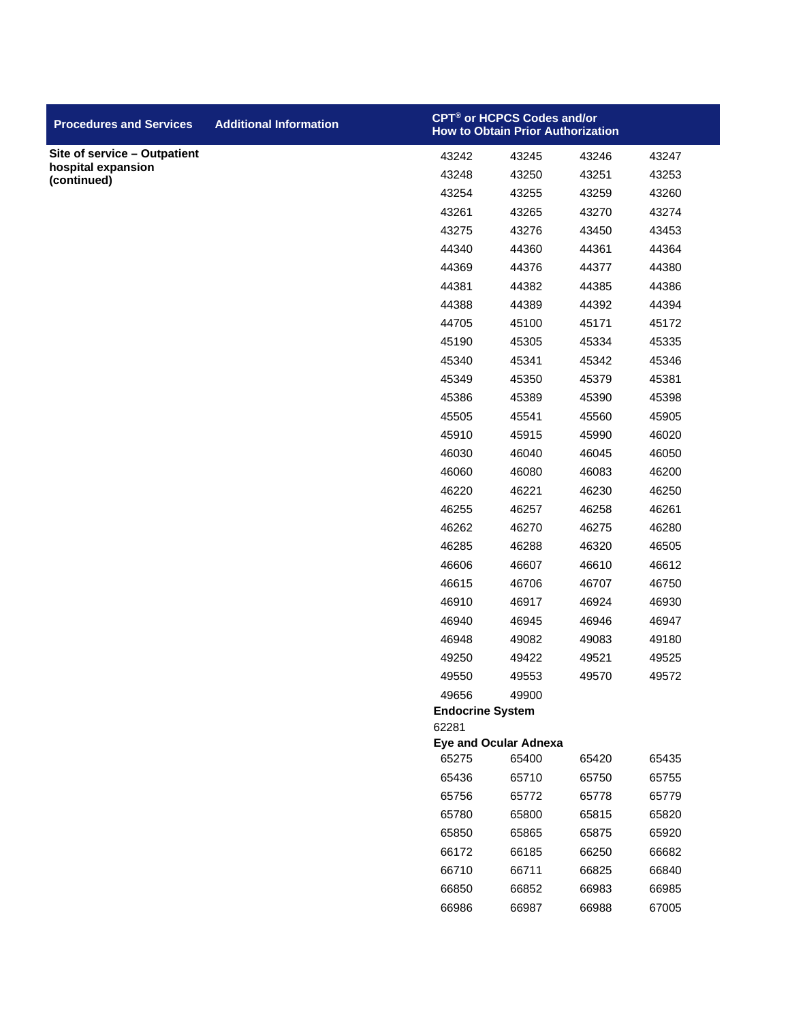| <b>Procedures and Services</b>    | <b>Additional Information</b> |                                  | <b>CPT<sup>®</sup> or HCPCS Codes and/or</b><br><b>How to Obtain Prior Authorization</b> |       |       |
|-----------------------------------|-------------------------------|----------------------------------|------------------------------------------------------------------------------------------|-------|-------|
| Site of service - Outpatient      |                               | 43242                            | 43245                                                                                    | 43246 | 43247 |
| hospital expansion<br>(continued) |                               | 43248                            | 43250                                                                                    | 43251 | 43253 |
|                                   |                               | 43254                            | 43255                                                                                    | 43259 | 43260 |
|                                   |                               | 43261                            | 43265                                                                                    | 43270 | 43274 |
|                                   |                               | 43275                            | 43276                                                                                    | 43450 | 43453 |
|                                   |                               | 44340                            | 44360                                                                                    | 44361 | 44364 |
|                                   |                               | 44369                            | 44376                                                                                    | 44377 | 44380 |
|                                   |                               | 44381                            | 44382                                                                                    | 44385 | 44386 |
|                                   |                               | 44388                            | 44389                                                                                    | 44392 | 44394 |
|                                   |                               | 44705                            | 45100                                                                                    | 45171 | 45172 |
|                                   |                               | 45190                            | 45305                                                                                    | 45334 | 45335 |
|                                   |                               | 45340                            | 45341                                                                                    | 45342 | 45346 |
|                                   |                               | 45349                            | 45350                                                                                    | 45379 | 45381 |
|                                   |                               | 45386                            | 45389                                                                                    | 45390 | 45398 |
|                                   |                               | 45505                            | 45541                                                                                    | 45560 | 45905 |
|                                   |                               | 45910                            | 45915                                                                                    | 45990 | 46020 |
|                                   |                               | 46030                            | 46040                                                                                    | 46045 | 46050 |
|                                   |                               | 46060                            | 46080                                                                                    | 46083 | 46200 |
|                                   |                               | 46220                            | 46221                                                                                    | 46230 | 46250 |
|                                   |                               | 46255                            | 46257                                                                                    | 46258 | 46261 |
|                                   |                               | 46262                            | 46270                                                                                    | 46275 | 46280 |
|                                   |                               | 46285                            | 46288                                                                                    | 46320 | 46505 |
|                                   |                               | 46606                            | 46607                                                                                    | 46610 | 46612 |
|                                   |                               | 46615                            | 46706                                                                                    | 46707 | 46750 |
|                                   |                               | 46910                            | 46917                                                                                    | 46924 | 46930 |
|                                   |                               | 46940                            | 46945                                                                                    | 46946 | 46947 |
|                                   |                               | 46948                            | 49082                                                                                    | 49083 | 49180 |
|                                   |                               | 49250                            | 49422                                                                                    | 49521 | 49525 |
|                                   |                               | 49550                            | 49553                                                                                    | 49570 | 49572 |
|                                   |                               | 49656                            | 49900                                                                                    |       |       |
|                                   |                               | <b>Endocrine System</b><br>62281 |                                                                                          |       |       |
|                                   |                               |                                  | <b>Eye and Ocular Adnexa</b>                                                             |       |       |
|                                   |                               | 65275                            | 65400                                                                                    | 65420 | 65435 |
|                                   |                               | 65436                            | 65710                                                                                    | 65750 | 65755 |
|                                   |                               | 65756                            | 65772                                                                                    | 65778 | 65779 |
|                                   |                               | 65780                            | 65800                                                                                    | 65815 | 65820 |
|                                   |                               | 65850                            | 65865                                                                                    | 65875 | 65920 |
|                                   |                               | 66172                            | 66185                                                                                    | 66250 | 66682 |
|                                   |                               | 66710                            | 66711                                                                                    | 66825 | 66840 |
|                                   |                               | 66850                            | 66852                                                                                    | 66983 | 66985 |
|                                   |                               | 66986                            | 66987                                                                                    | 66988 | 67005 |
|                                   |                               |                                  |                                                                                          |       |       |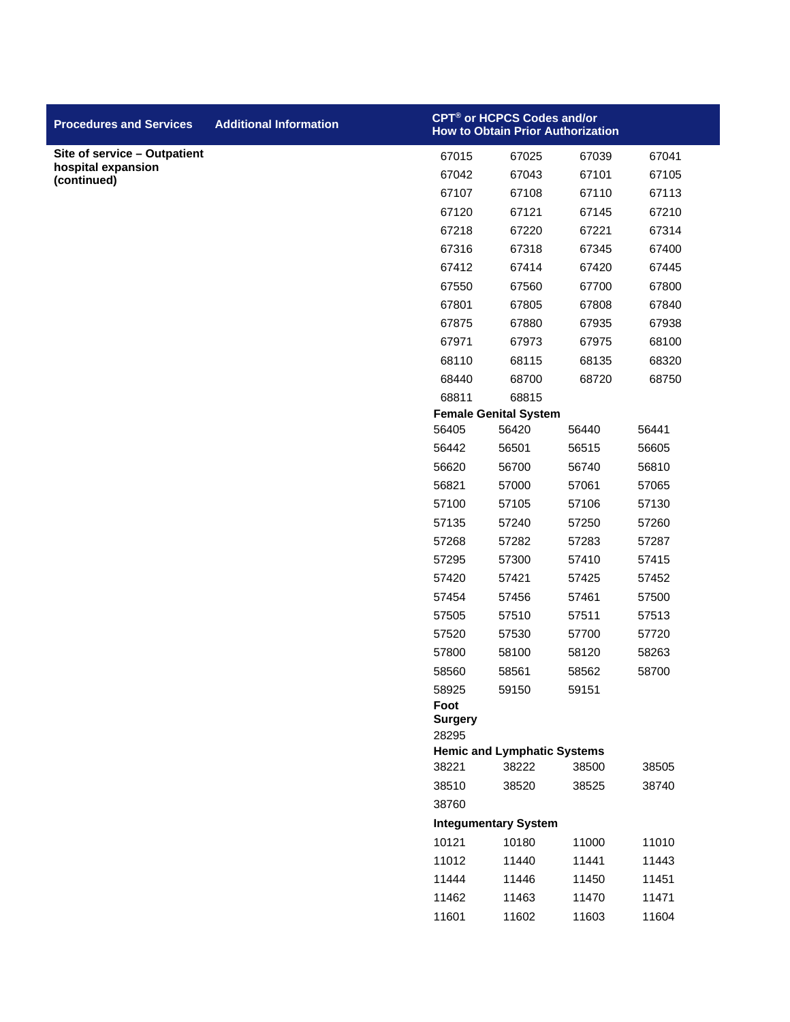| <b>Procedures and Services</b>    | <b>Additional Information</b> |                         | CPT <sup>®</sup> or HCPCS Codes and/or<br><b>How to Obtain Prior Authorization</b> |       |       |
|-----------------------------------|-------------------------------|-------------------------|------------------------------------------------------------------------------------|-------|-------|
| Site of service - Outpatient      |                               | 67015                   | 67025                                                                              | 67039 | 67041 |
| hospital expansion<br>(continued) |                               | 67042                   | 67043                                                                              | 67101 | 67105 |
|                                   |                               | 67107                   | 67108                                                                              | 67110 | 67113 |
|                                   |                               | 67120                   | 67121                                                                              | 67145 | 67210 |
|                                   |                               | 67218                   | 67220                                                                              | 67221 | 67314 |
|                                   |                               | 67316                   | 67318                                                                              | 67345 | 67400 |
|                                   |                               | 67412                   | 67414                                                                              | 67420 | 67445 |
|                                   |                               | 67550                   | 67560                                                                              | 67700 | 67800 |
|                                   |                               | 67801                   | 67805                                                                              | 67808 | 67840 |
|                                   |                               | 67875                   | 67880                                                                              | 67935 | 67938 |
|                                   |                               | 67971                   | 67973                                                                              | 67975 | 68100 |
|                                   |                               | 68110                   | 68115                                                                              | 68135 | 68320 |
|                                   |                               | 68440                   | 68700                                                                              | 68720 | 68750 |
|                                   |                               | 68811                   | 68815                                                                              |       |       |
|                                   |                               |                         | <b>Female Genital System</b>                                                       |       |       |
|                                   |                               | 56405                   | 56420                                                                              | 56440 | 56441 |
|                                   |                               | 56442                   | 56501                                                                              | 56515 | 56605 |
|                                   |                               | 56620                   | 56700                                                                              | 56740 | 56810 |
|                                   |                               | 56821                   | 57000                                                                              | 57061 | 57065 |
|                                   |                               | 57100                   | 57105                                                                              | 57106 | 57130 |
|                                   |                               | 57135                   | 57240                                                                              | 57250 | 57260 |
|                                   |                               | 57268                   | 57282                                                                              | 57283 | 57287 |
|                                   |                               | 57295                   | 57300                                                                              | 57410 | 57415 |
|                                   |                               | 57420                   | 57421                                                                              | 57425 | 57452 |
|                                   |                               | 57454                   | 57456                                                                              | 57461 | 57500 |
|                                   |                               | 57505                   | 57510                                                                              | 57511 | 57513 |
|                                   |                               | 57520                   | 57530                                                                              | 57700 | 57720 |
|                                   |                               | 57800                   | 58100                                                                              | 58120 | 58263 |
|                                   |                               | 58560                   | 58561                                                                              | 58562 | 58700 |
|                                   |                               | 58925<br>Foot           | 59150                                                                              | 59151 |       |
|                                   |                               | <b>Surgery</b><br>28295 |                                                                                    |       |       |
|                                   |                               |                         | <b>Hemic and Lymphatic Systems</b>                                                 |       |       |
|                                   |                               | 38221                   | 38222                                                                              | 38500 | 38505 |
|                                   |                               | 38510                   | 38520                                                                              | 38525 | 38740 |
|                                   |                               | 38760                   |                                                                                    |       |       |
|                                   |                               |                         | <b>Integumentary System</b>                                                        |       |       |
|                                   |                               | 10121                   | 10180                                                                              | 11000 | 11010 |
|                                   |                               | 11012                   | 11440                                                                              | 11441 | 11443 |
|                                   |                               | 11444                   | 11446                                                                              | 11450 | 11451 |
|                                   |                               | 11462                   | 11463                                                                              | 11470 | 11471 |
|                                   |                               | 11601                   | 11602                                                                              | 11603 | 11604 |
|                                   |                               |                         |                                                                                    |       |       |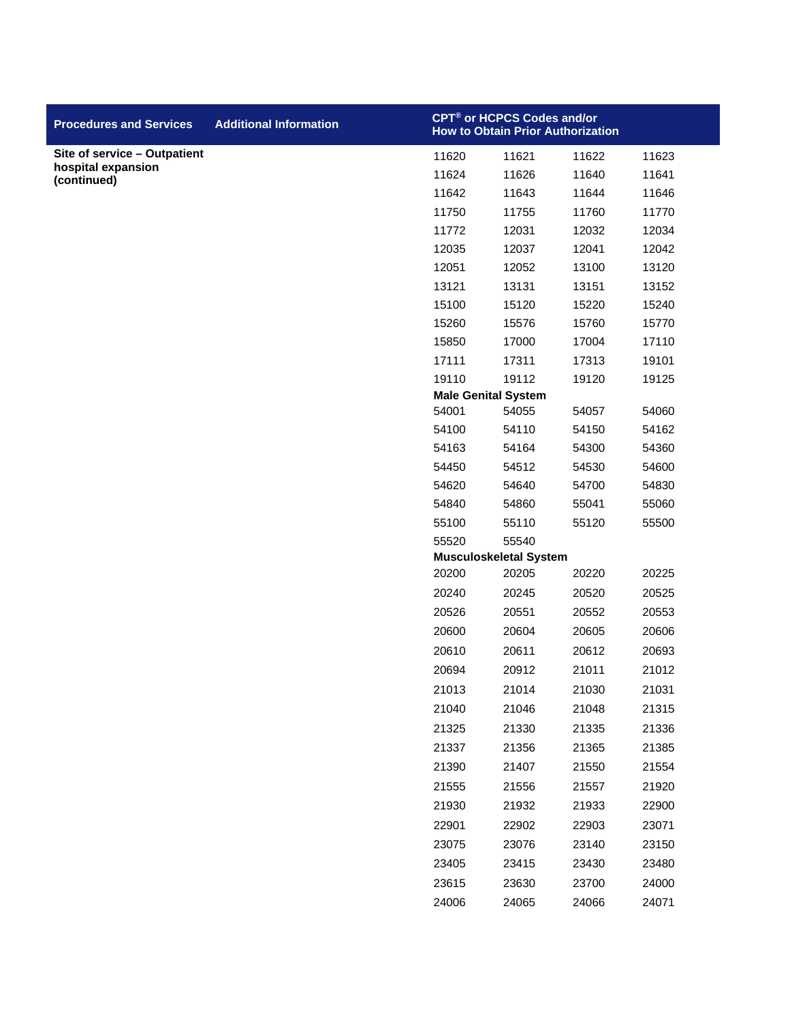| <b>Procedures and Services</b>    | <b>Additional Information</b> |       | CPT® or HCPCS Codes and/or<br><b>How to Obtain Prior Authorization</b> |       |       |
|-----------------------------------|-------------------------------|-------|------------------------------------------------------------------------|-------|-------|
| Site of service - Outpatient      |                               | 11620 | 11621                                                                  | 11622 | 11623 |
| hospital expansion<br>(continued) |                               | 11624 | 11626                                                                  | 11640 | 11641 |
|                                   |                               | 11642 | 11643                                                                  | 11644 | 11646 |
|                                   |                               | 11750 | 11755                                                                  | 11760 | 11770 |
|                                   |                               | 11772 | 12031                                                                  | 12032 | 12034 |
|                                   |                               | 12035 | 12037                                                                  | 12041 | 12042 |
|                                   |                               | 12051 | 12052                                                                  | 13100 | 13120 |
|                                   |                               | 13121 | 13131                                                                  | 13151 | 13152 |
|                                   |                               | 15100 | 15120                                                                  | 15220 | 15240 |
|                                   |                               | 15260 | 15576                                                                  | 15760 | 15770 |
|                                   |                               | 15850 | 17000                                                                  | 17004 | 17110 |
|                                   |                               | 17111 | 17311                                                                  | 17313 | 19101 |
|                                   |                               | 19110 | 19112                                                                  | 19120 | 19125 |
|                                   |                               |       | <b>Male Genital System</b>                                             |       |       |
|                                   |                               | 54001 | 54055                                                                  | 54057 | 54060 |
|                                   |                               | 54100 | 54110                                                                  | 54150 | 54162 |
|                                   |                               | 54163 | 54164                                                                  | 54300 | 54360 |
|                                   |                               | 54450 | 54512                                                                  | 54530 | 54600 |
|                                   |                               | 54620 | 54640                                                                  | 54700 | 54830 |
|                                   |                               | 54840 | 54860                                                                  | 55041 | 55060 |
|                                   |                               | 55100 | 55110                                                                  | 55120 | 55500 |
|                                   |                               | 55520 | 55540<br><b>Musculoskeletal System</b>                                 |       |       |
|                                   |                               | 20200 | 20205                                                                  | 20220 | 20225 |
|                                   |                               | 20240 | 20245                                                                  | 20520 | 20525 |
|                                   |                               | 20526 | 20551                                                                  | 20552 | 20553 |
|                                   |                               | 20600 | 20604                                                                  | 20605 | 20606 |
|                                   |                               | 20610 | 20611                                                                  | 20612 | 20693 |
|                                   |                               | 20694 | 20912                                                                  | 21011 | 21012 |
|                                   |                               | 21013 | 21014                                                                  | 21030 | 21031 |
|                                   |                               | 21040 | 21046                                                                  | 21048 | 21315 |
|                                   |                               | 21325 | 21330                                                                  | 21335 | 21336 |
|                                   |                               | 21337 | 21356                                                                  | 21365 | 21385 |
|                                   |                               | 21390 | 21407                                                                  | 21550 | 21554 |
|                                   |                               | 21555 |                                                                        |       | 21920 |
|                                   |                               |       | 21556                                                                  | 21557 |       |
|                                   |                               | 21930 | 21932                                                                  | 21933 | 22900 |
|                                   |                               | 22901 | 22902                                                                  | 22903 | 23071 |
|                                   |                               | 23075 | 23076                                                                  | 23140 | 23150 |
|                                   |                               | 23405 | 23415                                                                  | 23430 | 23480 |
|                                   |                               | 23615 | 23630                                                                  | 23700 | 24000 |
|                                   |                               | 24006 | 24065                                                                  | 24066 | 24071 |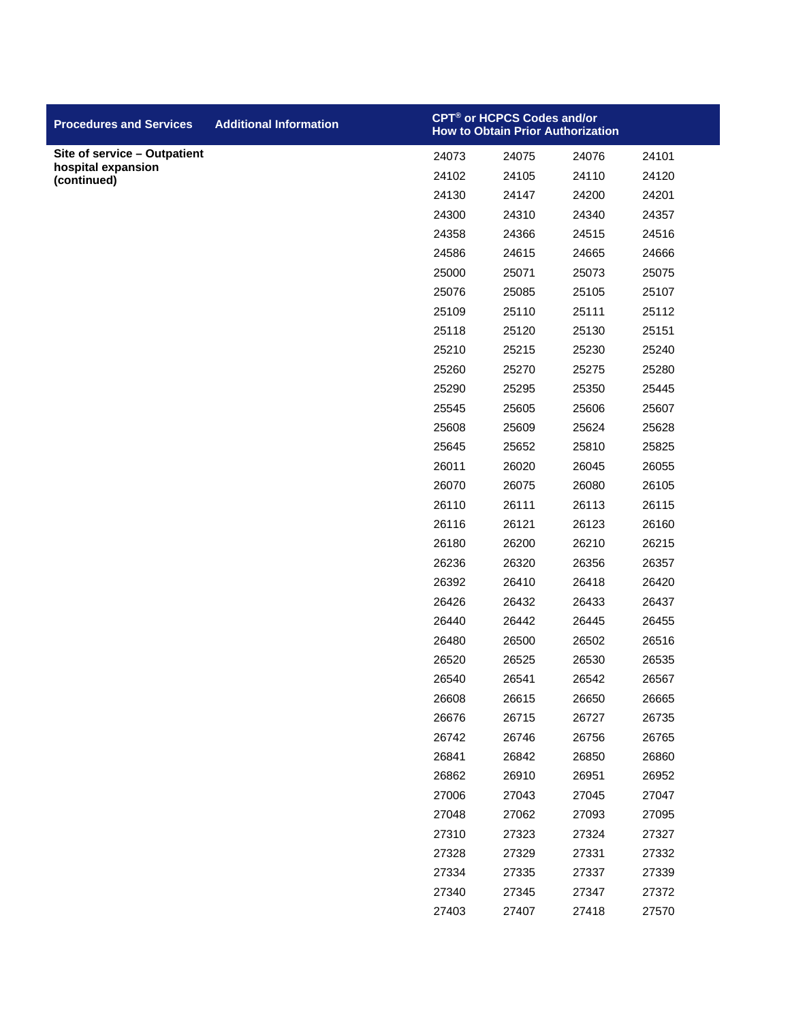| <b>Procedures and Services</b>    | <b>Additional Information</b> |       | CPT <sup>®</sup> or HCPCS Codes and/or<br><b>How to Obtain Prior Authorization</b> |       |       |
|-----------------------------------|-------------------------------|-------|------------------------------------------------------------------------------------|-------|-------|
| Site of service - Outpatient      |                               | 24073 | 24075                                                                              | 24076 | 24101 |
| hospital expansion<br>(continued) |                               | 24102 | 24105                                                                              | 24110 | 24120 |
|                                   |                               | 24130 | 24147                                                                              | 24200 | 24201 |
|                                   |                               | 24300 | 24310                                                                              | 24340 | 24357 |
|                                   |                               | 24358 | 24366                                                                              | 24515 | 24516 |
|                                   |                               | 24586 | 24615                                                                              | 24665 | 24666 |
|                                   |                               | 25000 | 25071                                                                              | 25073 | 25075 |
|                                   |                               | 25076 | 25085                                                                              | 25105 | 25107 |
|                                   |                               | 25109 | 25110                                                                              | 25111 | 25112 |
|                                   |                               | 25118 | 25120                                                                              | 25130 | 25151 |
|                                   |                               | 25210 | 25215                                                                              | 25230 | 25240 |
|                                   |                               | 25260 | 25270                                                                              | 25275 | 25280 |
|                                   |                               | 25290 | 25295                                                                              | 25350 | 25445 |
|                                   |                               | 25545 | 25605                                                                              | 25606 | 25607 |
|                                   |                               | 25608 | 25609                                                                              | 25624 | 25628 |
|                                   |                               | 25645 | 25652                                                                              | 25810 | 25825 |
|                                   |                               | 26011 | 26020                                                                              | 26045 | 26055 |
|                                   |                               | 26070 | 26075                                                                              | 26080 | 26105 |
|                                   |                               | 26110 | 26111                                                                              | 26113 | 26115 |
|                                   |                               | 26116 | 26121                                                                              | 26123 | 26160 |
|                                   |                               | 26180 | 26200                                                                              | 26210 | 26215 |
|                                   |                               | 26236 | 26320                                                                              | 26356 | 26357 |
|                                   |                               | 26392 | 26410                                                                              | 26418 | 26420 |
|                                   |                               | 26426 | 26432                                                                              | 26433 | 26437 |
|                                   |                               | 26440 | 26442                                                                              | 26445 | 26455 |
|                                   |                               | 26480 | 26500                                                                              | 26502 | 26516 |
|                                   |                               | 26520 | 26525                                                                              | 26530 | 26535 |
|                                   |                               | 26540 | 26541                                                                              | 26542 | 26567 |
|                                   |                               | 26608 | 26615                                                                              | 26650 | 26665 |
|                                   |                               | 26676 | 26715                                                                              | 26727 | 26735 |
|                                   |                               | 26742 | 26746                                                                              | 26756 | 26765 |
|                                   |                               | 26841 | 26842                                                                              | 26850 | 26860 |
|                                   |                               | 26862 | 26910                                                                              | 26951 | 26952 |
|                                   |                               | 27006 | 27043                                                                              | 27045 | 27047 |
|                                   |                               | 27048 | 27062                                                                              | 27093 | 27095 |
|                                   |                               | 27310 | 27323                                                                              | 27324 | 27327 |
|                                   |                               | 27328 | 27329                                                                              | 27331 | 27332 |
|                                   |                               | 27334 | 27335                                                                              | 27337 | 27339 |
|                                   |                               | 27340 | 27345                                                                              | 27347 | 27372 |
|                                   |                               | 27403 | 27407                                                                              | 27418 | 27570 |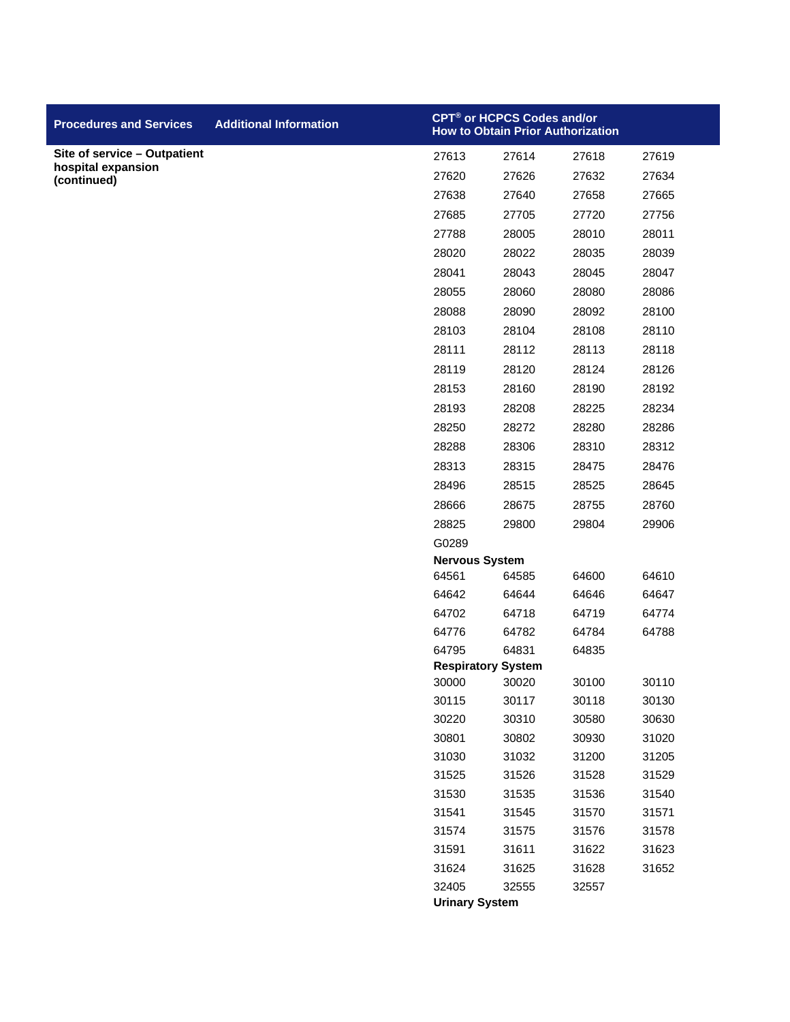| <b>Procedures and Services</b>    | <b>Additional Information</b> | CPT® or HCPCS Codes and/or<br><b>How to Obtain Prior Authorization</b> |                |                |                |
|-----------------------------------|-------------------------------|------------------------------------------------------------------------|----------------|----------------|----------------|
| Site of service - Outpatient      |                               | 27613                                                                  | 27614          | 27618          | 27619          |
| hospital expansion<br>(continued) |                               | 27620                                                                  | 27626          | 27632          | 27634          |
|                                   |                               | 27638                                                                  | 27640          | 27658          | 27665          |
|                                   |                               | 27685                                                                  | 27705          | 27720          | 27756          |
|                                   |                               | 27788                                                                  | 28005          | 28010          | 28011          |
|                                   |                               | 28020                                                                  | 28022          | 28035          | 28039          |
|                                   |                               | 28041                                                                  | 28043          | 28045          | 28047          |
|                                   |                               | 28055                                                                  | 28060          | 28080          | 28086          |
|                                   |                               | 28088                                                                  | 28090          | 28092          | 28100          |
|                                   |                               | 28103                                                                  | 28104          | 28108          | 28110          |
|                                   |                               | 28111                                                                  | 28112          | 28113          | 28118          |
|                                   |                               | 28119                                                                  | 28120          | 28124          | 28126          |
|                                   |                               | 28153                                                                  | 28160          | 28190          | 28192          |
|                                   |                               | 28193                                                                  | 28208          | 28225          | 28234          |
|                                   |                               | 28250                                                                  | 28272          | 28280          | 28286          |
|                                   |                               | 28288                                                                  | 28306          | 28310          | 28312          |
|                                   |                               | 28313                                                                  | 28315          | 28475          | 28476          |
|                                   |                               | 28496                                                                  | 28515          | 28525          | 28645          |
|                                   |                               | 28666                                                                  | 28675          | 28755          | 28760          |
|                                   |                               | 28825                                                                  | 29800          | 29804          | 29906          |
|                                   |                               | G0289                                                                  |                |                |                |
|                                   |                               | <b>Nervous System</b><br>64561                                         | 64585          | 64600          | 64610          |
|                                   |                               | 64642                                                                  | 64644          | 64646          | 64647          |
|                                   |                               | 64702                                                                  | 64718          | 64719          | 64774          |
|                                   |                               | 64776                                                                  | 64782          | 64784          | 64788          |
|                                   |                               | 64795                                                                  | 64831          | 64835          |                |
|                                   |                               | <b>Respiratory System</b>                                              |                |                |                |
|                                   |                               | 30000                                                                  | 30020          | 30100          | 30110          |
|                                   |                               | 30115                                                                  | 30117          | 30118          | 30130          |
|                                   |                               | 30220                                                                  | 30310          | 30580          | 30630          |
|                                   |                               | 30801                                                                  | 30802          | 30930          | 31020          |
|                                   |                               | 31030                                                                  | 31032          | 31200          | 31205          |
|                                   |                               | 31525                                                                  | 31526          | 31528          | 31529          |
|                                   |                               | 31530                                                                  | 31535          | 31536          | 31540          |
|                                   |                               | 31541<br>31574                                                         | 31545<br>31575 | 31570<br>31576 | 31571<br>31578 |
|                                   |                               | 31591                                                                  | 31611          | 31622          | 31623          |
|                                   |                               | 31624                                                                  | 31625          | 31628          | 31652          |
|                                   |                               | 32405                                                                  | 32555          | 32557          |                |
|                                   |                               | <b>Urinary System</b>                                                  |                |                |                |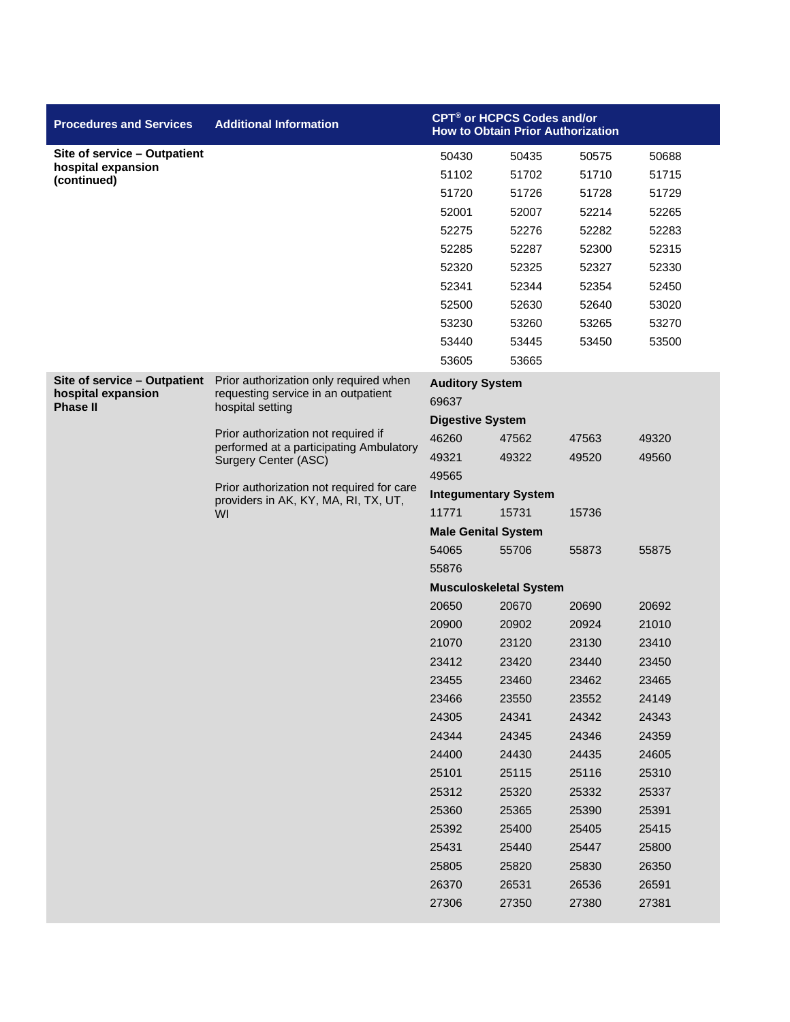| <b>Procedures and Services</b>        | <b>Additional Information</b>                                                     | <b>CPT<sup>®</sup> or HCPCS Codes and/or</b><br><b>How to Obtain Prior Authorization</b> |       |       |       |  |
|---------------------------------------|-----------------------------------------------------------------------------------|------------------------------------------------------------------------------------------|-------|-------|-------|--|
| Site of service - Outpatient          |                                                                                   | 50430                                                                                    | 50435 | 50575 | 50688 |  |
| hospital expansion<br>(continued)     |                                                                                   | 51102                                                                                    | 51702 | 51710 | 51715 |  |
|                                       |                                                                                   | 51720                                                                                    | 51726 | 51728 | 51729 |  |
|                                       |                                                                                   | 52001                                                                                    | 52007 | 52214 | 52265 |  |
|                                       |                                                                                   | 52275                                                                                    | 52276 | 52282 | 52283 |  |
|                                       |                                                                                   | 52285                                                                                    | 52287 | 52300 | 52315 |  |
|                                       |                                                                                   | 52320                                                                                    | 52325 | 52327 | 52330 |  |
|                                       |                                                                                   | 52341                                                                                    | 52344 | 52354 | 52450 |  |
|                                       |                                                                                   | 52500                                                                                    | 52630 | 52640 | 53020 |  |
|                                       |                                                                                   | 53230                                                                                    | 53260 | 53265 | 53270 |  |
|                                       |                                                                                   | 53440                                                                                    | 53445 | 53450 | 53500 |  |
|                                       |                                                                                   | 53605                                                                                    | 53665 |       |       |  |
| Site of service - Outpatient          | Prior authorization only required when                                            | <b>Auditory System</b>                                                                   |       |       |       |  |
| hospital expansion<br><b>Phase II</b> | requesting service in an outpatient<br>hospital setting                           | 69637                                                                                    |       |       |       |  |
|                                       |                                                                                   | <b>Digestive System</b>                                                                  |       |       |       |  |
|                                       | Prior authorization not required if<br>performed at a participating Ambulatory    | 46260                                                                                    | 47562 | 47563 | 49320 |  |
|                                       | Surgery Center (ASC)                                                              | 49321                                                                                    | 49322 | 49520 | 49560 |  |
|                                       |                                                                                   | 49565                                                                                    |       |       |       |  |
|                                       | Prior authorization not required for care<br>providers in AK, KY, MA, RI, TX, UT, | <b>Integumentary System</b>                                                              |       |       |       |  |
|                                       | WI                                                                                | 11771                                                                                    | 15731 | 15736 |       |  |
|                                       |                                                                                   | <b>Male Genital System</b>                                                               |       |       |       |  |
|                                       |                                                                                   | 54065                                                                                    | 55706 | 55873 | 55875 |  |
|                                       |                                                                                   | 55876                                                                                    |       |       |       |  |
|                                       |                                                                                   | <b>Musculoskeletal System</b>                                                            |       |       |       |  |
|                                       |                                                                                   | 20650                                                                                    | 20670 | 20690 | 20692 |  |
|                                       |                                                                                   | 20900                                                                                    | 20902 | 20924 | 21010 |  |
|                                       |                                                                                   | 21070                                                                                    | 23120 | 23130 | 23410 |  |
|                                       |                                                                                   | 23412                                                                                    | 23420 | 23440 | 23450 |  |
|                                       |                                                                                   | 23455                                                                                    | 23460 | 23462 | 23465 |  |
|                                       |                                                                                   | 23466                                                                                    | 23550 | 23552 | 24149 |  |
|                                       |                                                                                   | 24305                                                                                    | 24341 | 24342 | 24343 |  |
|                                       |                                                                                   | 24344                                                                                    | 24345 | 24346 | 24359 |  |
|                                       |                                                                                   | 24400                                                                                    | 24430 | 24435 | 24605 |  |
|                                       |                                                                                   | 25101                                                                                    | 25115 | 25116 | 25310 |  |
|                                       |                                                                                   | 25312                                                                                    | 25320 | 25332 | 25337 |  |
|                                       |                                                                                   | 25360                                                                                    | 25365 | 25390 | 25391 |  |
|                                       |                                                                                   | 25392                                                                                    | 25400 | 25405 | 25415 |  |
|                                       |                                                                                   | 25431                                                                                    | 25440 | 25447 | 25800 |  |
|                                       |                                                                                   | 25805                                                                                    | 25820 | 25830 | 26350 |  |
|                                       |                                                                                   | 26370                                                                                    | 26531 | 26536 | 26591 |  |
|                                       |                                                                                   | 27306                                                                                    | 27350 | 27380 | 27381 |  |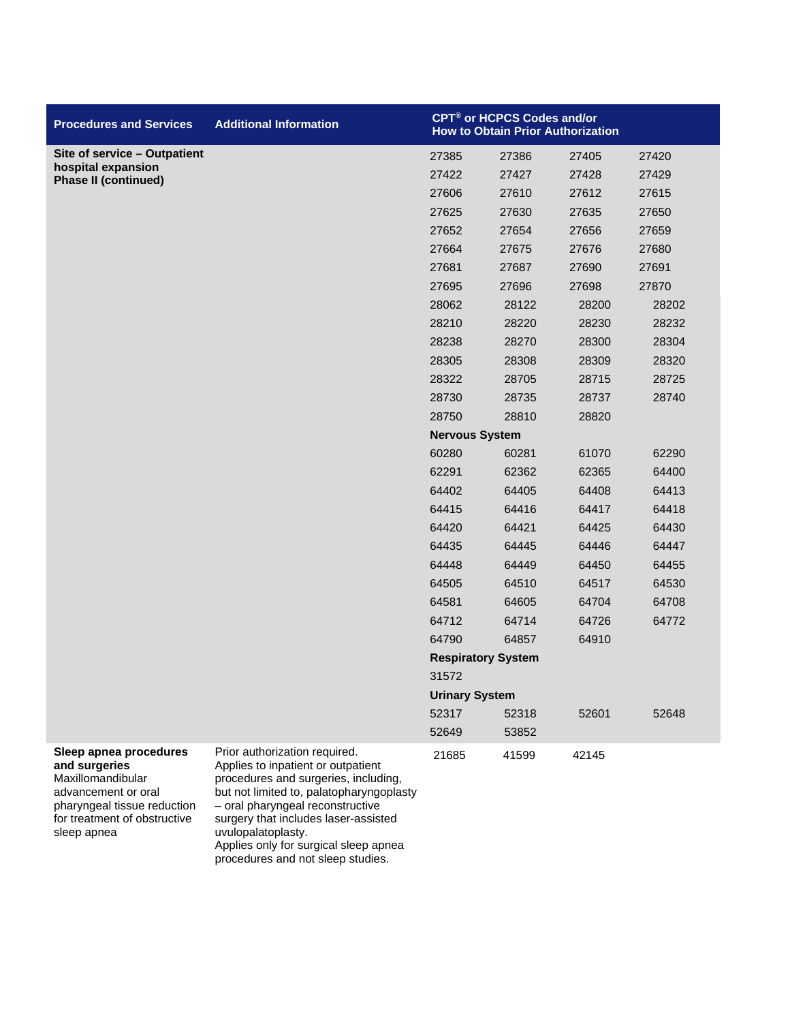| <b>Procedures and Services</b>                               | <b>Additional Information</b>                                                                               | CPT® or HCPCS Codes and/or<br><b>How to Obtain Prior Authorization</b> |       |       |       |
|--------------------------------------------------------------|-------------------------------------------------------------------------------------------------------------|------------------------------------------------------------------------|-------|-------|-------|
| Site of service - Outpatient                                 |                                                                                                             | 27385                                                                  | 27386 | 27405 | 27420 |
| hospital expansion<br><b>Phase II (continued)</b>            |                                                                                                             | 27422                                                                  | 27427 | 27428 | 27429 |
|                                                              |                                                                                                             | 27606                                                                  | 27610 | 27612 | 27615 |
|                                                              |                                                                                                             | 27625                                                                  | 27630 | 27635 | 27650 |
|                                                              |                                                                                                             | 27652                                                                  | 27654 | 27656 | 27659 |
|                                                              |                                                                                                             | 27664                                                                  | 27675 | 27676 | 27680 |
|                                                              |                                                                                                             | 27681                                                                  | 27687 | 27690 | 27691 |
|                                                              |                                                                                                             | 27695                                                                  | 27696 | 27698 | 27870 |
|                                                              |                                                                                                             | 28062                                                                  | 28122 | 28200 | 28202 |
|                                                              |                                                                                                             | 28210                                                                  | 28220 | 28230 | 28232 |
|                                                              |                                                                                                             | 28238                                                                  | 28270 | 28300 | 28304 |
|                                                              |                                                                                                             | 28305                                                                  | 28308 | 28309 | 28320 |
|                                                              |                                                                                                             | 28322                                                                  | 28705 | 28715 | 28725 |
|                                                              |                                                                                                             | 28730                                                                  | 28735 | 28737 | 28740 |
|                                                              |                                                                                                             | 28750                                                                  | 28810 | 28820 |       |
|                                                              |                                                                                                             | <b>Nervous System</b>                                                  |       |       |       |
|                                                              |                                                                                                             | 60280                                                                  | 60281 | 61070 | 62290 |
|                                                              |                                                                                                             | 62291                                                                  | 62362 | 62365 | 64400 |
|                                                              |                                                                                                             | 64402                                                                  | 64405 | 64408 | 64413 |
|                                                              |                                                                                                             | 64415                                                                  | 64416 | 64417 | 64418 |
|                                                              |                                                                                                             | 64420                                                                  | 64421 | 64425 | 64430 |
|                                                              |                                                                                                             | 64435                                                                  | 64445 | 64446 | 64447 |
|                                                              |                                                                                                             | 64448                                                                  | 64449 | 64450 | 64455 |
|                                                              |                                                                                                             | 64505                                                                  | 64510 | 64517 | 64530 |
|                                                              |                                                                                                             | 64581                                                                  | 64605 | 64704 | 64708 |
|                                                              |                                                                                                             | 64712                                                                  | 64714 | 64726 | 64772 |
|                                                              |                                                                                                             | 64790                                                                  | 64857 | 64910 |       |
|                                                              |                                                                                                             | <b>Respiratory System</b>                                              |       |       |       |
|                                                              |                                                                                                             | 31572                                                                  |       |       |       |
|                                                              |                                                                                                             | <b>Urinary System</b>                                                  |       |       |       |
|                                                              |                                                                                                             | 52317                                                                  | 52318 | 52601 | 52648 |
|                                                              |                                                                                                             | 52649                                                                  | 53852 |       |       |
| Sleep apnea procedures<br>and surgeries<br>Maxillomandibular | Prior authorization required.<br>Applies to inpatient or outpatient<br>procedures and surgeries, including, | 21685                                                                  | 41599 | 42145 |       |

advancement or oral pharyngeal tissue reduction for treatment of obstructive sleep apnea

procedures and surgeries, including, but not limited to, palatopharyngoplasty – oral pharyngeal reconstructive surgery that includes laser-assisted uvulopalatoplasty. Applies only for surgical sleep apnea procedures and not sleep studies.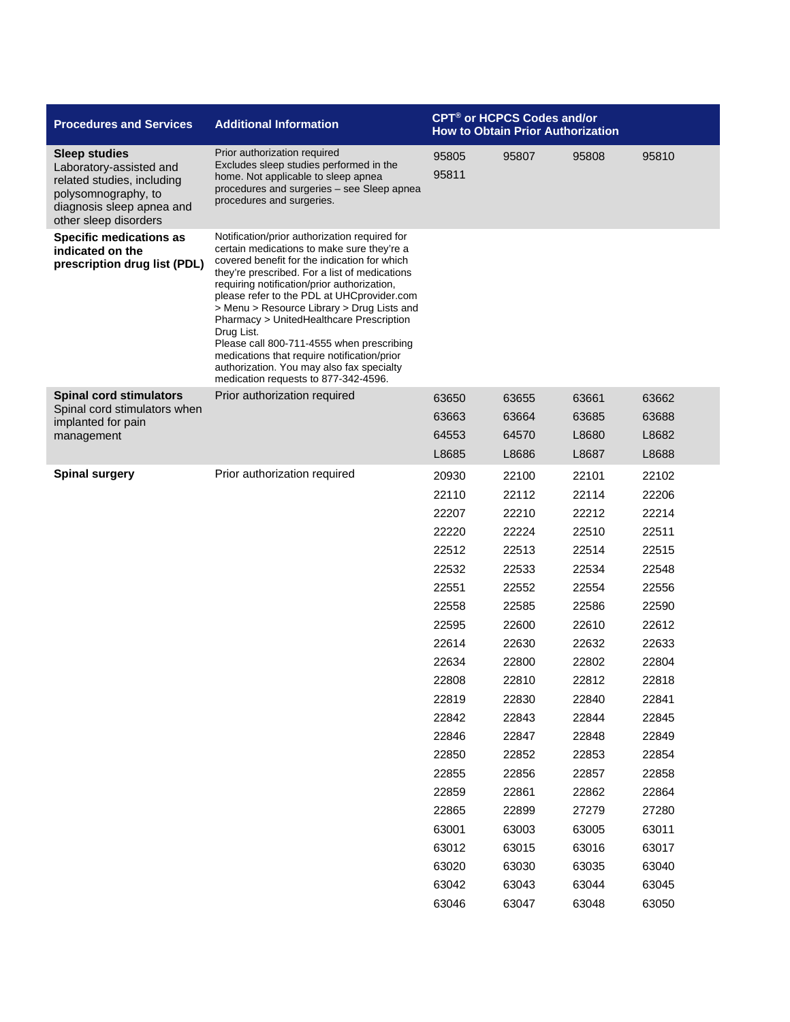| <b>Sleep studies</b><br>Prior authorization required<br>95805<br>95807<br>95808<br>95810<br>Excludes sleep studies performed in the<br>Laboratory-assisted and<br>95811<br>home. Not applicable to sleep apnea<br>related studies, including<br>procedures and surgeries - see Sleep apnea<br>polysomnography, to<br>procedures and surgeries.<br>diagnosis sleep apnea and<br>other sleep disorders<br><b>Specific medications as</b><br>Notification/prior authorization required for<br>certain medications to make sure they're a<br>indicated on the<br>covered benefit for the indication for which<br>prescription drug list (PDL)<br>they're prescribed. For a list of medications<br>requiring notification/prior authorization,<br>please refer to the PDL at UHCprovider.com<br>> Menu > Resource Library > Drug Lists and<br>Pharmacy > UnitedHealthcare Prescription<br>Drug List.<br>Please call 800-711-4555 when prescribing<br>medications that require notification/prior<br>authorization. You may also fax specialty<br>medication requests to 877-342-4596.<br><b>Spinal cord stimulators</b><br>Prior authorization required<br>63650<br>63655<br>63661<br>63662<br>Spinal cord stimulators when<br>63688<br>63663<br>63664<br>63685<br>implanted for pain<br>64553<br>64570<br>L8680<br>L8682<br>management<br>L8685<br>L8686<br>L8687<br>L8688<br><b>Spinal surgery</b><br>Prior authorization required<br>20930<br>22100<br>22101<br>22102<br>22110<br>22112<br>22114<br>22206<br>22207<br>22210<br>22212<br>22214<br>22510<br>22220<br>22224<br>22511<br>22512<br>22513<br>22514<br>22515<br>22532<br>22533<br>22534<br>22548<br>22551<br>22552<br>22554<br>22556<br>22558<br>22585<br>22586<br>22590<br>22595<br>22600<br>22610<br>22612<br>22614<br>22632<br>22633<br>22630<br>22804<br>22634<br>22800<br>22802<br>22818<br>22808<br>22810<br>22812<br>22819<br>22830<br>22840<br>22841<br>22842<br>22843<br>22844<br>22845<br>22849<br>22846<br>22847<br>22848<br>22850<br>22853<br>22854<br>22852<br>22855<br>22858<br>22856<br>22857<br>22859<br>22861<br>22862<br>22864<br>22865<br>22899<br>27279<br>27280<br>63001<br>63011<br>63003<br>63005<br>63012<br>63015<br>63016<br>63017<br>63020<br>63030<br>63035<br>63040 | <b>Procedures and Services</b> | <b>Additional Information</b> | <b>CPT<sup>®</sup> or HCPCS Codes and/or</b><br><b>How to Obtain Prior Authorization</b> |  |  |  |  |
|---------------------------------------------------------------------------------------------------------------------------------------------------------------------------------------------------------------------------------------------------------------------------------------------------------------------------------------------------------------------------------------------------------------------------------------------------------------------------------------------------------------------------------------------------------------------------------------------------------------------------------------------------------------------------------------------------------------------------------------------------------------------------------------------------------------------------------------------------------------------------------------------------------------------------------------------------------------------------------------------------------------------------------------------------------------------------------------------------------------------------------------------------------------------------------------------------------------------------------------------------------------------------------------------------------------------------------------------------------------------------------------------------------------------------------------------------------------------------------------------------------------------------------------------------------------------------------------------------------------------------------------------------------------------------------------------------------------------------------------------------------------------------------------------------------------------------------------------------------------------------------------------------------------------------------------------------------------------------------------------------------------------------------------------------------------------------------------------------------------------------------------------------------------------------------------------------------------------------------------------------------|--------------------------------|-------------------------------|------------------------------------------------------------------------------------------|--|--|--|--|
|                                                                                                                                                                                                                                                                                                                                                                                                                                                                                                                                                                                                                                                                                                                                                                                                                                                                                                                                                                                                                                                                                                                                                                                                                                                                                                                                                                                                                                                                                                                                                                                                                                                                                                                                                                                                                                                                                                                                                                                                                                                                                                                                                                                                                                                         |                                |                               |                                                                                          |  |  |  |  |
|                                                                                                                                                                                                                                                                                                                                                                                                                                                                                                                                                                                                                                                                                                                                                                                                                                                                                                                                                                                                                                                                                                                                                                                                                                                                                                                                                                                                                                                                                                                                                                                                                                                                                                                                                                                                                                                                                                                                                                                                                                                                                                                                                                                                                                                         |                                |                               |                                                                                          |  |  |  |  |
|                                                                                                                                                                                                                                                                                                                                                                                                                                                                                                                                                                                                                                                                                                                                                                                                                                                                                                                                                                                                                                                                                                                                                                                                                                                                                                                                                                                                                                                                                                                                                                                                                                                                                                                                                                                                                                                                                                                                                                                                                                                                                                                                                                                                                                                         |                                |                               |                                                                                          |  |  |  |  |
| 63042<br>63043<br>63044<br>63045<br>63046<br>63047<br>63048<br>63050                                                                                                                                                                                                                                                                                                                                                                                                                                                                                                                                                                                                                                                                                                                                                                                                                                                                                                                                                                                                                                                                                                                                                                                                                                                                                                                                                                                                                                                                                                                                                                                                                                                                                                                                                                                                                                                                                                                                                                                                                                                                                                                                                                                    |                                |                               |                                                                                          |  |  |  |  |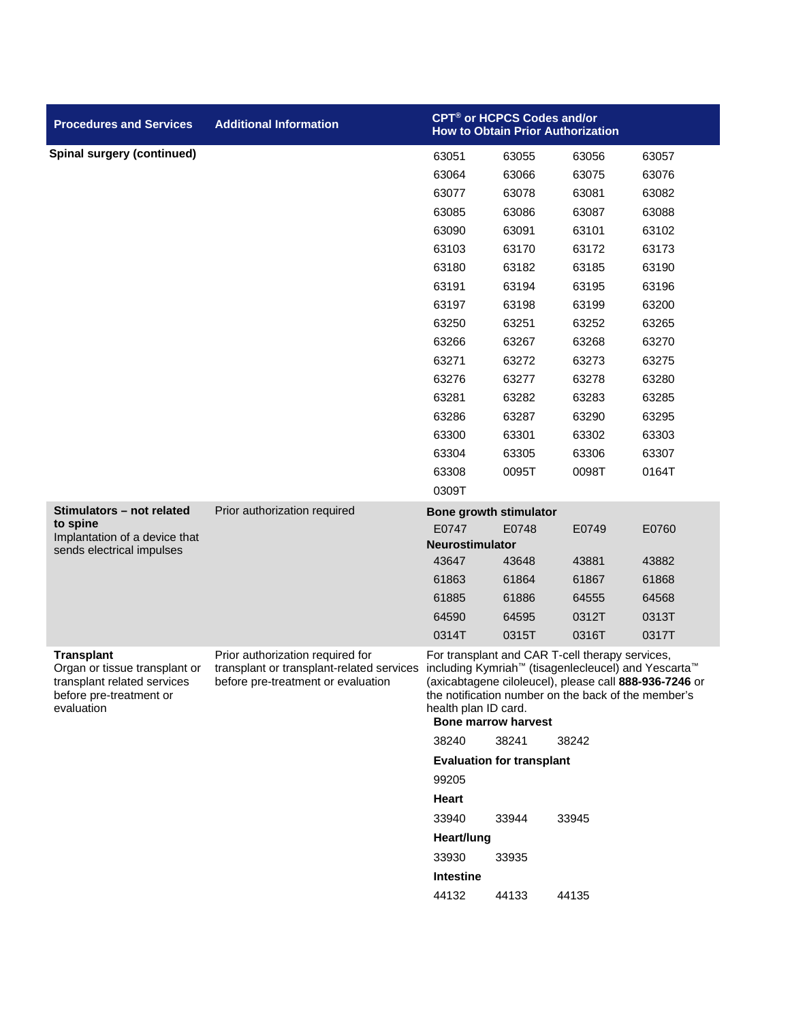| <b>Procedures and Services</b>                                                                                             | <b>Additional Information</b>                                                                                       | CPT® or HCPCS Codes and/or<br><b>How to Obtain Prior Authorization</b>                                                                                                                                                                                                        |       |       |       |  |
|----------------------------------------------------------------------------------------------------------------------------|---------------------------------------------------------------------------------------------------------------------|-------------------------------------------------------------------------------------------------------------------------------------------------------------------------------------------------------------------------------------------------------------------------------|-------|-------|-------|--|
| <b>Spinal surgery (continued)</b>                                                                                          |                                                                                                                     | 63051                                                                                                                                                                                                                                                                         | 63055 | 63056 | 63057 |  |
|                                                                                                                            |                                                                                                                     | 63064                                                                                                                                                                                                                                                                         | 63066 | 63075 | 63076 |  |
|                                                                                                                            |                                                                                                                     | 63077                                                                                                                                                                                                                                                                         | 63078 | 63081 | 63082 |  |
|                                                                                                                            |                                                                                                                     | 63085                                                                                                                                                                                                                                                                         | 63086 | 63087 | 63088 |  |
|                                                                                                                            |                                                                                                                     | 63090                                                                                                                                                                                                                                                                         | 63091 | 63101 | 63102 |  |
|                                                                                                                            |                                                                                                                     | 63103                                                                                                                                                                                                                                                                         | 63170 | 63172 | 63173 |  |
|                                                                                                                            |                                                                                                                     | 63180                                                                                                                                                                                                                                                                         | 63182 | 63185 | 63190 |  |
|                                                                                                                            |                                                                                                                     | 63191                                                                                                                                                                                                                                                                         | 63194 | 63195 | 63196 |  |
|                                                                                                                            |                                                                                                                     | 63197                                                                                                                                                                                                                                                                         | 63198 | 63199 | 63200 |  |
|                                                                                                                            |                                                                                                                     | 63250                                                                                                                                                                                                                                                                         | 63251 | 63252 | 63265 |  |
|                                                                                                                            |                                                                                                                     | 63266                                                                                                                                                                                                                                                                         | 63267 | 63268 | 63270 |  |
|                                                                                                                            |                                                                                                                     | 63271                                                                                                                                                                                                                                                                         | 63272 | 63273 | 63275 |  |
|                                                                                                                            |                                                                                                                     | 63276                                                                                                                                                                                                                                                                         | 63277 | 63278 | 63280 |  |
|                                                                                                                            |                                                                                                                     | 63281                                                                                                                                                                                                                                                                         | 63282 | 63283 | 63285 |  |
|                                                                                                                            |                                                                                                                     | 63286                                                                                                                                                                                                                                                                         | 63287 | 63290 | 63295 |  |
|                                                                                                                            |                                                                                                                     | 63300                                                                                                                                                                                                                                                                         | 63301 | 63302 | 63303 |  |
|                                                                                                                            |                                                                                                                     | 63304                                                                                                                                                                                                                                                                         | 63305 | 63306 | 63307 |  |
|                                                                                                                            |                                                                                                                     | 63308                                                                                                                                                                                                                                                                         | 0095T | 0098T | 0164T |  |
|                                                                                                                            |                                                                                                                     | 0309T                                                                                                                                                                                                                                                                         |       |       |       |  |
| Stimulators - not related                                                                                                  | Prior authorization required                                                                                        | <b>Bone growth stimulator</b>                                                                                                                                                                                                                                                 |       |       |       |  |
| to spine<br>Implantation of a device that                                                                                  |                                                                                                                     | E0747                                                                                                                                                                                                                                                                         | E0748 | E0749 | E0760 |  |
| sends electrical impulses                                                                                                  |                                                                                                                     | Neurostimulator                                                                                                                                                                                                                                                               |       |       |       |  |
|                                                                                                                            |                                                                                                                     | 43647                                                                                                                                                                                                                                                                         | 43648 | 43881 | 43882 |  |
|                                                                                                                            |                                                                                                                     | 61863                                                                                                                                                                                                                                                                         | 61864 | 61867 | 61868 |  |
|                                                                                                                            |                                                                                                                     | 61885                                                                                                                                                                                                                                                                         | 61886 | 64555 | 64568 |  |
|                                                                                                                            |                                                                                                                     | 64590                                                                                                                                                                                                                                                                         | 64595 | 0312T | 0313T |  |
|                                                                                                                            |                                                                                                                     | 0314T                                                                                                                                                                                                                                                                         | 0315T | 0316T | 0317T |  |
| <b>Transplant</b><br>Organ or tissue transplant or<br>transplant related services<br>before pre-treatment or<br>evaluation | Prior authorization required for<br>transplant or transplant-related services<br>before pre-treatment or evaluation | For transplant and CAR T-cell therapy services,<br>including Kymriah™ (tisagenlecleucel) and Yescarta™<br>(axicabtagene ciloleucel), please call 888-936-7246 or<br>the notification number on the back of the member's<br>health plan ID card.<br><b>Bone marrow harvest</b> |       |       |       |  |
|                                                                                                                            |                                                                                                                     | 38240                                                                                                                                                                                                                                                                         | 38241 | 38242 |       |  |
|                                                                                                                            |                                                                                                                     | <b>Evaluation for transplant</b>                                                                                                                                                                                                                                              |       |       |       |  |
|                                                                                                                            |                                                                                                                     | 99205                                                                                                                                                                                                                                                                         |       |       |       |  |
|                                                                                                                            |                                                                                                                     | Heart                                                                                                                                                                                                                                                                         |       |       |       |  |
|                                                                                                                            |                                                                                                                     | 33940                                                                                                                                                                                                                                                                         | 33944 | 33945 |       |  |
|                                                                                                                            |                                                                                                                     | Heart/lung                                                                                                                                                                                                                                                                    |       |       |       |  |
|                                                                                                                            |                                                                                                                     | 33930                                                                                                                                                                                                                                                                         | 33935 |       |       |  |
|                                                                                                                            |                                                                                                                     | <b>Intestine</b>                                                                                                                                                                                                                                                              |       |       |       |  |
|                                                                                                                            |                                                                                                                     | 44132                                                                                                                                                                                                                                                                         | 44133 | 44135 |       |  |